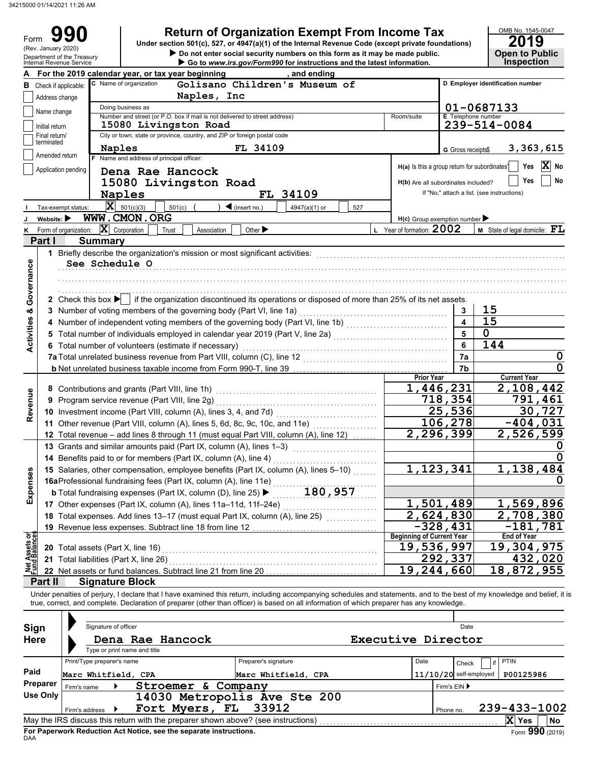34215000 01/14/2021 11:26 AM

|                                |                                |                                                        |                                                                                                                                                                                                                                | <b>Return of Organization Exempt From Income Tax</b>                                                                                                                              |                     |     |                                                           |                           | OMB No. 1545-0047                               |                   |
|--------------------------------|--------------------------------|--------------------------------------------------------|--------------------------------------------------------------------------------------------------------------------------------------------------------------------------------------------------------------------------------|-----------------------------------------------------------------------------------------------------------------------------------------------------------------------------------|---------------------|-----|-----------------------------------------------------------|---------------------------|-------------------------------------------------|-------------------|
| Form                           | (Rev. January 2020)            |                                                        |                                                                                                                                                                                                                                | Under section 501(c), 527, or 4947(a)(1) of the Internal Revenue Code (except private foundations)<br>Do not enter social security numbers on this form as it may be made public. |                     |     |                                                           |                           | 2019<br><b>Open to Public</b>                   |                   |
|                                |                                | Department of the Treasury<br>Internal Revenue Service |                                                                                                                                                                                                                                | Go to www.irs.gov/Form990 for instructions and the latest information.                                                                                                            |                     |     |                                                           |                           | <b>Inspection</b>                               |                   |
|                                |                                |                                                        | For the 2019 calendar year, or tax year beginning                                                                                                                                                                              |                                                                                                                                                                                   | , and ending        |     |                                                           |                           |                                                 |                   |
|                                |                                | <b>B</b> Check if applicable:                          | C Name of organization                                                                                                                                                                                                         | Golisano Children's Museum of                                                                                                                                                     |                     |     |                                                           |                           | D Employer identification number                |                   |
|                                | Address change                 |                                                        |                                                                                                                                                                                                                                | Naples, Inc                                                                                                                                                                       |                     |     |                                                           |                           |                                                 |                   |
|                                | Name change                    |                                                        | Doing business as<br>Number and street (or P.O. box if mail is not delivered to street address)                                                                                                                                |                                                                                                                                                                                   |                     |     | Room/suite                                                | <b>E</b> Telephone number | 01-0687133                                      |                   |
|                                | Initial return                 |                                                        | 15080 Livingston Road                                                                                                                                                                                                          |                                                                                                                                                                                   |                     |     |                                                           |                           | 239-514-0084                                    |                   |
|                                | Final return/                  |                                                        | City or town, state or province, country, and ZIP or foreign postal code                                                                                                                                                       |                                                                                                                                                                                   |                     |     |                                                           |                           |                                                 |                   |
|                                | terminated                     |                                                        | Naples                                                                                                                                                                                                                         | FL 34109                                                                                                                                                                          |                     |     |                                                           | G Gross receipts\$        |                                                 | 3,363,615         |
|                                | Amended return                 | F.                                                     | Name and address of principal officer:                                                                                                                                                                                         |                                                                                                                                                                                   |                     |     |                                                           |                           |                                                 | $ {\bf X} $<br>No |
|                                |                                | Application pending                                    | Dena Rae Hancock                                                                                                                                                                                                               |                                                                                                                                                                                   |                     |     | H(a) Is this a group return for subordinates <sup>1</sup> |                           | Yes                                             |                   |
|                                |                                |                                                        | 15080 Livingston Road                                                                                                                                                                                                          |                                                                                                                                                                                   |                     |     | H(b) Are all subordinates included?                       |                           | Yes                                             | No                |
|                                |                                |                                                        | Naples                                                                                                                                                                                                                         |                                                                                                                                                                                   | FL 34109            |     |                                                           |                           | If "No," attach a list. (see instructions)      |                   |
|                                |                                | Tax-exempt status:                                     | $\overline{\mathbf{X}}$ 501(c)(3)<br>501(c)                                                                                                                                                                                    | $\blacktriangleleft$ (insert no.)                                                                                                                                                 | 4947(a)(1) or       | 527 |                                                           |                           |                                                 |                   |
|                                | Website: $\blacktriangleright$ |                                                        | WWW.CMON.ORG                                                                                                                                                                                                                   |                                                                                                                                                                                   |                     |     | $H(c)$ Group exemption number                             |                           |                                                 |                   |
| Κ                              |                                | Form of organization:                                  | $\mathbf{X}$ Corporation<br>Trust                                                                                                                                                                                              | Other $\blacktriangleright$<br>Association                                                                                                                                        |                     |     | L Year of formation: 2002                                 |                           | <b>M</b> State of legal domicile: $\mathbf{FL}$ |                   |
|                                | Part I                         | <b>Summary</b>                                         |                                                                                                                                                                                                                                |                                                                                                                                                                                   |                     |     |                                                           |                           |                                                 |                   |
|                                |                                |                                                        | 1 Briefly describe the organization's mission or most significant activities: [1] content to content the content of the content of the content of the content of the content of the content of the content of the content of t |                                                                                                                                                                                   |                     |     |                                                           |                           |                                                 |                   |
| Governance                     |                                | See Schedule O                                         |                                                                                                                                                                                                                                |                                                                                                                                                                                   |                     |     |                                                           |                           |                                                 |                   |
|                                |                                |                                                        |                                                                                                                                                                                                                                |                                                                                                                                                                                   |                     |     |                                                           |                           |                                                 |                   |
|                                |                                |                                                        | 2 Check this box $\blacktriangleright$ if the organization discontinued its operations or disposed of more than 25% of its net assets.                                                                                         |                                                                                                                                                                                   |                     |     |                                                           |                           |                                                 |                   |
|                                |                                |                                                        | 3 Number of voting members of the governing body (Part VI, line 1a)                                                                                                                                                            |                                                                                                                                                                                   |                     |     |                                                           | 3                         | 15                                              |                   |
|                                |                                |                                                        | 4 Number of independent voting members of the governing body (Part VI, line 1b) [11] [11] Mumber of independent voting                                                                                                         |                                                                                                                                                                                   |                     |     |                                                           | $\overline{\mathbf{4}}$   | $1\overline{5}$                                 |                   |
|                                |                                |                                                        |                                                                                                                                                                                                                                |                                                                                                                                                                                   |                     |     |                                                           | 5                         | $\overline{0}$                                  |                   |
| <b>Activities &amp;</b>        |                                |                                                        | 6 Total number of volunteers (estimate if necessary)                                                                                                                                                                           |                                                                                                                                                                                   |                     |     |                                                           | 6                         | 144                                             |                   |
|                                |                                |                                                        |                                                                                                                                                                                                                                |                                                                                                                                                                                   |                     |     |                                                           | 7a                        |                                                 | 0                 |
|                                |                                |                                                        |                                                                                                                                                                                                                                |                                                                                                                                                                                   |                     |     |                                                           | 7b                        |                                                 | 0                 |
|                                |                                |                                                        |                                                                                                                                                                                                                                |                                                                                                                                                                                   |                     |     | <b>Prior Year</b>                                         |                           | <b>Current Year</b>                             |                   |
|                                |                                |                                                        | 8 Contributions and grants (Part VIII, line 1h)                                                                                                                                                                                |                                                                                                                                                                                   |                     |     | 1,446,231                                                 |                           | 2,108,442                                       |                   |
| Revenue                        |                                |                                                        | 9 Program service revenue (Part VIII, line 2g)                                                                                                                                                                                 |                                                                                                                                                                                   |                     |     |                                                           | 718,354                   |                                                 | 791,461           |
|                                |                                |                                                        | 10 Investment income (Part VIII, column (A), lines 3, 4, and 7d)                                                                                                                                                               |                                                                                                                                                                                   |                     |     |                                                           | 25,536<br>106,278         | $-404,031$                                      | 30,727            |
|                                |                                |                                                        | 11 Other revenue (Part VIII, column (A), lines 5, 6d, 8c, 9c, 10c, and 11e)                                                                                                                                                    |                                                                                                                                                                                   |                     |     |                                                           | 2,296,399                 | 2,526,599                                       |                   |
|                                |                                |                                                        | 12 Total revenue - add lines 8 through 11 (must equal Part VIII, column (A), line 12)<br>13 Grants and similar amounts paid (Part IX, column (A), lines 1-3)                                                                   |                                                                                                                                                                                   |                     |     |                                                           |                           |                                                 |                   |
|                                |                                |                                                        | 14 Benefits paid to or for members (Part IX, column (A), line 4)                                                                                                                                                               |                                                                                                                                                                                   |                     |     |                                                           |                           |                                                 |                   |
|                                |                                |                                                        | 15 Salaries, other compensation, employee benefits (Part IX, column (A), lines 5-10)                                                                                                                                           |                                                                                                                                                                                   |                     |     | 1,123,341                                                 |                           | 1,138,484                                       |                   |
| Expenses                       |                                |                                                        | 16aProfessional fundraising fees (Part IX, column (A), line 11e)                                                                                                                                                               |                                                                                                                                                                                   |                     |     |                                                           |                           |                                                 |                   |
|                                |                                |                                                        | <b>b</b> Total fundraising expenses (Part IX, column (D), line 25) $\blacktriangleright$                                                                                                                                       |                                                                                                                                                                                   | 180,957             |     |                                                           |                           |                                                 |                   |
|                                |                                |                                                        | 17 Other expenses (Part IX, column (A), lines 11a-11d, 11f-24e)                                                                                                                                                                |                                                                                                                                                                                   |                     |     |                                                           | 1,501,489                 | 1,569,896                                       |                   |
|                                |                                |                                                        | 18 Total expenses. Add lines 13-17 (must equal Part IX, column (A), line 25)                                                                                                                                                   |                                                                                                                                                                                   |                     |     | $\overline{2}$ , 624, 830                                 |                           | 2,708,380                                       |                   |
|                                |                                |                                                        | 19 Revenue less expenses. Subtract line 18 from line 12                                                                                                                                                                        |                                                                                                                                                                                   |                     |     |                                                           | $-328,431$                |                                                 | $-181,781$        |
| Net Assets or<br>Fund Balances |                                |                                                        |                                                                                                                                                                                                                                |                                                                                                                                                                                   |                     |     | <b>Beginning of Current Year</b>                          |                           | <b>End of Year</b>                              |                   |
|                                |                                | 20 Total assets (Part X, line 16)                      |                                                                                                                                                                                                                                |                                                                                                                                                                                   |                     |     | 19,536,997                                                |                           | 19,304,975                                      |                   |
|                                |                                | 21 Total liabilities (Part X, line 26)                 |                                                                                                                                                                                                                                |                                                                                                                                                                                   |                     |     | 19,244,660                                                | 292,337                   |                                                 | 432,020           |
|                                |                                |                                                        |                                                                                                                                                                                                                                |                                                                                                                                                                                   |                     |     |                                                           |                           | 18,872,955                                      |                   |
|                                | Part II                        | <b>Signature Block</b>                                 | Under penalties of perjury, I declare that I have examined this return, including accompanying schedules and statements, and to the best of my knowledge and belief, it is                                                     |                                                                                                                                                                                   |                     |     |                                                           |                           |                                                 |                   |
|                                |                                |                                                        | true, correct, and complete. Declaration of preparer (other than officer) is based on all information of which preparer has any knowledge.                                                                                     |                                                                                                                                                                                   |                     |     |                                                           |                           |                                                 |                   |
|                                |                                |                                                        |                                                                                                                                                                                                                                |                                                                                                                                                                                   |                     |     |                                                           |                           |                                                 |                   |
|                                |                                | Signature of officer                                   |                                                                                                                                                                                                                                |                                                                                                                                                                                   |                     |     |                                                           | Date                      |                                                 |                   |
| Sign<br><b>Here</b>            |                                |                                                        | Dena Rae Hancock                                                                                                                                                                                                               |                                                                                                                                                                                   |                     |     | Executive Director                                        |                           |                                                 |                   |
|                                |                                |                                                        | Type or print name and title                                                                                                                                                                                                   |                                                                                                                                                                                   |                     |     |                                                           |                           |                                                 |                   |
|                                |                                | Print/Type preparer's name                             |                                                                                                                                                                                                                                | Preparer's signature                                                                                                                                                              |                     |     | Date                                                      | Check                     | PTIN<br>if                                      |                   |
| Paid                           |                                | Marc Whitfield, CPA                                    |                                                                                                                                                                                                                                |                                                                                                                                                                                   | Marc Whitfield, CPA |     |                                                           | $11/10/20$ self-employed  | P00125986                                       |                   |
|                                | Preparer                       | Firm's name                                            |                                                                                                                                                                                                                                | Stroemer & Company                                                                                                                                                                |                     |     |                                                           | Firm's EIN ▶              |                                                 |                   |
|                                | <b>Use Only</b>                |                                                        |                                                                                                                                                                                                                                | 14030 Metropolis Ave Ste 200                                                                                                                                                      |                     |     |                                                           |                           |                                                 |                   |
|                                |                                | Firm's address                                         | Fort Myers, FL                                                                                                                                                                                                                 | 33912                                                                                                                                                                             |                     |     |                                                           | Phone no.                 | 239-433-1002                                    |                   |
|                                |                                |                                                        | May the IRS discuss this return with the preparer shown above? (see instructions)                                                                                                                                              |                                                                                                                                                                                   |                     |     |                                                           |                           | X Yes                                           | No                |

| Sign<br><b>Here</b> | Signature of officer                              | Dena Rae Hancock                                   |                                                                                                                   | <b>Executive Director</b> |                           | Date                              |                                       |
|---------------------|---------------------------------------------------|----------------------------------------------------|-------------------------------------------------------------------------------------------------------------------|---------------------------|---------------------------|-----------------------------------|---------------------------------------|
| Paid<br>Preparer    | Print/Type preparer's name<br>Marc Whitfield, CPA | Type or print name and title<br>Stroemer & Company | Preparer's signature<br>Marc Whitfield, CPA                                                                       | Date                      |                           | Check<br>$11/10/20$ self-employed | <b>PTIN</b><br>P00125986              |
| Use Only            | Firm's name<br>Firm's address                     | Fort Myers, FL 33912                               | 14030 Metropolis Ave Ste 200<br>May the IRS discuss this return with the preparer shown above? (see instructions) |                           | Firm's $EIN$<br>Phone no. |                                   | 239-433-1002<br>x<br>Yes<br><b>No</b> |

**For Paperwork Reduction Act Notice, see the separate instructions.**<br><sub>DAA</sub>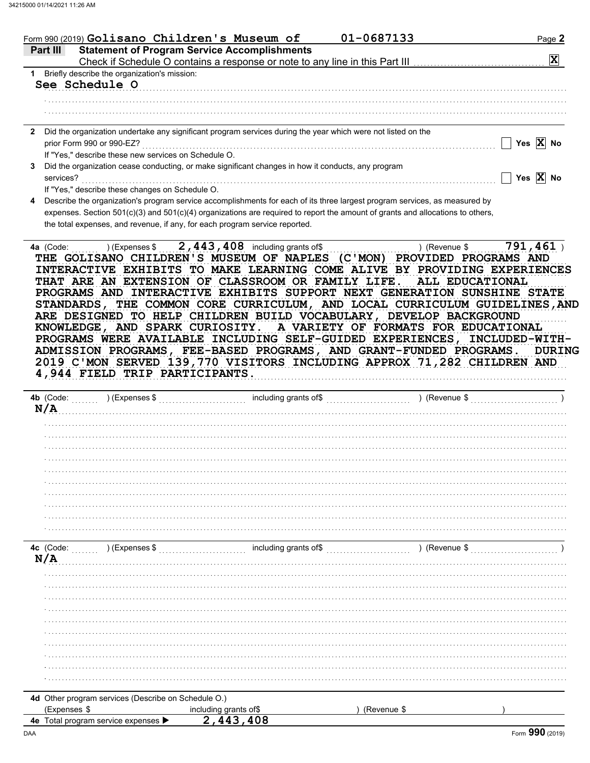|                           | Form 990 (2019) $\verb Golisano Children's Museum of$                                                                              | 01-0687133 |                              | Page 2                  |
|---------------------------|------------------------------------------------------------------------------------------------------------------------------------|------------|------------------------------|-------------------------|
| Part III                  | <b>Statement of Program Service Accomplishments</b>                                                                                |            |                              |                         |
|                           |                                                                                                                                    |            |                              | $\overline{\mathbf{x}}$ |
| 1.                        | Briefly describe the organization's mission:                                                                                       |            |                              |                         |
| See Schedule O            |                                                                                                                                    |            |                              |                         |
|                           |                                                                                                                                    |            |                              |                         |
|                           |                                                                                                                                    |            |                              |                         |
|                           |                                                                                                                                    |            |                              |                         |
|                           | Did the organization undertake any significant program services during the year which were not listed on the                       |            |                              |                         |
| prior Form 990 or 990-EZ? |                                                                                                                                    |            |                              | Yes $\overline{X}$ No   |
|                           | If "Yes," describe these new services on Schedule O.                                                                               |            |                              |                         |
|                           | Did the organization cease conducting, or make significant changes in how it conducts, any program                                 |            |                              |                         |
| services?                 |                                                                                                                                    |            |                              | Yes $\overline{X}$ No   |
|                           | If "Yes," describe these changes on Schedule O.                                                                                    |            |                              |                         |
|                           | Describe the organization's program service accomplishments for each of its three largest program services, as measured by         |            |                              |                         |
|                           | expenses. Section $501(c)(3)$ and $501(c)(4)$ organizations are required to report the amount of grants and allocations to others, |            |                              |                         |
|                           | the total expenses, and revenue, if any, for each program service reported.                                                        |            |                              |                         |
|                           |                                                                                                                                    |            |                              |                         |
| 4a (Code:                 | 2, $443$ , $408$ including grants of \$<br>) (Expenses \$                                                                          |            | (Revenue \$                  | 791,461                 |
|                           | GOLISANO CHILDREN'S MUSEUM OF NAPLES (C'MON)                                                                                       |            | <b>PROVIDED PROGRAMS AND</b> |                         |
|                           | T GRDNITNA                                                                                                                         |            |                              | VDEDIENA                |

INTERACTIVE EXHIBITS TO MAKE LEARNING COME ALIVE BY PROVIDING EXPERIENCES THAT ARE AN EXTENSION OF CLASSROOM OR FAMILY LIFE. ALL EDUCATIONAL PROGRAMS AND INTERACTIVE EXHIBITS SUPPORT NEXT GENERATION SUNSHINE STATE STANDARDS, THE COMMON CORE CURRICULUM, AND LOCAL CURRICULUM GUIDELINES, AND ARE DESIGNED TO HELP CHILDREN BUILD VOCABULARY, DEVELOP BACKGROUND KNOWLEDGE, AND SPARK CURIOSITY. A VARIETY OF FORMATS FOR EDUCATIONAL PROGRAMS WERE AVAILABLE INCLUDING SELF-GUIDED EXPERIENCES, INCLUDED-WITH-ADMISSION PROGRAMS, FEE-BASED PROGRAMS, AND GRANT-FUNDED PROGRAMS. **DURING** 2019 C'MON SERVED 139,770 VISITORS INCLUDING APPROX 71,282 CHILDREN AND 4,944 FIELD TRIP PARTICIPANTS.

| N/A          | 4b (Code: ) (Expenses \$                            |                                                                                                                                    | ) (Revenue \$ |  |
|--------------|-----------------------------------------------------|------------------------------------------------------------------------------------------------------------------------------------|---------------|--|
|              |                                                     |                                                                                                                                    |               |  |
|              |                                                     |                                                                                                                                    |               |  |
|              |                                                     |                                                                                                                                    |               |  |
|              |                                                     |                                                                                                                                    |               |  |
|              |                                                     |                                                                                                                                    |               |  |
|              |                                                     |                                                                                                                                    |               |  |
|              |                                                     |                                                                                                                                    |               |  |
|              |                                                     |                                                                                                                                    |               |  |
|              |                                                     |                                                                                                                                    |               |  |
|              |                                                     |                                                                                                                                    |               |  |
|              |                                                     |                                                                                                                                    |               |  |
| N/A          |                                                     | 4c (Code: (2001) (Expenses \$ (2003) [2012] including grants of \$ (2003) [2013] (Expenses \$ (2003) [2013] including grants of \$ | ) (Revenue \$ |  |
|              |                                                     |                                                                                                                                    |               |  |
|              |                                                     |                                                                                                                                    |               |  |
|              |                                                     |                                                                                                                                    |               |  |
|              |                                                     |                                                                                                                                    |               |  |
|              |                                                     |                                                                                                                                    |               |  |
|              |                                                     |                                                                                                                                    |               |  |
|              |                                                     |                                                                                                                                    |               |  |
|              |                                                     |                                                                                                                                    |               |  |
|              |                                                     |                                                                                                                                    |               |  |
|              |                                                     |                                                                                                                                    |               |  |
|              |                                                     |                                                                                                                                    |               |  |
|              | 4d Other program services (Describe on Schedule O.) |                                                                                                                                    |               |  |
| (Expenses \$ |                                                     | including grants of\$                                                                                                              | (Revenue \$   |  |
|              | 40 Total program service expenses                   | $2$ $443$ $408$                                                                                                                    |               |  |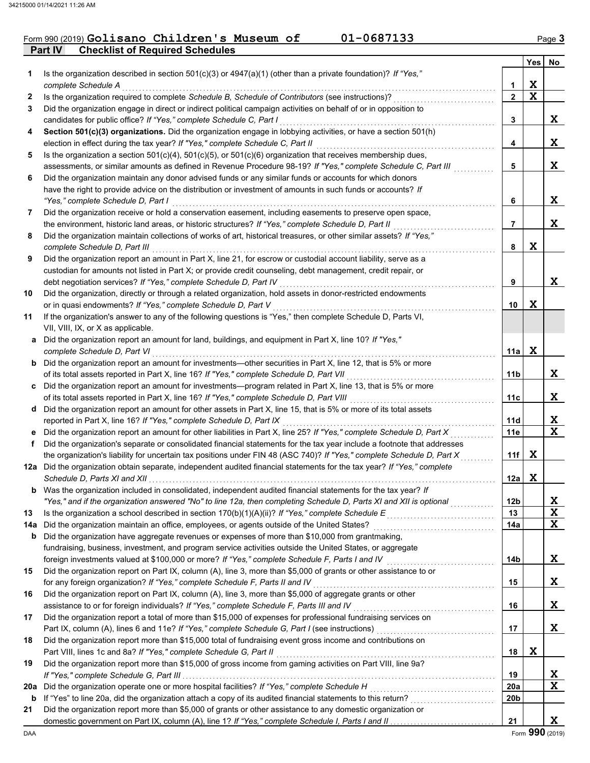### **Part IV Checklist of Required Schedules** Form 990 (2019) Golisano Children's Museum of 01-0687133 Page 3

|     |                                                                                                                                                                                                                               |              | Yes | No          |
|-----|-------------------------------------------------------------------------------------------------------------------------------------------------------------------------------------------------------------------------------|--------------|-----|-------------|
| 1   | Is the organization described in section $501(c)(3)$ or $4947(a)(1)$ (other than a private foundation)? If "Yes,"                                                                                                             |              |     |             |
|     | complete Schedule A                                                                                                                                                                                                           | 1            | X   |             |
| 2   | Is the organization required to complete Schedule B, Schedule of Contributors (see instructions)?                                                                                                                             | $\mathbf{2}$ | X   |             |
| 3   | Did the organization engage in direct or indirect political campaign activities on behalf of or in opposition to                                                                                                              |              |     |             |
|     | candidates for public office? If "Yes," complete Schedule C, Part I                                                                                                                                                           | 3            |     | X.          |
| 4   | Section 501(c)(3) organizations. Did the organization engage in lobbying activities, or have a section 501(h)                                                                                                                 |              |     |             |
|     | election in effect during the tax year? If "Yes," complete Schedule C, Part II                                                                                                                                                | 4            |     | X           |
| 5   | Is the organization a section $501(c)(4)$ , $501(c)(5)$ , or $501(c)(6)$ organization that receives membership dues,                                                                                                          |              |     |             |
|     | assessments, or similar amounts as defined in Revenue Procedure 98-19? If "Yes," complete Schedule C, Part III                                                                                                                | 5            |     | X           |
| 6   | Did the organization maintain any donor advised funds or any similar funds or accounts for which donors                                                                                                                       |              |     |             |
|     | have the right to provide advice on the distribution or investment of amounts in such funds or accounts? If                                                                                                                   |              |     |             |
|     | "Yes," complete Schedule D, Part I                                                                                                                                                                                            | 6            |     | X.          |
| 7   | Did the organization receive or hold a conservation easement, including easements to preserve open space,                                                                                                                     |              |     |             |
|     | the environment, historic land areas, or historic structures? If "Yes," complete Schedule D, Part II                                                                                                                          | 7            |     | X           |
| 8   | Did the organization maintain collections of works of art, historical treasures, or other similar assets? If "Yes,"                                                                                                           |              |     |             |
|     | complete Schedule D, Part III                                                                                                                                                                                                 | 8            | X   |             |
| 9   | Did the organization report an amount in Part X, line 21, for escrow or custodial account liability, serve as a                                                                                                               |              |     |             |
|     | custodian for amounts not listed in Part X; or provide credit counseling, debt management, credit repair, or                                                                                                                  |              |     |             |
|     | debt negotiation services? If "Yes," complete Schedule D, Part IV                                                                                                                                                             | 9            |     | X           |
| 10  | Did the organization, directly or through a related organization, hold assets in donor-restricted endowments                                                                                                                  |              |     |             |
|     | or in quasi endowments? If "Yes," complete Schedule D, Part V                                                                                                                                                                 | 10           | x   |             |
| 11  | If the organization's answer to any of the following questions is "Yes," then complete Schedule D, Parts VI,                                                                                                                  |              |     |             |
|     | VII, VIII, IX, or X as applicable.                                                                                                                                                                                            |              |     |             |
| a   | Did the organization report an amount for land, buildings, and equipment in Part X, line 10? If "Yes,"                                                                                                                        |              |     |             |
|     | complete Schedule D, Part VI                                                                                                                                                                                                  | 11a l        | X   |             |
|     | <b>b</b> Did the organization report an amount for investments—other securities in Part X, line 12, that is 5% or more                                                                                                        |              |     |             |
|     | of its total assets reported in Part X, line 16? If "Yes," complete Schedule D, Part VII                                                                                                                                      | 11b          |     | X.          |
| c   | Did the organization report an amount for investments—program related in Part X, line 13, that is 5% or more<br>of its total assets reported in Part X, line 16? If "Yes," complete Schedule D, Part VIII [[[[[[[[[[[[[[[[[[[ | 11c          |     | X           |
| d   | Did the organization report an amount for other assets in Part X, line 15, that is 5% or more of its total assets                                                                                                             |              |     |             |
|     | reported in Part X, line 16? If "Yes," complete Schedule D, Part IX                                                                                                                                                           | 11d          |     | X           |
|     | Did the organization report an amount for other liabilities in Part X, line 25? If "Yes," complete Schedule D, Part X                                                                                                         | 11e          |     | $\mathbf x$ |
| f   | Did the organization's separate or consolidated financial statements for the tax year include a footnote that addresses                                                                                                       |              |     |             |
|     | the organization's liability for uncertain tax positions under FIN 48 (ASC 740)? If "Yes," complete Schedule D, Part X                                                                                                        | 11f          | X   |             |
|     | 12a Did the organization obtain separate, independent audited financial statements for the tax year? If "Yes," complete                                                                                                       |              |     |             |
|     |                                                                                                                                                                                                                               | 12a          | X   |             |
|     | Was the organization included in consolidated, independent audited financial statements for the tax year? If                                                                                                                  |              |     |             |
|     | "Yes," and if the organization answered "No" to line 12a, then completing Schedule D, Parts XI and XII is optional                                                                                                            | 12b          |     | X           |
| 13  |                                                                                                                                                                                                                               | 13           |     | X           |
| 14a | Did the organization maintain an office, employees, or agents outside of the United States?                                                                                                                                   | 14a          |     | X           |
| b   | Did the organization have aggregate revenues or expenses of more than \$10,000 from grantmaking,                                                                                                                              |              |     |             |
|     | fundraising, business, investment, and program service activities outside the United States, or aggregate                                                                                                                     |              |     |             |
|     | foreign investments valued at \$100,000 or more? If "Yes," complete Schedule F, Parts I and IV [[[[[[[[[[[[[[[                                                                                                                | 14b          |     | X.          |
| 15  | Did the organization report on Part IX, column (A), line 3, more than \$5,000 of grants or other assistance to or                                                                                                             |              |     |             |
|     | for any foreign organization? If "Yes," complete Schedule F, Parts II and IV                                                                                                                                                  | 15           |     | X.          |
| 16  | Did the organization report on Part IX, column (A), line 3, more than \$5,000 of aggregate grants or other                                                                                                                    |              |     |             |
|     | assistance to or for foreign individuals? If "Yes," complete Schedule F, Parts III and IV                                                                                                                                     | 16           |     | X.          |
| 17  | Did the organization report a total of more than \$15,000 of expenses for professional fundraising services on                                                                                                                |              |     |             |
|     |                                                                                                                                                                                                                               | 17           |     | X.          |
| 18  | Did the organization report more than \$15,000 total of fundraising event gross income and contributions on                                                                                                                   |              |     |             |
|     | Part VIII, lines 1c and 8a? If "Yes," complete Schedule G, Part II                                                                                                                                                            | 18           | X   |             |
| 19  | Did the organization report more than \$15,000 of gross income from gaming activities on Part VIII, line 9a?                                                                                                                  |              |     |             |
|     |                                                                                                                                                                                                                               | 19           |     | X           |
| 20a |                                                                                                                                                                                                                               | 20a          |     | X           |
| b   |                                                                                                                                                                                                                               | 20b          |     |             |
| 21  | Did the organization report more than \$5,000 of grants or other assistance to any domestic organization or                                                                                                                   |              |     |             |
|     |                                                                                                                                                                                                                               | 21           |     | X.          |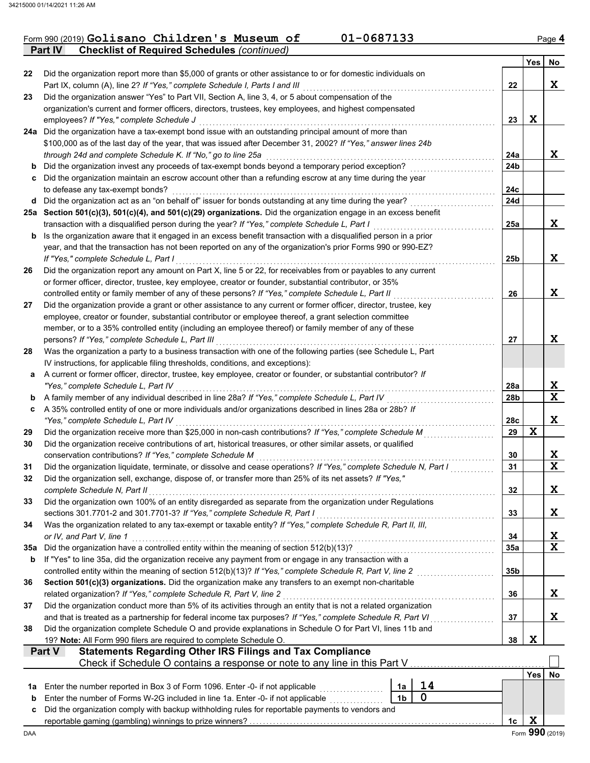|  | Form 990 (2019) Golisano Children's Museum of              |  | 01-0687133 | Page 4 |
|--|------------------------------------------------------------|--|------------|--------|
|  | <b>Part IV</b> Checklist of Required Schedules (continued) |  |            |        |

|     |                                                                                                                                                                                             |                 | <b>Yes</b> | No          |
|-----|---------------------------------------------------------------------------------------------------------------------------------------------------------------------------------------------|-----------------|------------|-------------|
| 22  | Did the organization report more than \$5,000 of grants or other assistance to or for domestic individuals on                                                                               |                 |            |             |
|     | Part IX, column (A), line 2? If "Yes," complete Schedule I, Parts I and III                                                                                                                 | 22              |            | X           |
| 23  | Did the organization answer "Yes" to Part VII, Section A, line 3, 4, or 5 about compensation of the                                                                                         |                 |            |             |
|     | organization's current and former officers, directors, trustees, key employees, and highest compensated                                                                                     |                 |            |             |
|     | employees? If "Yes," complete Schedule J                                                                                                                                                    | 23              | X          |             |
|     | 24a Did the organization have a tax-exempt bond issue with an outstanding principal amount of more than                                                                                     |                 |            |             |
|     | \$100,000 as of the last day of the year, that was issued after December 31, 2002? If "Yes," answer lines 24b                                                                               |                 |            |             |
|     | through 24d and complete Schedule K. If "No," go to line 25a                                                                                                                                | 24a             |            | X           |
|     | b Did the organization invest any proceeds of tax-exempt bonds beyond a temporary period exception?                                                                                         | 24b             |            |             |
| c   | Did the organization maintain an escrow account other than a refunding escrow at any time during the year                                                                                   |                 |            |             |
|     | to defease any tax-exempt bonds?<br>d Did the organization act as an "on behalf of" issuer for bonds outstanding at any time during the year?                                               | 24c<br>24d      |            |             |
|     | 25a Section 501(c)(3), 501(c)(4), and 501(c)(29) organizations. Did the organization engage in an excess benefit                                                                            |                 |            |             |
|     | transaction with a disqualified person during the year? If "Yes," complete Schedule L, Part I                                                                                               | 25a             |            | X           |
|     | <b>b</b> Is the organization aware that it engaged in an excess benefit transaction with a disqualified person in a prior                                                                   |                 |            |             |
|     | year, and that the transaction has not been reported on any of the organization's prior Forms 990 or 990-EZ?                                                                                |                 |            |             |
|     | If "Yes," complete Schedule L, Part I                                                                                                                                                       | 25b             |            | X           |
| 26  | Did the organization report any amount on Part X, line 5 or 22, for receivables from or payables to any current                                                                             |                 |            |             |
|     | or former officer, director, trustee, key employee, creator or founder, substantial contributor, or 35%                                                                                     |                 |            |             |
|     | controlled entity or family member of any of these persons? If "Yes," complete Schedule L, Part II                                                                                          | 26              |            | X           |
| 27  | Did the organization provide a grant or other assistance to any current or former officer, director, trustee, key                                                                           |                 |            |             |
|     | employee, creator or founder, substantial contributor or employee thereof, a grant selection committee                                                                                      |                 |            |             |
|     | member, or to a 35% controlled entity (including an employee thereof) or family member of any of these                                                                                      |                 |            |             |
|     | persons? If "Yes," complete Schedule L, Part III                                                                                                                                            | 27              |            | X           |
| 28  | Was the organization a party to a business transaction with one of the following parties (see Schedule L, Part                                                                              |                 |            |             |
|     | IV instructions, for applicable filing thresholds, conditions, and exceptions):                                                                                                             |                 |            |             |
| a   | A current or former officer, director, trustee, key employee, creator or founder, or substantial contributor? If                                                                            |                 |            |             |
|     | "Yes," complete Schedule L, Part IV                                                                                                                                                         | 28a             |            | X           |
| b   | A family member of any individual described in line 28a? If "Yes," complete Schedule L, Part IV                                                                                             | 28 <sub>b</sub> |            | $\mathbf x$ |
| c   | A 35% controlled entity of one or more individuals and/or organizations described in lines 28a or 28b? If                                                                                   |                 |            |             |
|     | "Yes," complete Schedule L, Part IV                                                                                                                                                         | 28c             |            | X           |
| 29  | Did the organization receive more than \$25,000 in non-cash contributions? If "Yes," complete Schedule M                                                                                    | 29              | X          |             |
| 30  | Did the organization receive contributions of art, historical treasures, or other similar assets, or qualified                                                                              |                 |            |             |
|     | conservation contributions? If "Yes," complete Schedule M                                                                                                                                   | 30              |            | X           |
| 31  | Did the organization liquidate, terminate, or dissolve and cease operations? If "Yes," complete Schedule N, Part I                                                                          | 31              |            | $\mathbf x$ |
| 32  | Did the organization sell, exchange, dispose of, or transfer more than 25% of its net assets? If "Yes,"                                                                                     |                 |            |             |
|     | complete Schedule N, Part II                                                                                                                                                                | 32              |            | X           |
| 33  | Did the organization own 100% of an entity disregarded as separate from the organization under Regulations                                                                                  | 33              |            | Χ           |
| 34  | sections 301.7701-2 and 301.7701-3? If "Yes," complete Schedule R, Part I<br>Was the organization related to any tax-exempt or taxable entity? If "Yes," complete Schedule R, Part II, III, |                 |            |             |
|     | or IV, and Part V, line 1                                                                                                                                                                   | 34              |            | X           |
| 35a | Did the organization have a controlled entity within the meaning of section 512(b)(13)?                                                                                                     | 35a             |            | $\mathbf x$ |
| b   | If "Yes" to line 35a, did the organization receive any payment from or engage in any transaction with a                                                                                     |                 |            |             |
|     |                                                                                                                                                                                             | 35b             |            |             |
| 36  | Section 501(c)(3) organizations. Did the organization make any transfers to an exempt non-charitable                                                                                        |                 |            |             |
|     | related organization? If "Yes," complete Schedule R, Part V, line 2                                                                                                                         | 36              |            | Χ           |
| 37  | Did the organization conduct more than 5% of its activities through an entity that is not a related organization                                                                            |                 |            |             |
|     | and that is treated as a partnership for federal income tax purposes? If "Yes," complete Schedule R, Part VI                                                                                | 37              |            | X           |
| 38  | Did the organization complete Schedule O and provide explanations in Schedule O for Part VI, lines 11b and                                                                                  |                 |            |             |
|     | 19? Note: All Form 990 filers are required to complete Schedule O.                                                                                                                          | 38              | X          |             |
|     | <b>Statements Regarding Other IRS Filings and Tax Compliance</b><br>Part V                                                                                                                  |                 |            |             |
|     | Check if Schedule O contains a response or note to any line in this Part V                                                                                                                  |                 |            |             |
|     |                                                                                                                                                                                             |                 | Yes        | No          |
| 1a  | 14<br>Enter the number reported in Box 3 of Form 1096. Enter -0- if not applicable<br>1a                                                                                                    |                 |            |             |
| b   | $\mathbf 0$<br>Enter the number of Forms W-2G included in line 1a. Enter -0- if not applicable<br>1 <sub>b</sub>                                                                            |                 |            |             |
| c   | Did the organization comply with backup withholding rules for reportable payments to vendors and                                                                                            |                 |            |             |
|     |                                                                                                                                                                                             | 1 <sub>c</sub>  | X          |             |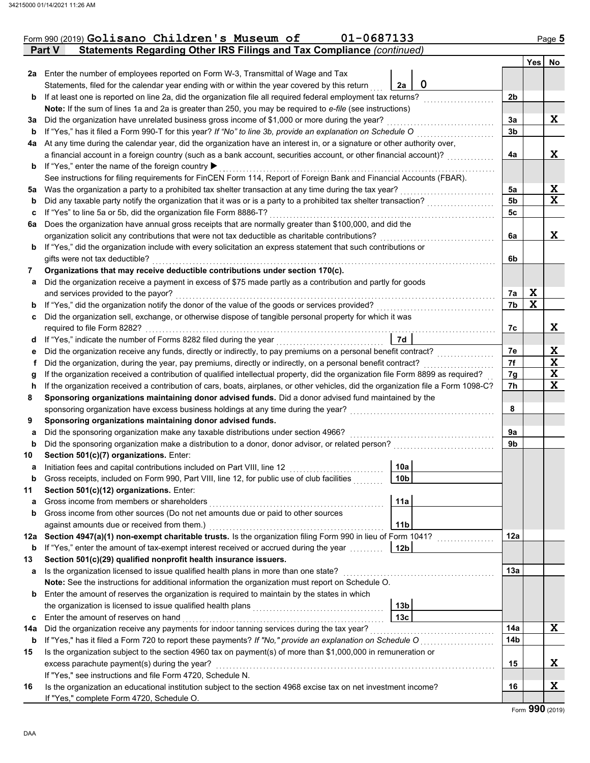|     | Form 990 (2019) Golisano Children's Museum of<br>01-0687133                                                                                                                                                                                   |                   |                |        | Page 5 |
|-----|-----------------------------------------------------------------------------------------------------------------------------------------------------------------------------------------------------------------------------------------------|-------------------|----------------|--------|--------|
|     | Statements Regarding Other IRS Filings and Tax Compliance (continued)<br>Part V                                                                                                                                                               |                   |                |        |        |
|     |                                                                                                                                                                                                                                               |                   |                | Yes No |        |
| 2a  | Enter the number of employees reported on Form W-3, Transmittal of Wage and Tax                                                                                                                                                               | $\mathbf 0$<br>2a |                |        |        |
|     | Statements, filed for the calendar year ending with or within the year covered by this return<br>If at least one is reported on line 2a, did the organization file all required federal employment tax returns?                               |                   | 2 <sub>b</sub> |        |        |
| b   | Note: If the sum of lines 1a and 2a is greater than 250, you may be required to e-file (see instructions)                                                                                                                                     |                   |                |        |        |
|     | Did the organization have unrelated business gross income of \$1,000 or more during the year?                                                                                                                                                 |                   | 3a             |        | X      |
| За  | If "Yes," has it filed a Form 990-T for this year? If "No" to line 3b, provide an explanation on Schedule O                                                                                                                                   |                   | 3 <sub>b</sub> |        |        |
| b   |                                                                                                                                                                                                                                               |                   |                |        |        |
| 4a  | At any time during the calendar year, did the organization have an interest in, or a signature or other authority over,<br>a financial account in a foreign country (such as a bank account, securities account, or other financial account)? |                   | 4a             |        | X      |
|     | If "Yes," enter the name of the foreign country ▶                                                                                                                                                                                             |                   |                |        |        |
| b   | See instructions for filing requirements for FinCEN Form 114, Report of Foreign Bank and Financial Accounts (FBAR).                                                                                                                           |                   |                |        |        |
| 5a  | Was the organization a party to a prohibited tax shelter transaction at any time during the tax year?                                                                                                                                         |                   | 5a             |        | X      |
|     | Did any taxable party notify the organization that it was or is a party to a prohibited tax shelter transaction?                                                                                                                              |                   | 5 <sub>b</sub> |        | X      |
| b   | If "Yes" to line 5a or 5b, did the organization file Form 8886-T?                                                                                                                                                                             |                   | 5c             |        |        |
| c   | Does the organization have annual gross receipts that are normally greater than \$100,000, and did the                                                                                                                                        |                   |                |        |        |
| 6а  |                                                                                                                                                                                                                                               |                   |                |        | X      |
|     | organization solicit any contributions that were not tax deductible as charitable contributions?                                                                                                                                              |                   | 6a             |        |        |
| b   | If "Yes," did the organization include with every solicitation an express statement that such contributions or                                                                                                                                |                   |                |        |        |
|     | gifts were not tax deductible?<br>Organizations that may receive deductible contributions under section 170(c).                                                                                                                               |                   | 6b             |        |        |
| 7   |                                                                                                                                                                                                                                               |                   |                |        |        |
| а   | Did the organization receive a payment in excess of \$75 made partly as a contribution and partly for goods                                                                                                                                   |                   |                | X      |        |
|     | and services provided to the payor?                                                                                                                                                                                                           |                   | 7a             | X      |        |
| b   | If "Yes," did the organization notify the donor of the value of the goods or services provided?                                                                                                                                               |                   | 7b             |        |        |
| с   | Did the organization sell, exchange, or otherwise dispose of tangible personal property for which it was                                                                                                                                      |                   |                |        |        |
|     | required to file Form 8282?                                                                                                                                                                                                                   |                   | 7c             |        | X      |
| d   | If "Yes," indicate the number of Forms 8282 filed during the year                                                                                                                                                                             | 7d                |                |        |        |
| е   | Did the organization receive any funds, directly or indirectly, to pay premiums on a personal benefit contract?                                                                                                                               |                   | 7e             |        | X      |
| f   | Did the organization, during the year, pay premiums, directly or indirectly, on a personal benefit contract?                                                                                                                                  |                   | 7f             |        | X      |
| g   | If the organization received a contribution of qualified intellectual property, did the organization file Form 8899 as required?                                                                                                              |                   | 7g             |        | X      |
| h   | If the organization received a contribution of cars, boats, airplanes, or other vehicles, did the organization file a Form 1098-C?                                                                                                            |                   | 7h             |        | X      |
| 8   | Sponsoring organizations maintaining donor advised funds. Did a donor advised fund maintained by the                                                                                                                                          |                   |                |        |        |
|     | sponsoring organization have excess business holdings at any time during the year?                                                                                                                                                            |                   | 8              |        |        |
| 9   | Sponsoring organizations maintaining donor advised funds.                                                                                                                                                                                     |                   |                |        |        |
| а   | Did the sponsoring organization make any taxable distributions under section 4966?                                                                                                                                                            |                   | 9а             |        |        |
| b   | Did the sponsoring organization make a distribution to a donor, donor advisor, or related person?                                                                                                                                             |                   | 9b             |        |        |
| 10  | Section 501(c)(7) organizations. Enter:                                                                                                                                                                                                       | 10a               |                |        |        |
| a   | Initiation fees and capital contributions included on Part VIII, line 12                                                                                                                                                                      |                   |                |        |        |
| b   | Gross receipts, included on Form 990, Part VIII, line 12, for public use of club facilities                                                                                                                                                   | 10 <sub>b</sub>   |                |        |        |
| 11  | Section 501(c)(12) organizations. Enter:                                                                                                                                                                                                      |                   |                |        |        |
| a   | Gross income from members or shareholders                                                                                                                                                                                                     | 11a               |                |        |        |
| b   | Gross income from other sources (Do not net amounts due or paid to other sources                                                                                                                                                              |                   |                |        |        |
|     | against amounts due or received from them.)                                                                                                                                                                                                   | 11 <sub>b</sub>   |                |        |        |
| 12a | Section 4947(a)(1) non-exempt charitable trusts. Is the organization filing Form 990 in lieu of Form 1041?                                                                                                                                    |                   | 12a            |        |        |
| b   | If "Yes," enter the amount of tax-exempt interest received or accrued during the year                                                                                                                                                         | 12b               |                |        |        |
| 13  | Section 501(c)(29) qualified nonprofit health insurance issuers.                                                                                                                                                                              |                   |                |        |        |
| а   | Is the organization licensed to issue qualified health plans in more than one state?                                                                                                                                                          |                   | 13а            |        |        |
|     | Note: See the instructions for additional information the organization must report on Schedule O.                                                                                                                                             |                   |                |        |        |
| b   | Enter the amount of reserves the organization is required to maintain by the states in which                                                                                                                                                  |                   |                |        |        |
|     | the organization is licensed to issue qualified health plans                                                                                                                                                                                  | 13 <sub>b</sub>   |                |        |        |
| c   | Enter the amount of reserves on hand                                                                                                                                                                                                          | 13 <sub>c</sub>   |                |        |        |
| 14a | Did the organization receive any payments for indoor tanning services during the tax year?                                                                                                                                                    |                   | 14a            |        | X      |
| b   | If "Yes," has it filed a Form 720 to report these payments? If "No," provide an explanation on Schedule O                                                                                                                                     |                   | 14b            |        |        |
| 15  | Is the organization subject to the section 4960 tax on payment(s) of more than \$1,000,000 in remuneration or                                                                                                                                 |                   |                |        |        |
|     | excess parachute payment(s) during the year?                                                                                                                                                                                                  |                   | 15             |        | X      |
|     | If "Yes," see instructions and file Form 4720, Schedule N.                                                                                                                                                                                    |                   |                |        |        |
| 16  | Is the organization an educational institution subject to the section 4968 excise tax on net investment income?                                                                                                                               |                   | 16             |        | X      |
|     | If "Yes," complete Form 4720, Schedule O.                                                                                                                                                                                                     |                   |                |        |        |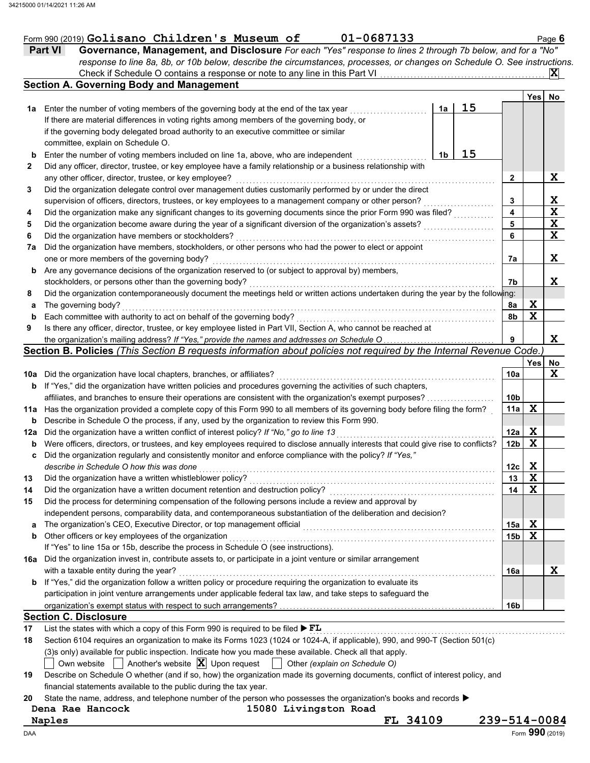|  | Form 990 (2019) $Golisano$ $Children$ 's Museum of |  |  |
|--|----------------------------------------------------|--|--|
|  |                                                    |  |  |

|              | 01-0687133<br>Form 990 (2019) Golisano Children's Museum of                                                                         |    |    |                 |             | Page 6      |
|--------------|-------------------------------------------------------------------------------------------------------------------------------------|----|----|-----------------|-------------|-------------|
|              | Governance, Management, and Disclosure For each "Yes" response to lines 2 through 7b below, and for a "No"<br>Part VI               |    |    |                 |             |             |
|              | response to line 8a, 8b, or 10b below, describe the circumstances, processes, or changes on Schedule O. See instructions.           |    |    |                 |             |             |
|              |                                                                                                                                     |    |    |                 |             | X.          |
|              | <b>Section A. Governing Body and Management</b>                                                                                     |    |    |                 |             |             |
|              |                                                                                                                                     |    |    |                 | Yes         | No          |
| 1a           | Enter the number of voting members of the governing body at the end of the tax year                                                 | 1a | 15 |                 |             |             |
|              | If there are material differences in voting rights among members of the governing body, or                                          |    |    |                 |             |             |
|              | if the governing body delegated broad authority to an executive committee or similar                                                |    |    |                 |             |             |
|              | committee, explain on Schedule O.                                                                                                   |    |    |                 |             |             |
| b            | Enter the number of voting members included on line 1a, above, who are independent                                                  | 1b | 15 |                 |             |             |
| $\mathbf{2}$ | Did any officer, director, trustee, or key employee have a family relationship or a business relationship with                      |    |    |                 |             |             |
|              | any other officer, director, trustee, or key employee?                                                                              |    |    | 2               |             | X           |
| 3            | Did the organization delegate control over management duties customarily performed by or under the direct                           |    |    |                 |             |             |
|              | supervision of officers, directors, trustees, or key employees to a management company or other person?                             |    |    | 3               |             | <u>x</u>    |
| 4            | Did the organization make any significant changes to its governing documents since the prior Form 990 was filed?                    |    |    | 4               |             | $\mathbf X$ |
| 5            | Did the organization become aware during the year of a significant diversion of the organization's assets?                          |    |    | 5               |             | $\mathbf X$ |
| 6            | Did the organization have members or stockholders?                                                                                  |    |    | 6               |             | X           |
| 7a           | Did the organization have members, stockholders, or other persons who had the power to elect or appoint                             |    |    |                 |             |             |
|              | one or more members of the governing body?                                                                                          |    |    | 7а              |             | X           |
| b            | Are any governance decisions of the organization reserved to (or subject to approval by) members,                                   |    |    |                 |             |             |
|              | stockholders, or persons other than the governing body?                                                                             |    |    | 7b              |             | X           |
| 8            | Did the organization contemporaneously document the meetings held or written actions undertaken during the year by the following:   |    |    |                 |             |             |
|              |                                                                                                                                     |    |    |                 | X           |             |
| a            | The governing body?                                                                                                                 |    |    | 8a              | $\mathbf x$ |             |
| b            | Each committee with authority to act on behalf of the governing body?                                                               |    |    | 8b              |             |             |
| 9            | Is there any officer, director, trustee, or key employee listed in Part VII, Section A, who cannot be reached at                    |    |    |                 |             |             |
|              | the organization's mailing address? If "Yes," provide the names and addresses on Schedule O                                         |    |    | 9               |             | X           |
|              | Section B. Policies (This Section B requests information about policies not required by the Internal Revenue Code.                  |    |    |                 |             |             |
|              |                                                                                                                                     |    |    |                 | <b>Yes</b>  | No          |
|              | 10a Did the organization have local chapters, branches, or affiliates?                                                              |    |    | 10a             |             | X           |
|              | <b>b</b> If "Yes," did the organization have written policies and procedures governing the activities of such chapters,             |    |    |                 |             |             |
|              | affiliates, and branches to ensure their operations are consistent with the organization's exempt purposes?                         |    |    | 10b             |             |             |
|              | 11a Has the organization provided a complete copy of this Form 990 to all members of its governing body before filing the form?     |    |    | 11a             | $\mathbf x$ |             |
| b            | Describe in Schedule O the process, if any, used by the organization to review this Form 990.                                       |    |    |                 |             |             |
|              | 12a Did the organization have a written conflict of interest policy? If "No," go to line 13                                         |    |    | 12a             | X           |             |
| b            | Were officers, directors, or trustees, and key employees required to disclose annually interests that could give rise to conflicts? |    |    | 12 <sub>b</sub> | $\mathbf x$ |             |
|              | Did the organization regularly and consistently monitor and enforce compliance with the policy? If "Yes,"                           |    |    |                 |             |             |
|              | describe in Schedule O how this was done                                                                                            |    |    | 12c             | X           |             |
| 13           | Did the organization have a written whistleblower policy?                                                                           |    |    | 13              | X           |             |
| 14           | Did the organization have a written document retention and destruction policy?                                                      |    |    | 14              | X           |             |
| 15           | Did the process for determining compensation of the following persons include a review and approval by                              |    |    |                 |             |             |
|              | independent persons, comparability data, and contemporaneous substantiation of the deliberation and decision?                       |    |    |                 |             |             |
| a            | The organization's CEO, Executive Director, or top management official                                                              |    |    | 15a             | X           |             |
| b            | Other officers or key employees of the organization                                                                                 |    |    | 15b             | X           |             |
|              | If "Yes" to line 15a or 15b, describe the process in Schedule O (see instructions).                                                 |    |    |                 |             |             |
| 16а          | Did the organization invest in, contribute assets to, or participate in a joint venture or similar arrangement                      |    |    |                 |             |             |
|              | with a taxable entity during the year?                                                                                              |    |    | 16a             |             | X           |
| b            | If "Yes," did the organization follow a written policy or procedure requiring the organization to evaluate its                      |    |    |                 |             |             |
|              | participation in joint venture arrangements under applicable federal tax law, and take steps to safeguard the                       |    |    |                 |             |             |
|              |                                                                                                                                     |    |    | 16b             |             |             |
|              | <b>Section C. Disclosure</b>                                                                                                        |    |    |                 |             |             |
|              |                                                                                                                                     |    |    |                 |             |             |
| 17           | List the states with which a copy of this Form 990 is required to be filed $\blacktriangleright$ FL                                 |    |    |                 |             |             |
| 18           | Section 6104 requires an organization to make its Forms 1023 (1024 or 1024-A, if applicable), 990, and 990-T (Section 501(c)        |    |    |                 |             |             |
|              | (3)s only) available for public inspection. Indicate how you made these available. Check all that apply.                            |    |    |                 |             |             |
|              | Another's website $ \mathbf{X} $ Upon request<br>Own website<br>Other (explain on Schedule O)                                       |    |    |                 |             |             |

**19** Describe on Schedule O whether (and if so, how) the organization made its governing documents, conflict of interest policy, and financial statements available to the public during the tax year.

20 State the name, address, and telephone number of the person who possesses the organization's books and records  $\blacktriangleright$ 

**Dena Rae Hancock 15080 Livingston Road**

**Naples FL 34109 239-514-0084**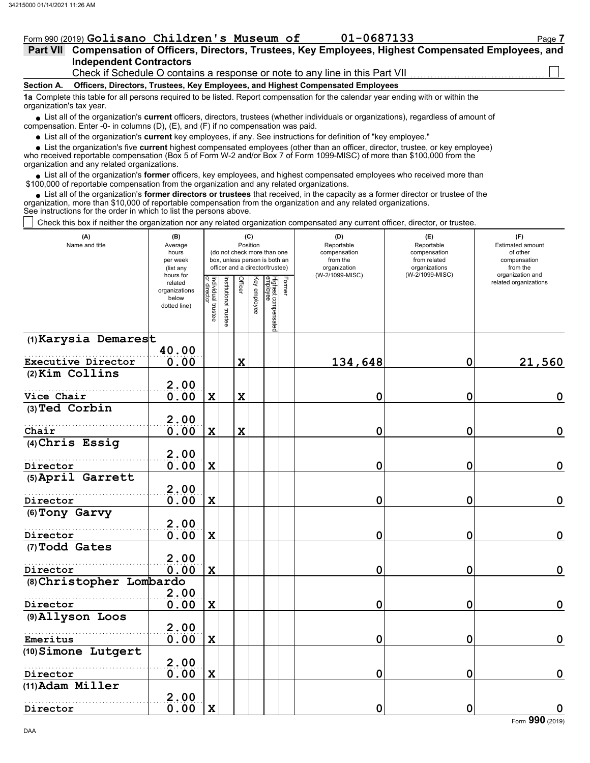DAA

### Form 990 (2019) Golisano Children's Museum of 01-0687133 Page 7

| -06871 |
|--------|
|--------|

|  |                                |  | Part VII Compensation of Officers, Directors, Trustees, Key Employees, Highest Compensated Employees, and |  |  |
|--|--------------------------------|--|-----------------------------------------------------------------------------------------------------------|--|--|
|  | <b>Independent Contractors</b> |  |                                                                                                           |  |  |

Check if Schedule O contains a response or note to any line in this Part VII

### **Section A. Officers, Directors, Trustees, Key Employees, and Highest Compensated Employees**

**1a** Complete this table for all persons required to be listed. Report compensation for the calendar year ending with or within the organization's tax year.

■ List all of the organization's **current** officers, directors, trustees (whether individuals or organizations), regardless of amount of compensation. Enter -0- in columns (D), (E), and (F) if no compensation was paid.

List all of the organization's **current** key employees, if any. See instructions for definition of "key employee."

■ List all of the organization's **current** key employees, if any. See instructions for definition of "key employee."<br>■ List the organization's five **current** highest compensated employees (other than an officer, director,

who received reportable compensation (Box 5 of Form W-2 and/or Box 7 of Form 1099-MISC) of more than \$100,000 from the organization and any related organizations.

• List all of the organization's **former** officers, key employees, and highest compensated employees who received more than<br>00,000 of reportable compensation from the organization and any related organizations. \$100,000 of reportable compensation from the organization and any related organizations.

• List all of the organization's **former directors or trustees** that received, in the capacity as a former director or trustee of the prization and any related organizations organization, more than \$10,000 of reportable compensation from the organization and any related organizations. See instructions for the order in which to list the persons above.

Check this box if neither the organization nor any related organization compensated any current officer, director, or trustee.

| (A)<br>Name and title        | (B)<br>Average<br>hours<br>per week<br>(list any               |                                   |                       | Position    | (C)          | (do not check more than one<br>box, unless person is both an<br>officer and a director/trustee) |        | (D)<br>Reportable<br>compensation<br>from the<br>organization | (E)<br>Reportable<br>compensation<br>from related<br>organizations<br>(W-2/1099-MISC) | (F)<br>Estimated amount<br>of other<br>compensation<br>from the<br>organization and |
|------------------------------|----------------------------------------------------------------|-----------------------------------|-----------------------|-------------|--------------|-------------------------------------------------------------------------------------------------|--------|---------------------------------------------------------------|---------------------------------------------------------------------------------------|-------------------------------------------------------------------------------------|
|                              | hours for<br>related<br>organizations<br>below<br>dotted line) | Individual trustee<br>or director | Institutional trustee | Officer     | Key employee | Highest compensated<br>employee                                                                 | Former | (W-2/1099-MISC)                                               |                                                                                       | related organizations                                                               |
| (1) Karysia Demarest         |                                                                |                                   |                       |             |              |                                                                                                 |        |                                                               |                                                                                       |                                                                                     |
| Executive Director           | 40.00<br>0.00                                                  |                                   |                       |             |              |                                                                                                 |        |                                                               | $\mathbf 0$                                                                           |                                                                                     |
| (2) Kim Collins              |                                                                |                                   |                       | $\mathbf x$ |              |                                                                                                 |        | 134,648                                                       |                                                                                       | 21,560                                                                              |
|                              | 2.00                                                           |                                   |                       |             |              |                                                                                                 |        |                                                               |                                                                                       |                                                                                     |
| Vice Chair                   | 0.00                                                           | $\mathbf x$                       |                       | $\mathbf x$ |              |                                                                                                 |        | 0                                                             | $\mathbf 0$                                                                           | $\mathbf 0$                                                                         |
| (3) Ted Corbin               |                                                                |                                   |                       |             |              |                                                                                                 |        |                                                               |                                                                                       |                                                                                     |
|                              | 2.00                                                           |                                   |                       |             |              |                                                                                                 |        |                                                               |                                                                                       |                                                                                     |
| Chair                        | 0.00                                                           | $\mathbf x$                       |                       | $\mathbf x$ |              |                                                                                                 |        | 0                                                             | 0                                                                                     | $\mathbf 0$                                                                         |
| (4) Chris Essig              |                                                                |                                   |                       |             |              |                                                                                                 |        |                                                               |                                                                                       |                                                                                     |
| Director                     | 2.00<br>0.00                                                   | $\mathbf x$                       |                       |             |              |                                                                                                 |        | 0                                                             | $\mathbf 0$                                                                           | $\mathbf 0$                                                                         |
| (5) April Garrett            |                                                                |                                   |                       |             |              |                                                                                                 |        |                                                               |                                                                                       |                                                                                     |
|                              | 2.00                                                           |                                   |                       |             |              |                                                                                                 |        |                                                               |                                                                                       |                                                                                     |
| Director                     | 0.00                                                           | $\mathbf x$                       |                       |             |              |                                                                                                 |        | 0                                                             | $\mathbf 0$                                                                           | $\mathbf 0$                                                                         |
| (6) Tony Garvy               |                                                                |                                   |                       |             |              |                                                                                                 |        |                                                               |                                                                                       |                                                                                     |
|                              | 2.00                                                           |                                   |                       |             |              |                                                                                                 |        |                                                               |                                                                                       |                                                                                     |
| Director                     | 0.00                                                           | $\mathbf x$                       |                       |             |              |                                                                                                 |        | 0                                                             | $\mathbf 0$                                                                           | $\mathbf 0$                                                                         |
| (7) Todd Gates               |                                                                |                                   |                       |             |              |                                                                                                 |        |                                                               |                                                                                       |                                                                                     |
| Director                     | 2.00<br>0.00                                                   | $\mathbf x$                       |                       |             |              |                                                                                                 |        | 0                                                             | $\mathbf 0$                                                                           | $\mathbf 0$                                                                         |
| (8) Christopher Lombardo     |                                                                |                                   |                       |             |              |                                                                                                 |        |                                                               |                                                                                       |                                                                                     |
|                              | 2.00                                                           |                                   |                       |             |              |                                                                                                 |        |                                                               |                                                                                       |                                                                                     |
| Director                     | 0.00                                                           | $\mathbf x$                       |                       |             |              |                                                                                                 |        | 0                                                             | $\mathbf 0$                                                                           | $\mathbf 0$                                                                         |
| (9) Allyson Loos             |                                                                |                                   |                       |             |              |                                                                                                 |        |                                                               |                                                                                       |                                                                                     |
|                              | 2.00                                                           |                                   |                       |             |              |                                                                                                 |        |                                                               |                                                                                       |                                                                                     |
| Emeritus                     | 0.00                                                           | $\mathbf x$                       |                       |             |              |                                                                                                 |        | 0                                                             | 0                                                                                     | $\mathbf 0$                                                                         |
| (10) Simone Lutgert          |                                                                |                                   |                       |             |              |                                                                                                 |        |                                                               |                                                                                       |                                                                                     |
|                              | 2.00                                                           | $\mathbf x$                       |                       |             |              |                                                                                                 |        | 0                                                             | $\mathbf 0$                                                                           | $\mathbf 0$                                                                         |
| Director<br>(11) Adam Miller | 0.00                                                           |                                   |                       |             |              |                                                                                                 |        |                                                               |                                                                                       |                                                                                     |
|                              | 2.00                                                           |                                   |                       |             |              |                                                                                                 |        |                                                               |                                                                                       |                                                                                     |
| Director                     | 0.00                                                           | $\mathbf x$                       |                       |             |              |                                                                                                 |        | 0                                                             | $\mathbf 0$                                                                           | $\mathbf 0$                                                                         |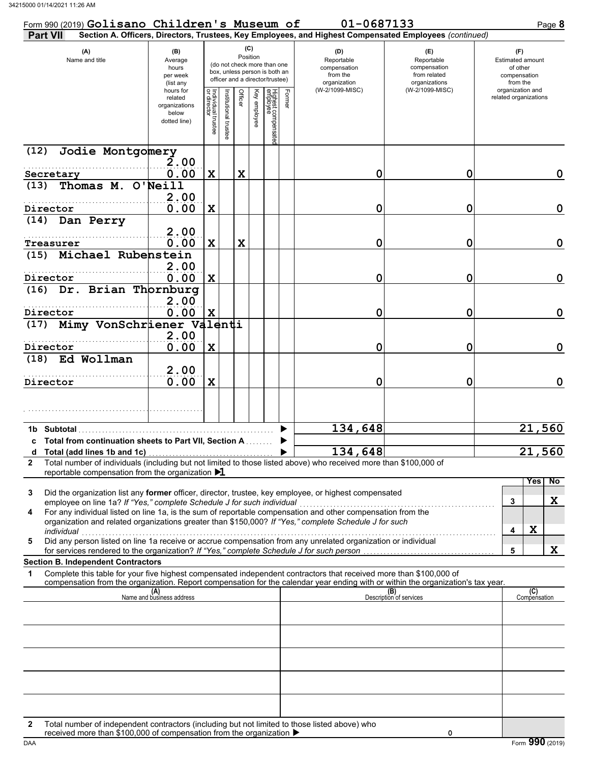| Form 990 (2019) Golisano Children's Museum of                                                                                                                                                                                             |                                                                |                                   |                       |                 |              |                                                                                                 |        | 01-0687133                                                                                             |                                                                    | Page 8                                                          |
|-------------------------------------------------------------------------------------------------------------------------------------------------------------------------------------------------------------------------------------------|----------------------------------------------------------------|-----------------------------------|-----------------------|-----------------|--------------|-------------------------------------------------------------------------------------------------|--------|--------------------------------------------------------------------------------------------------------|--------------------------------------------------------------------|-----------------------------------------------------------------|
| <b>Part VII</b>                                                                                                                                                                                                                           |                                                                |                                   |                       |                 |              |                                                                                                 |        | Section A. Officers, Directors, Trustees, Key Employees, and Highest Compensated Employees (continued) |                                                                    |                                                                 |
| (A)<br>Name and title                                                                                                                                                                                                                     | (B)<br>Average<br>hours<br>per week<br>(list any               |                                   |                       | (C)<br>Position |              | (do not check more than one<br>box, unless person is both an<br>officer and a director/trustee) |        | (D)<br>Reportable<br>compensation<br>from the<br>organization                                          | (E)<br>Reportable<br>compensation<br>from related<br>organizations | (F)<br>Estimated amount<br>of other<br>compensation<br>from the |
|                                                                                                                                                                                                                                           | hours for<br>related<br>organizations<br>below<br>dotted line) | Individual trustee<br>or director | Institutional trustee | Officer         | Key employee | Highest compensate<br>employee                                                                  | Former | (W-2/1099-MISC)                                                                                        | (W-2/1099-MISC)                                                    | organization and<br>related organizations                       |
| Jodie Montgomery<br>(12)                                                                                                                                                                                                                  | 2.00                                                           |                                   |                       |                 |              |                                                                                                 |        |                                                                                                        |                                                                    |                                                                 |
| Secretary<br>Thomas M. O'Neill<br>(13)                                                                                                                                                                                                    | 0.00                                                           | $\mathbf x$                       |                       | $\mathbf x$     |              |                                                                                                 |        | 0                                                                                                      | 0                                                                  | 0                                                               |
|                                                                                                                                                                                                                                           | 2.00                                                           |                                   |                       |                 |              |                                                                                                 |        |                                                                                                        |                                                                    |                                                                 |
| Director                                                                                                                                                                                                                                  | 0.00                                                           | $\mathbf x$                       |                       |                 |              |                                                                                                 |        | 0                                                                                                      | 0                                                                  | $\mathbf 0$                                                     |
| (14) Dan Perry<br>Treasurer                                                                                                                                                                                                               | 2.00<br>0.00                                                   | $\mathbf x$                       |                       | $\mathbf x$     |              |                                                                                                 |        | 0                                                                                                      | 0                                                                  | $\mathbf 0$                                                     |
| (15) Michael Rubenstein                                                                                                                                                                                                                   |                                                                |                                   |                       |                 |              |                                                                                                 |        |                                                                                                        |                                                                    |                                                                 |
|                                                                                                                                                                                                                                           | 2.00                                                           |                                   |                       |                 |              |                                                                                                 |        |                                                                                                        |                                                                    |                                                                 |
| Director<br>(16) Dr. Brian Thornburg                                                                                                                                                                                                      | 0.00                                                           | $\mathbf x$                       |                       |                 |              |                                                                                                 |        | 0                                                                                                      | 0                                                                  | $\mathbf 0$                                                     |
| Director                                                                                                                                                                                                                                  | 2.00<br>0.00                                                   | X                                 |                       |                 |              |                                                                                                 |        | 0                                                                                                      | 0                                                                  | $\mathbf 0$                                                     |
| (17) Mimy VonSchriener Valenti                                                                                                                                                                                                            |                                                                |                                   |                       |                 |              |                                                                                                 |        |                                                                                                        |                                                                    |                                                                 |
| Director                                                                                                                                                                                                                                  | 2.00<br>0.00                                                   | $\mathbf x$                       |                       |                 |              |                                                                                                 |        | 0                                                                                                      | 0                                                                  | $\mathbf 0$                                                     |
| (18) Ed Wollman                                                                                                                                                                                                                           |                                                                |                                   |                       |                 |              |                                                                                                 |        |                                                                                                        |                                                                    |                                                                 |
| Director                                                                                                                                                                                                                                  | 2.00<br>0.00                                                   | $\mathbf X$                       |                       |                 |              |                                                                                                 |        | 0                                                                                                      | 0                                                                  | $\mathbf 0$                                                     |
|                                                                                                                                                                                                                                           |                                                                |                                   |                       |                 |              |                                                                                                 |        |                                                                                                        |                                                                    |                                                                 |
| 1b Subtotal                                                                                                                                                                                                                               |                                                                |                                   |                       |                 |              |                                                                                                 |        | 134,648                                                                                                |                                                                    | 21,560                                                          |
| c Total from continuation sheets to Part VII, Section A                                                                                                                                                                                   |                                                                |                                   |                       |                 |              |                                                                                                 |        |                                                                                                        |                                                                    |                                                                 |
| Total number of individuals (including but not limited to those listed above) who received more than \$100,000 of<br>$\mathbf{2}$                                                                                                         |                                                                |                                   |                       |                 |              |                                                                                                 |        | 134,648                                                                                                |                                                                    | 21,<br>560                                                      |
| reportable compensation from the organization $\blacktriangleright$ 1                                                                                                                                                                     |                                                                |                                   |                       |                 |              |                                                                                                 |        |                                                                                                        |                                                                    |                                                                 |
| Did the organization list any former officer, director, trustee, key employee, or highest compensated<br>3<br>employee on line 1a? If "Yes," complete Schedule J for such individual                                                      |                                                                |                                   |                       |                 |              |                                                                                                 |        |                                                                                                        |                                                                    | No<br>Yes<br>X<br>3                                             |
| For any individual listed on line 1a, is the sum of reportable compensation and other compensation from the<br>4<br>organization and related organizations greater than \$150,000? If "Yes," complete Schedule J for such                 |                                                                |                                   |                       |                 |              |                                                                                                 |        |                                                                                                        |                                                                    |                                                                 |
| individual<br>marviqual contract to the contract of the matter of the component of the contract of the property of the Did any person listed on line 1a receive or accrue compensation from any unrelated organization or individual<br>5 |                                                                |                                   |                       |                 |              |                                                                                                 |        |                                                                                                        |                                                                    | $\mathbf x$<br>4                                                |
| for services rendered to the organization? If "Yes," complete Schedule J for such person                                                                                                                                                  |                                                                |                                   |                       |                 |              |                                                                                                 |        |                                                                                                        |                                                                    | X<br>5                                                          |
| <b>Section B. Independent Contractors</b><br>Complete this table for your five highest compensated independent contractors that received more than \$100,000 of<br>1                                                                      |                                                                |                                   |                       |                 |              |                                                                                                 |        |                                                                                                        |                                                                    |                                                                 |
| compensation from the organization. Report compensation for the calendar year ending with or within the organization's tax year.                                                                                                          | (A)<br>Name and business address                               |                                   |                       |                 |              |                                                                                                 |        |                                                                                                        | (B)<br>Description of services                                     | (C)<br>Compensation                                             |
|                                                                                                                                                                                                                                           |                                                                |                                   |                       |                 |              |                                                                                                 |        |                                                                                                        |                                                                    |                                                                 |
|                                                                                                                                                                                                                                           |                                                                |                                   |                       |                 |              |                                                                                                 |        |                                                                                                        |                                                                    |                                                                 |
|                                                                                                                                                                                                                                           |                                                                |                                   |                       |                 |              |                                                                                                 |        |                                                                                                        |                                                                    |                                                                 |
|                                                                                                                                                                                                                                           |                                                                |                                   |                       |                 |              |                                                                                                 |        |                                                                                                        |                                                                    |                                                                 |
|                                                                                                                                                                                                                                           |                                                                |                                   |                       |                 |              |                                                                                                 |        |                                                                                                        |                                                                    |                                                                 |
| Total number of independent contractors (including but not limited to those listed above) who<br>2<br>received more than \$100,000 of compensation from the organization ▶                                                                |                                                                |                                   |                       |                 |              |                                                                                                 |        |                                                                                                        | 0                                                                  |                                                                 |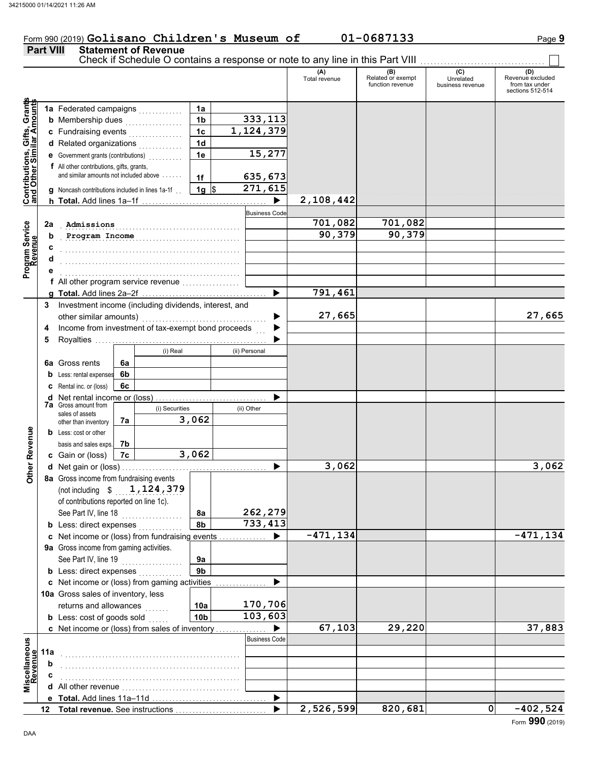### Form 990 (2019) Golisano Children's Museum of 01-0687133 Page 9 **Part VIII Statement of Revenue**

|                                                                  |     |                                                       |    |          |                      |  |                      | Check if Schedule O contains a response or note to any line in this Part VIII |                                              |                                      |                                                               |
|------------------------------------------------------------------|-----|-------------------------------------------------------|----|----------|----------------------|--|----------------------|-------------------------------------------------------------------------------|----------------------------------------------|--------------------------------------|---------------------------------------------------------------|
|                                                                  |     |                                                       |    |          |                      |  |                      | (A)<br>Total revenue                                                          | (B)<br>Related or exempt<br>function revenue | (C)<br>Unrelated<br>business revenue | (D)<br>Revenue excluded<br>from tax under<br>sections 512-514 |
| <b>Contributions, Gifts, Grants</b><br>and Other Similar Amounts |     | 1a Federated campaigns                                |    |          | 1a                   |  |                      |                                                                               |                                              |                                      |                                                               |
|                                                                  |     | <b>b</b> Membership dues                              |    |          | 1 <sub>b</sub>       |  | 333,113              |                                                                               |                                              |                                      |                                                               |
|                                                                  |     | c Fundraising events                                  |    |          | 1 <sub>c</sub>       |  | 1,124,379            |                                                                               |                                              |                                      |                                                               |
|                                                                  |     | d Related organizations                               |    | .        | 1 <sub>d</sub>       |  |                      |                                                                               |                                              |                                      |                                                               |
|                                                                  |     | e Government grants (contributions)                   |    |          | 1e                   |  | 15,277               |                                                                               |                                              |                                      |                                                               |
|                                                                  |     | f All other contributions, gifts, grants,             |    |          |                      |  |                      |                                                                               |                                              |                                      |                                                               |
|                                                                  |     | and similar amounts not included above                |    |          | 1f                   |  | 635,673              |                                                                               |                                              |                                      |                                                               |
|                                                                  |     | g Noncash contributions included in lines 1a-1f       |    |          | $1g$ \$              |  | 271,615              |                                                                               |                                              |                                      |                                                               |
|                                                                  |     |                                                       |    |          |                      |  | ▶                    | 2,108,442                                                                     |                                              |                                      |                                                               |
|                                                                  |     |                                                       |    |          |                      |  | <b>Business Code</b> |                                                                               |                                              |                                      |                                                               |
|                                                                  | 2a  | Admissions                                            |    |          |                      |  |                      | 701,082                                                                       | 701,082                                      |                                      |                                                               |
|                                                                  | b   | Program Income                                        |    |          |                      |  |                      | 90,379                                                                        | 90,379                                       |                                      |                                                               |
| Program Service<br>Revenue                                       | c   |                                                       |    |          |                      |  |                      |                                                                               |                                              |                                      |                                                               |
|                                                                  | d   |                                                       |    |          |                      |  |                      |                                                                               |                                              |                                      |                                                               |
|                                                                  |     |                                                       |    |          |                      |  |                      |                                                                               |                                              |                                      |                                                               |
|                                                                  |     |                                                       |    |          |                      |  |                      |                                                                               |                                              |                                      |                                                               |
|                                                                  |     |                                                       |    |          |                      |  |                      | 791,461                                                                       |                                              |                                      |                                                               |
|                                                                  | 3   | Investment income (including dividends, interest, and |    |          |                      |  |                      |                                                                               |                                              |                                      |                                                               |
|                                                                  |     | other similar amounts)                                |    |          |                      |  |                      | 27,665                                                                        |                                              |                                      | 27,665                                                        |
|                                                                  | 4   | Income from investment of tax-exempt bond proceeds    |    |          |                      |  |                      |                                                                               |                                              |                                      |                                                               |
|                                                                  | 5   |                                                       |    |          |                      |  |                      |                                                                               |                                              |                                      |                                                               |
|                                                                  |     |                                                       |    | (i) Real |                      |  | (ii) Personal        |                                                                               |                                              |                                      |                                                               |
|                                                                  |     | <b>6a</b> Gross rents                                 | 6a |          |                      |  |                      |                                                                               |                                              |                                      |                                                               |
|                                                                  |     | <b>b</b> Less: rental expenses                        | 6b |          |                      |  |                      |                                                                               |                                              |                                      |                                                               |
|                                                                  |     | C Rental inc. or (loss)                               | 6с |          |                      |  |                      |                                                                               |                                              |                                      |                                                               |
|                                                                  |     |                                                       |    |          |                      |  |                      |                                                                               |                                              |                                      |                                                               |
|                                                                  |     | 7a Gross amount from<br>sales of assets               |    |          | (i) Securities       |  | (ii) Other           |                                                                               |                                              |                                      |                                                               |
|                                                                  |     | other than inventory                                  | 7a |          | 3,062                |  |                      |                                                                               |                                              |                                      |                                                               |
| <b>Other Revenue</b>                                             |     | <b>b</b> Less: cost or other                          |    |          |                      |  |                      |                                                                               |                                              |                                      |                                                               |
|                                                                  |     | basis and sales exps.                                 | 7b |          |                      |  |                      |                                                                               |                                              |                                      |                                                               |
|                                                                  |     | c Gain or (loss)                                      | 7c |          | 3,062                |  |                      |                                                                               |                                              |                                      |                                                               |
|                                                                  |     |                                                       |    |          |                      |  |                      | 3,062                                                                         |                                              |                                      | 3,062                                                         |
|                                                                  |     | 8a Gross income from fundraising events               |    |          |                      |  |                      |                                                                               |                                              |                                      |                                                               |
|                                                                  |     | (not including $$1,124,379$                           |    |          |                      |  |                      |                                                                               |                                              |                                      |                                                               |
|                                                                  |     | of contributions reported on line 1c).                |    |          |                      |  |                      |                                                                               |                                              |                                      |                                                               |
|                                                                  |     | See Part IV, line 18                                  |    |          | 8a                   |  | 262,279              |                                                                               |                                              |                                      |                                                               |
|                                                                  |     | <b>b</b> Less: direct expenses                        |    |          | 8b                   |  | 733,413              |                                                                               |                                              |                                      |                                                               |
|                                                                  |     | c Net income or (loss) from fundraising events        |    |          |                      |  |                      | $-471, 134$                                                                   |                                              |                                      | $-471, 134$                                                   |
|                                                                  |     | 9a Gross income from gaming activities.               |    |          |                      |  |                      |                                                                               |                                              |                                      |                                                               |
|                                                                  |     | See Part IV, line 19                                  |    |          | 9a<br>9 <sub>b</sub> |  |                      |                                                                               |                                              |                                      |                                                               |
|                                                                  |     | <b>b</b> Less: direct expenses                        |    |          |                      |  |                      |                                                                               |                                              |                                      |                                                               |
|                                                                  |     | c Net income or (loss) from gaming activities         |    |          |                      |  |                      |                                                                               |                                              |                                      |                                                               |
|                                                                  |     | 10a Gross sales of inventory, less                    |    |          |                      |  | 170,706              |                                                                               |                                              |                                      |                                                               |
|                                                                  |     | returns and allowances                                |    | .        | 10a                  |  | 103,603              |                                                                               |                                              |                                      |                                                               |
|                                                                  |     | <b>b</b> Less: cost of goods sold                     |    |          | 10 <sub>b</sub>      |  | ▶                    | 67,103                                                                        | 29,220                                       |                                      | 37,883                                                        |
|                                                                  |     | c Net income or (loss) from sales of inventory        |    |          |                      |  | <b>Business Code</b> |                                                                               |                                              |                                      |                                                               |
| Miscellaneous<br>Revenue                                         |     |                                                       |    |          |                      |  |                      |                                                                               |                                              |                                      |                                                               |
|                                                                  | 11a |                                                       |    |          |                      |  |                      |                                                                               |                                              |                                      |                                                               |
|                                                                  | b   |                                                       |    |          |                      |  |                      |                                                                               |                                              |                                      |                                                               |
|                                                                  | c   |                                                       |    |          |                      |  |                      |                                                                               |                                              |                                      |                                                               |
|                                                                  |     |                                                       |    |          |                      |  | ▶                    |                                                                               |                                              |                                      |                                                               |
|                                                                  | 12  | Total revenue. See instructions                       |    |          |                      |  |                      | 2,526,599                                                                     | 820,681                                      | 0                                    | $-402,524$                                                    |
|                                                                  |     |                                                       |    |          |                      |  |                      |                                                                               |                                              |                                      |                                                               |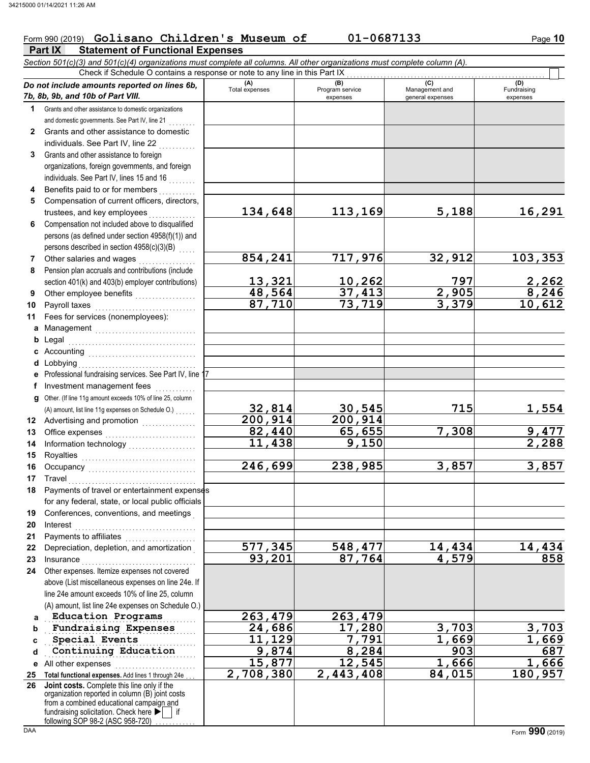### Form 990 (2019) Golisano Children's Museum of 01-0687133 Page 10

|                 | Part IX<br><b>Statement of Functional Expenses</b>                                                                         |                       |                                    |                                           |                                |
|-----------------|----------------------------------------------------------------------------------------------------------------------------|-----------------------|------------------------------------|-------------------------------------------|--------------------------------|
|                 | Section 501(c)(3) and 501(c)(4) organizations must complete all columns. All other organizations must complete column (A). |                       |                                    |                                           |                                |
|                 | Check if Schedule O contains a response or note to any line in this Part IX                                                |                       |                                    |                                           |                                |
|                 | Do not include amounts reported on lines 6b,<br>7b, 8b, 9b, and 10b of Part VIII.                                          | (A)<br>Total expenses | (B)<br>Program service<br>expenses | (C)<br>Management and<br>general expenses | (D)<br>Fundraising<br>expenses |
| 1               | Grants and other assistance to domestic organizations                                                                      |                       |                                    |                                           |                                |
|                 | and domestic governments. See Part IV, line 21                                                                             |                       |                                    |                                           |                                |
| $\mathbf{2}$    | Grants and other assistance to domestic                                                                                    |                       |                                    |                                           |                                |
|                 | individuals. See Part IV, line 22                                                                                          |                       |                                    |                                           |                                |
| 3               | Grants and other assistance to foreign                                                                                     |                       |                                    |                                           |                                |
|                 | organizations, foreign governments, and foreign                                                                            |                       |                                    |                                           |                                |
|                 | individuals. See Part IV, lines 15 and 16                                                                                  |                       |                                    |                                           |                                |
| 4               | Benefits paid to or for members                                                                                            |                       |                                    |                                           |                                |
| 5               | Compensation of current officers, directors,<br>trustees, and key employees                                                | 134,648               | 113,169                            | 5,188                                     | 16,291                         |
| 6               | Compensation not included above to disqualified                                                                            |                       |                                    |                                           |                                |
|                 | persons (as defined under section 4958(f)(1)) and                                                                          |                       |                                    |                                           |                                |
|                 | persons described in section 4958(c)(3)(B)                                                                                 |                       |                                    |                                           |                                |
| 7               | Other salaries and wages                                                                                                   | 854,241               | 717,976                            | 32,912                                    | 103,353                        |
| 8               | Pension plan accruals and contributions (include                                                                           |                       |                                    |                                           |                                |
|                 | section 401(k) and 403(b) employer contributions)                                                                          | 13,321                | 10,262                             | 797                                       |                                |
| 9               | Other employee benefits                                                                                                    | 48,564                | 37,413                             | 2,905                                     | $\frac{2,262}{8,246}$          |
| 10              | Payroll taxes                                                                                                              | 87,710                | 73,719                             | 3,379                                     | 10,612                         |
| 11              | Fees for services (nonemployees):                                                                                          |                       |                                    |                                           |                                |
|                 | a Management                                                                                                               |                       |                                    |                                           |                                |
| b               | Legal                                                                                                                      |                       |                                    |                                           |                                |
|                 |                                                                                                                            |                       |                                    |                                           |                                |
| d               | Lobbying                                                                                                                   |                       |                                    |                                           |                                |
|                 | Professional fundraising services. See Part IV, line 1                                                                     |                       |                                    |                                           |                                |
| f               | Investment management fees                                                                                                 |                       |                                    |                                           |                                |
| g               | Other. (If line 11g amount exceeds 10% of line 25, column                                                                  |                       |                                    |                                           |                                |
|                 | (A) amount, list line 11g expenses on Schedule O.)                                                                         | 32,814                | 30,545                             | 715                                       | 1,554                          |
| 12              | Advertising and promotion<br>                                                                                              | 200, 914              | 200, 914                           |                                           |                                |
| 13              |                                                                                                                            | 82,440                | 65,655                             | 7,308                                     | 9,477                          |
| 14              |                                                                                                                            | 11,438                | 9,150                              |                                           | 2,288                          |
| 15              | Royalties                                                                                                                  |                       |                                    |                                           |                                |
| 16              |                                                                                                                            | 246, 699              | 238,985                            | 3,857                                     | 3,857                          |
| 17 <sub>1</sub> | Travel                                                                                                                     |                       |                                    |                                           |                                |
| 18              | Payments of travel or entertainment expenses                                                                               |                       |                                    |                                           |                                |
|                 | for any federal, state, or local public officials                                                                          |                       |                                    |                                           |                                |
| 19              | Conferences, conventions, and meetings                                                                                     |                       |                                    |                                           |                                |
| 20              | Interest                                                                                                                   |                       |                                    |                                           |                                |
| 21              | Payments to affiliates                                                                                                     |                       |                                    |                                           |                                |
| 22              | Depreciation, depletion, and amortization                                                                                  | 577,345               | 548,477                            | 14,434                                    | 14,434                         |
| 23              | Insurance                                                                                                                  | 93,201                | 87,764                             | 4,579                                     | 858                            |
| 24              | Other expenses. Itemize expenses not covered                                                                               |                       |                                    |                                           |                                |
|                 | above (List miscellaneous expenses on line 24e. If                                                                         |                       |                                    |                                           |                                |
|                 | line 24e amount exceeds 10% of line 25, column                                                                             |                       |                                    |                                           |                                |
|                 | (A) amount, list line 24e expenses on Schedule O.)                                                                         |                       |                                    |                                           |                                |
| a               | <b>Education Programs</b><br>Fundraising Expenses                                                                          | 263,479<br>24,686     | 263,479<br>17,280                  | 3,703                                     | 3,703                          |
| b               | Special Events                                                                                                             | 11,129                | 7,791                              | 1,669                                     |                                |
| C               | Continuing Education                                                                                                       | 9,874                 | 8,284                              | 903                                       | 1,669<br>687                   |
| d               | All other expenses                                                                                                         | 15,877                | 12,545                             | 1,666                                     | 1,666                          |
| е               |                                                                                                                            | 2,708,380             | 2,443,408                          | 84,015                                    | 180,957                        |
| 25<br>26        | Total functional expenses. Add lines 1 through 24e<br>Joint costs. Complete this line only if the                          |                       |                                    |                                           |                                |
|                 | organization reported in column (B) joint costs                                                                            |                       |                                    |                                           |                                |
|                 | from a combined educational campaign and<br>fundraising solicitation. Check here $\blacktriangleright$<br>if               |                       |                                    |                                           |                                |

following SOP 98-2 (ASC 958-720) . . . . . . . . . .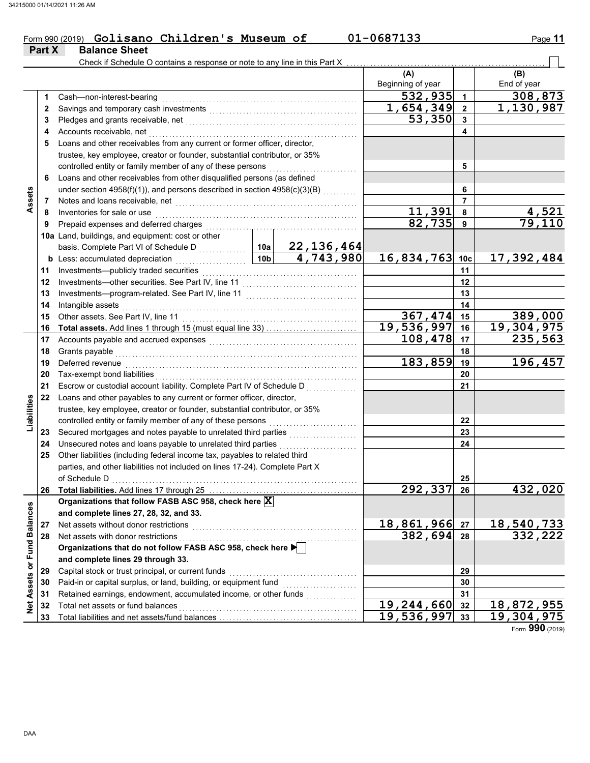### Form 990 (2019) **Golisano Children's Museum of 01-0687133** Page **11 Golisano Children's Museum of 01-0687133**

|                             | Part X   | <b>Balance Sheet</b>                                                                                                                                                                                                                      |                                                                            |                           |                   |                      |                        |  |  |  |
|-----------------------------|----------|-------------------------------------------------------------------------------------------------------------------------------------------------------------------------------------------------------------------------------------------|----------------------------------------------------------------------------|---------------------------|-------------------|----------------------|------------------------|--|--|--|
|                             |          | Check if Schedule O contains a response or note to any line in this Part X                                                                                                                                                                |                                                                            |                           |                   |                      |                        |  |  |  |
|                             |          |                                                                                                                                                                                                                                           |                                                                            |                           | (A)               |                      | (B)                    |  |  |  |
|                             |          |                                                                                                                                                                                                                                           |                                                                            |                           | Beginning of year |                      | End of year            |  |  |  |
|                             | 1        | Cash-non-interest-bearing                                                                                                                                                                                                                 |                                                                            |                           | 532,935           | $\blacktriangleleft$ | 308,873                |  |  |  |
|                             | 2        |                                                                                                                                                                                                                                           |                                                                            |                           | 1,654,349         | $\overline{2}$       | 1,130,987              |  |  |  |
|                             | 3        |                                                                                                                                                                                                                                           |                                                                            |                           | 53,350            | 3                    |                        |  |  |  |
|                             | 4        | Accounts receivable, net                                                                                                                                                                                                                  |                                                                            |                           |                   | 4                    |                        |  |  |  |
|                             | 5        | Loans and other receivables from any current or former officer, director,                                                                                                                                                                 |                                                                            |                           |                   |                      |                        |  |  |  |
|                             |          |                                                                                                                                                                                                                                           | trustee, key employee, creator or founder, substantial contributor, or 35% |                           |                   |                      |                        |  |  |  |
|                             |          | controlled entity or family member of any of these persons                                                                                                                                                                                |                                                                            | 5                         |                   |                      |                        |  |  |  |
|                             | 6        | Loans and other receivables from other disqualified persons (as defined                                                                                                                                                                   |                                                                            |                           |                   |                      |                        |  |  |  |
|                             |          | under section 4958(f)(1)), and persons described in section 4958(c)(3)(B)                                                                                                                                                                 |                                                                            |                           |                   | 6<br>$\overline{7}$  |                        |  |  |  |
| Assets                      | 7        | Notes and loans receivable, net <b>contained</b> and <b>contained a set of the set of the set of the set of the set of the set of the set of the set of the set of the set of the set of the set of the set of the set of the set of </b> |                                                                            |                           | 11,391            | 8                    |                        |  |  |  |
|                             | 8        | Inventories for sale or use                                                                                                                                                                                                               |                                                                            |                           | 82,735            | 9                    | $\frac{4,521}{79,110}$ |  |  |  |
|                             | 9        | Prepaid expenses and deferred charges                                                                                                                                                                                                     |                                                                            |                           |                   |                      |                        |  |  |  |
|                             |          | 10a Land, buildings, and equipment: cost or other                                                                                                                                                                                         | 10a                                                                        |                           |                   |                      |                        |  |  |  |
|                             |          | basis. Complete Part VI of Schedule D                                                                                                                                                                                                     | 10 <sub>b</sub>                                                            | 22, 136, 464<br>4,743,980 | 16,834,763 10c    |                      | 17,392,484             |  |  |  |
|                             |          | <b>b</b> Less: accumulated depreciation<br>.<br>Investments-publicly traded securities                                                                                                                                                    |                                                                            |                           |                   | 11                   |                        |  |  |  |
|                             | 11<br>12 |                                                                                                                                                                                                                                           |                                                                            |                           |                   | 12                   |                        |  |  |  |
|                             | 13       |                                                                                                                                                                                                                                           |                                                                            |                           |                   | 13                   |                        |  |  |  |
|                             | 14       | Intangible assets                                                                                                                                                                                                                         |                                                                            |                           |                   | 14                   |                        |  |  |  |
|                             | 15       | Other assets. See Part IV, line 11                                                                                                                                                                                                        |                                                                            |                           | 367,474           | 15                   | 389,000                |  |  |  |
|                             | 16       |                                                                                                                                                                                                                                           |                                                                            |                           | 19,536,997        | 16                   | 19,304,975             |  |  |  |
|                             | 17       |                                                                                                                                                                                                                                           |                                                                            |                           | 108,478           | 17                   | 235,563                |  |  |  |
|                             | 18       | Grants payable                                                                                                                                                                                                                            |                                                                            |                           |                   | 18                   |                        |  |  |  |
|                             | 19       | Deferred revenue                                                                                                                                                                                                                          |                                                                            |                           | 183,859           | 19                   | 196,457                |  |  |  |
|                             | 20       | Tax-exempt bond liabilities                                                                                                                                                                                                               |                                                                            |                           |                   | 20                   |                        |  |  |  |
|                             | 21       | Escrow or custodial account liability. Complete Part IV of Schedule D                                                                                                                                                                     |                                                                            |                           |                   | 21                   |                        |  |  |  |
|                             | 22       | Loans and other payables to any current or former officer, director,                                                                                                                                                                      |                                                                            |                           |                   |                      |                        |  |  |  |
| Liabilities                 |          | trustee, key employee, creator or founder, substantial contributor, or 35%                                                                                                                                                                |                                                                            |                           |                   |                      |                        |  |  |  |
|                             |          | controlled entity or family member of any of these persons                                                                                                                                                                                |                                                                            |                           |                   | 22                   |                        |  |  |  |
|                             | 23       | Secured mortgages and notes payable to unrelated third parties                                                                                                                                                                            |                                                                            |                           |                   | 23                   |                        |  |  |  |
|                             | 24       | Unsecured notes and loans payable to unrelated third parties                                                                                                                                                                              |                                                                            | .                         |                   | 24                   |                        |  |  |  |
|                             | 25       | Other liabilities (including federal income tax, payables to related third                                                                                                                                                                |                                                                            |                           |                   |                      |                        |  |  |  |
|                             |          | parties, and other liabilities not included on lines 17-24). Complete Part X                                                                                                                                                              |                                                                            |                           |                   |                      |                        |  |  |  |
|                             |          | of Schedule D                                                                                                                                                                                                                             |                                                                            |                           |                   | 25                   |                        |  |  |  |
|                             | 26       |                                                                                                                                                                                                                                           |                                                                            |                           | 292,337           | 26                   | 432,020                |  |  |  |
|                             |          | Organizations that follow FASB ASC 958, check here X                                                                                                                                                                                      |                                                                            |                           |                   |                      |                        |  |  |  |
|                             |          | and complete lines 27, 28, 32, and 33.                                                                                                                                                                                                    |                                                                            |                           |                   |                      |                        |  |  |  |
|                             | 27       | Net assets without donor restrictions                                                                                                                                                                                                     |                                                                            |                           | 18,861,966        | 27                   | 18,540,733             |  |  |  |
|                             | 28       | Net assets with donor restrictions                                                                                                                                                                                                        |                                                                            |                           | 382,694           | 28                   | 332,222                |  |  |  |
|                             |          | Organizations that do not follow FASB ASC 958, check here ▶                                                                                                                                                                               |                                                                            |                           |                   |                      |                        |  |  |  |
|                             |          | and complete lines 29 through 33.                                                                                                                                                                                                         |                                                                            |                           |                   |                      |                        |  |  |  |
| Net Assets or Fund Balances | 29       | Capital stock or trust principal, or current funds                                                                                                                                                                                        |                                                                            |                           |                   | 29                   |                        |  |  |  |
|                             | 30       | Paid-in or capital surplus, or land, building, or equipment fund                                                                                                                                                                          |                                                                            |                           |                   | 30                   |                        |  |  |  |
|                             | 31       | Retained earnings, endowment, accumulated income, or other funds                                                                                                                                                                          |                                                                            |                           |                   | 31                   |                        |  |  |  |
|                             | 32       | Total net assets or fund balances                                                                                                                                                                                                         |                                                                            |                           | 19, 244, 660      | 32                   | 18,872,955             |  |  |  |
|                             | 33       |                                                                                                                                                                                                                                           |                                                                            |                           | 19,536,997        | 33                   | 19, 304, 975           |  |  |  |

Form **990** (2019)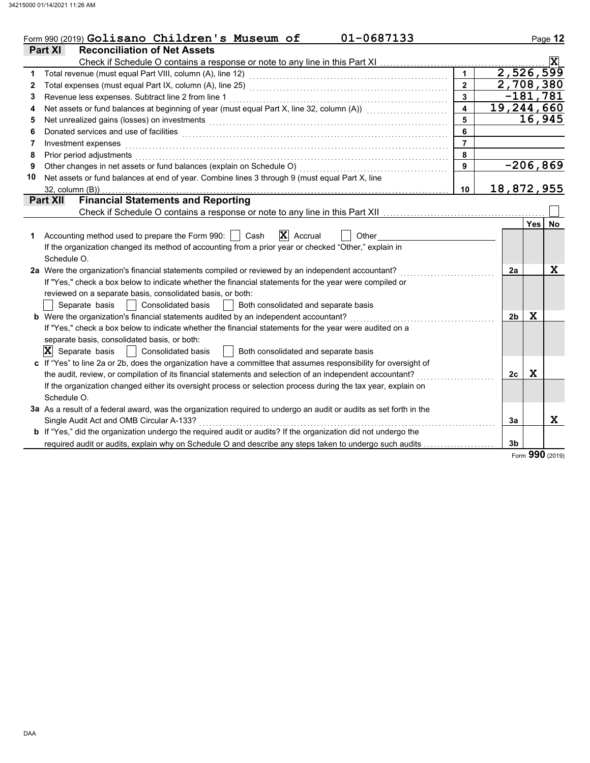|    | 01-0687133<br>Form 990 (2019) Golisano Children's Museum of                                                                                                                                                                    |                         |                |             | Page 12                 |
|----|--------------------------------------------------------------------------------------------------------------------------------------------------------------------------------------------------------------------------------|-------------------------|----------------|-------------|-------------------------|
|    | Part XI<br><b>Reconciliation of Net Assets</b>                                                                                                                                                                                 |                         |                |             |                         |
|    |                                                                                                                                                                                                                                |                         |                |             | $\overline{\mathbf{x}}$ |
| 1  |                                                                                                                                                                                                                                | $\mathbf 1$             | 2,526,599      |             |                         |
| 2  |                                                                                                                                                                                                                                | $\overline{2}$          | 2,708,380      |             |                         |
| 3  | Revenue less expenses. Subtract line 2 from line 1                                                                                                                                                                             | $\overline{3}$          |                | $-181,781$  |                         |
| 4  | Net assets or fund balances at beginning of year (must equal Part X, line 32, column (A)) [[[[[[[[[[[[[[[[[[[                                                                                                                  | $\overline{\mathbf{4}}$ | 19,244,660     |             |                         |
| 5  | Net unrealized gains (losses) on investments [11] production contracts and all the set of the set of the set of the set of the set of the set of the set of the set of the set of the set of the set of the set of the set of  | 5                       |                |             | 16,945                  |
| 6  | Donated services and use of facilities <b>constructs</b> and the service of the service of the services and use of facilities                                                                                                  | 6                       |                |             |                         |
| 7  | Investment expenses                                                                                                                                                                                                            | $\overline{7}$          |                |             |                         |
| 8  | Prior period adjustments entertainments and a series of the series of the series of the series of the series of the series of the series of the series of the series of the series of the series of the series of the series o | 8                       |                |             |                         |
| 9  |                                                                                                                                                                                                                                | 9                       |                |             | $-206,869$              |
| 10 | Net assets or fund balances at end of year. Combine lines 3 through 9 (must equal Part X, line                                                                                                                                 |                         |                |             |                         |
|    | $32$ , column $(B)$ )                                                                                                                                                                                                          | 10                      | 18,872,955     |             |                         |
|    | <b>Financial Statements and Reporting</b><br><b>Part XII</b>                                                                                                                                                                   |                         |                |             |                         |
|    |                                                                                                                                                                                                                                |                         |                |             |                         |
|    |                                                                                                                                                                                                                                |                         |                | Yes         | No                      |
| 1  | $ \mathbf{X} $ Accrual<br>Accounting method used to prepare the Form 990:     Cash<br>Other                                                                                                                                    |                         |                |             |                         |
|    | If the organization changed its method of accounting from a prior year or checked "Other," explain in                                                                                                                          |                         |                |             |                         |
|    | Schedule O.                                                                                                                                                                                                                    |                         |                |             |                         |
|    | 2a Were the organization's financial statements compiled or reviewed by an independent accountant?                                                                                                                             |                         | 2a             |             | X                       |
|    | If "Yes," check a box below to indicate whether the financial statements for the year were compiled or                                                                                                                         |                         |                |             |                         |
|    | reviewed on a separate basis, consolidated basis, or both:                                                                                                                                                                     |                         |                |             |                         |
|    | Both consolidated and separate basis<br>Separate basis<br>Consolidated basis                                                                                                                                                   |                         |                |             |                         |
|    | b Were the organization's financial statements audited by an independent accountant?                                                                                                                                           |                         | 2 <sub>b</sub> | X           |                         |
|    | If "Yes," check a box below to indicate whether the financial statements for the year were audited on a                                                                                                                        |                         |                |             |                         |
|    | separate basis, consolidated basis, or both:                                                                                                                                                                                   |                         |                |             |                         |
|    | $ \mathbf{X} $ Separate basis<br><b>Consolidated basis</b><br>  Both consolidated and separate basis                                                                                                                           |                         |                |             |                         |
|    | c If "Yes" to line 2a or 2b, does the organization have a committee that assumes responsibility for oversight of                                                                                                               |                         |                |             |                         |
|    | the audit, review, or compilation of its financial statements and selection of an independent accountant?                                                                                                                      |                         | 2c             | $\mathbf x$ |                         |
|    | If the organization changed either its oversight process or selection process during the tax year, explain on                                                                                                                  |                         |                |             |                         |
|    | Schedule O.                                                                                                                                                                                                                    |                         |                |             |                         |
|    | 3a As a result of a federal award, was the organization required to undergo an audit or audits as set forth in the                                                                                                             |                         |                |             |                         |
|    | Single Audit Act and OMB Circular A-133?                                                                                                                                                                                       |                         | 3a             |             | X                       |
|    | <b>b</b> If "Yes," did the organization undergo the required audit or audits? If the organization did not undergo the                                                                                                          |                         |                |             |                         |
|    | required audit or audits, explain why on Schedule O and describe any steps taken to undergo such audits                                                                                                                        |                         | 3 <sub>b</sub> | <b>000</b>  |                         |

Form **990** (2019)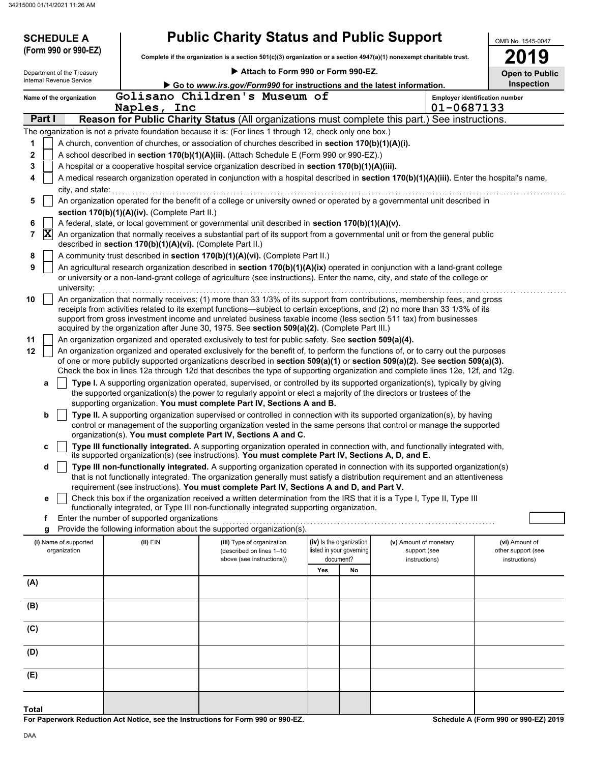| <b>SCHEDULE A</b>          |                                                            | <b>Public Charity Status and Public Support</b>                                                                                                                                                                                                                 |                          |    |                        | OMB No. 1545-0047                     |
|----------------------------|------------------------------------------------------------|-----------------------------------------------------------------------------------------------------------------------------------------------------------------------------------------------------------------------------------------------------------------|--------------------------|----|------------------------|---------------------------------------|
| (Form 990 or 990-EZ)       |                                                            | Complete if the organization is a section 501(c)(3) organization or a section 4947(a)(1) nonexempt charitable trust.                                                                                                                                            |                          |    |                        | 2019                                  |
| Department of the Treasury |                                                            | Attach to Form 990 or Form 990-EZ.                                                                                                                                                                                                                              |                          |    |                        | <b>Open to Public</b>                 |
| Internal Revenue Service   |                                                            | Go to www.irs.gov/Form990 for instructions and the latest information.                                                                                                                                                                                          |                          |    |                        | Inspection                            |
| Name of the organization   |                                                            | Golisano Children's Museum of                                                                                                                                                                                                                                   |                          |    |                        | <b>Employer identification number</b> |
|                            | Naples, Inc                                                |                                                                                                                                                                                                                                                                 |                          |    | 01-0687133             |                                       |
| Part I                     |                                                            | Reason for Public Charity Status (All organizations must complete this part.) See instructions.                                                                                                                                                                 |                          |    |                        |                                       |
|                            |                                                            | The organization is not a private foundation because it is: (For lines 1 through 12, check only one box.)                                                                                                                                                       |                          |    |                        |                                       |
|                            |                                                            | A church, convention of churches, or association of churches described in section 170(b)(1)(A)(i).                                                                                                                                                              |                          |    |                        |                                       |
| 2<br>3                     |                                                            | A school described in section 170(b)(1)(A)(ii). (Attach Schedule E (Form 990 or 990-EZ).)<br>A hospital or a cooperative hospital service organization described in section 170(b)(1)(A)(iii).                                                                  |                          |    |                        |                                       |
| 4                          |                                                            | A medical research organization operated in conjunction with a hospital described in section 170(b)(1)(A)(iii). Enter the hospital's name,                                                                                                                      |                          |    |                        |                                       |
| city, and state:           |                                                            |                                                                                                                                                                                                                                                                 |                          |    |                        |                                       |
| 5                          |                                                            | An organization operated for the benefit of a college or university owned or operated by a governmental unit described in                                                                                                                                       |                          |    |                        |                                       |
|                            | section 170(b)(1)(A)(iv). (Complete Part II.)              |                                                                                                                                                                                                                                                                 |                          |    |                        |                                       |
| 6                          |                                                            | A federal, state, or local government or governmental unit described in section 170(b)(1)(A)(v).                                                                                                                                                                |                          |    |                        |                                       |
| $ \mathbf{x} $<br>7        | described in section 170(b)(1)(A)(vi). (Complete Part II.) | An organization that normally receives a substantial part of its support from a governmental unit or from the general public                                                                                                                                    |                          |    |                        |                                       |
| 8                          |                                                            | A community trust described in section 170(b)(1)(A)(vi). (Complete Part II.)                                                                                                                                                                                    |                          |    |                        |                                       |
| 9<br>university:           |                                                            | An agricultural research organization described in section 170(b)(1)(A)(ix) operated in conjunction with a land-grant college<br>or university or a non-land-grant college of agriculture (see instructions). Enter the name, city, and state of the college or |                          |    |                        |                                       |
| 10                         |                                                            | An organization that normally receives: (1) more than 33 1/3% of its support from contributions, membership fees, and gross<br>receipts from activities related to its exempt functions—subject to certain exceptions, and (2) no more than 33 1/3% of its      |                          |    |                        |                                       |
|                            |                                                            | support from gross investment income and unrelated business taxable income (less section 511 tax) from businesses<br>acquired by the organization after June 30, 1975. See section 509(a)(2). (Complete Part III.)                                              |                          |    |                        |                                       |
| 11                         |                                                            | An organization organized and operated exclusively to test for public safety. See section 509(a)(4).                                                                                                                                                            |                          |    |                        |                                       |
| 12                         |                                                            | An organization organized and operated exclusively for the benefit of, to perform the functions of, or to carry out the purposes                                                                                                                                |                          |    |                        |                                       |
|                            |                                                            | of one or more publicly supported organizations described in section 509(a)(1) or section 509(a)(2). See section 509(a)(3).<br>Check the box in lines 12a through 12d that describes the type of supporting organization and complete lines 12e, 12f, and 12g.  |                          |    |                        |                                       |
| a                          |                                                            | Type I. A supporting organization operated, supervised, or controlled by its supported organization(s), typically by giving                                                                                                                                     |                          |    |                        |                                       |
|                            |                                                            | the supported organization(s) the power to regularly appoint or elect a majority of the directors or trustees of the<br>supporting organization. You must complete Part IV, Sections A and B.                                                                   |                          |    |                        |                                       |
| b                          |                                                            | Type II. A supporting organization supervised or controlled in connection with its supported organization(s), by having                                                                                                                                         |                          |    |                        |                                       |
|                            |                                                            | control or management of the supporting organization vested in the same persons that control or manage the supported<br>organization(s). You must complete Part IV, Sections A and C.                                                                           |                          |    |                        |                                       |
| c                          |                                                            | Type III functionally integrated. A supporting organization operated in connection with, and functionally integrated with,                                                                                                                                      |                          |    |                        |                                       |
| d                          |                                                            | its supported organization(s) (see instructions). You must complete Part IV, Sections A, D, and E.<br>Type III non-functionally integrated. A supporting organization operated in connection with its supported organization(s)                                 |                          |    |                        |                                       |
|                            |                                                            | that is not functionally integrated. The organization generally must satisfy a distribution requirement and an attentiveness                                                                                                                                    |                          |    |                        |                                       |
|                            |                                                            | requirement (see instructions). You must complete Part IV, Sections A and D, and Part V.                                                                                                                                                                        |                          |    |                        |                                       |
| е                          |                                                            | Check this box if the organization received a written determination from the IRS that it is a Type I, Type II, Type III<br>functionally integrated, or Type III non-functionally integrated supporting organization.                                            |                          |    |                        |                                       |
| f                          | Enter the number of supported organizations                | Provide the following information about the supported organization(s).                                                                                                                                                                                          |                          |    |                        |                                       |
| g<br>(i) Name of supported | $(ii)$ EIN                                                 | (iii) Type of organization                                                                                                                                                                                                                                      | (iv) Is the organization |    | (v) Amount of monetary | (vi) Amount of                        |
| organization               |                                                            | (described on lines 1-10                                                                                                                                                                                                                                        | listed in your governing |    | support (see           | other support (see                    |
|                            |                                                            | above (see instructions))                                                                                                                                                                                                                                       | document?                |    | instructions)          | instructions)                         |
| (A)                        |                                                            |                                                                                                                                                                                                                                                                 | Yes                      | No |                        |                                       |
|                            |                                                            |                                                                                                                                                                                                                                                                 |                          |    |                        |                                       |
| (B)                        |                                                            |                                                                                                                                                                                                                                                                 |                          |    |                        |                                       |
| (C)                        |                                                            |                                                                                                                                                                                                                                                                 |                          |    |                        |                                       |
| (D)                        |                                                            |                                                                                                                                                                                                                                                                 |                          |    |                        |                                       |
| (E)                        |                                                            |                                                                                                                                                                                                                                                                 |                          |    |                        |                                       |
|                            |                                                            |                                                                                                                                                                                                                                                                 |                          |    |                        |                                       |
| Total                      |                                                            |                                                                                                                                                                                                                                                                 |                          |    |                        |                                       |

**For Paperwork Reduction Act Notice, see the Instructions for Form 990 or 990-EZ.**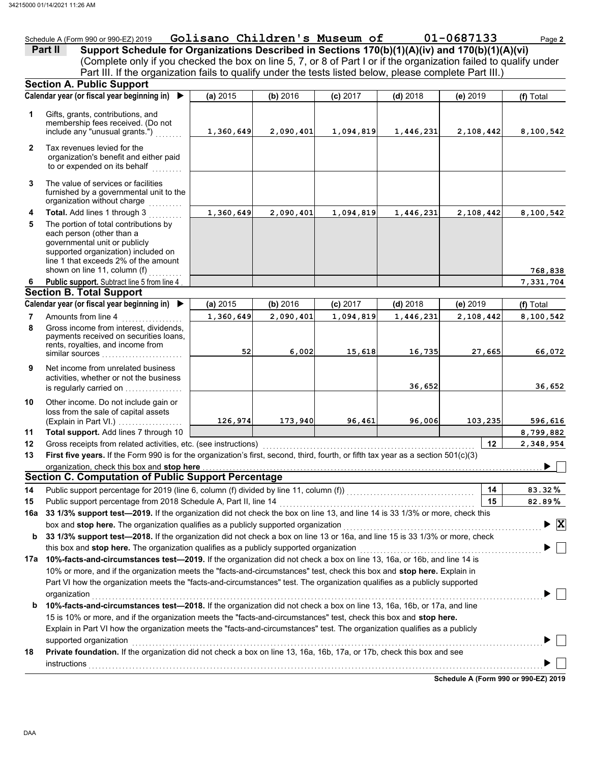|         | Schedule A (Form 990 or 990-EZ) 2019 | Golisano Children's Museum of |  | 01-0687133                                                                                     | Page 2 |
|---------|--------------------------------------|-------------------------------|--|------------------------------------------------------------------------------------------------|--------|
| Part II |                                      |                               |  | Support Schedule for Organizations Described in Sections 170(b)(1)(A)(iv) and 170(b)(1)(A)(vi) |        |

(Complete only if you checked the box on line 5, 7, or 8 of Part I or if the organization failed to qualify under Part III. If the organization fails to qualify under the tests listed below, please complete Part III.)

|              | Calendar year (or fiscal year beginning in)                                                                                                                                        | (a) 2015  | (b) 2016  |            |            |           |                         |
|--------------|------------------------------------------------------------------------------------------------------------------------------------------------------------------------------------|-----------|-----------|------------|------------|-----------|-------------------------|
|              |                                                                                                                                                                                    |           |           | $(c)$ 2017 | $(d)$ 2018 | (e) 2019  | (f) Total               |
| 1            | Gifts, grants, contributions, and<br>membership fees received. (Do not<br>include any "unusual grants.")                                                                           | 1,360,649 | 2,090,401 | 1,094,819  | 1,446,231  | 2,108,442 | 8,100,542               |
| $\mathbf{2}$ | Tax revenues levied for the<br>organization's benefit and either paid<br>to or expended on its behalf                                                                              |           |           |            |            |           |                         |
| 3            | The value of services or facilities<br>furnished by a governmental unit to the<br>organization without charge                                                                      |           |           |            |            |           |                         |
| 4            | Total. Add lines 1 through 3                                                                                                                                                       | 1,360,649 | 2,090,401 | 1,094,819  | 1,446,231  | 2,108,442 | 8,100,542               |
| 5            | The portion of total contributions by<br>each person (other than a<br>governmental unit or publicly<br>supported organization) included on<br>line 1 that exceeds 2% of the amount |           |           |            |            |           |                         |
|              | shown on line 11, column (f)<br>Public support. Subtract line 5 from line 4                                                                                                        |           |           |            |            |           | 768,838                 |
| 6            | <b>Section B. Total Support</b>                                                                                                                                                    |           |           |            |            |           | 7,331,704               |
|              | Calendar year (or fiscal year beginning in) ▶                                                                                                                                      | (a) 2015  | (b) 2016  | (c) 2017   | $(d)$ 2018 | (e) 2019  | (f) Total               |
| 7            | Amounts from line 4                                                                                                                                                                | 1,360,649 | 2,090,401 | 1,094,819  | 1,446,231  | 2,108,442 | 8,100,542               |
| 8            | Gross income from interest, dividends,<br>payments received on securities loans,<br>rents, royalties, and income from<br>similar sources                                           | 52        | 6,002     | 15,618     | 16,735     | 27,665    | 66,072                  |
| 9            | Net income from unrelated business<br>activities, whether or not the business<br>is regularly carried on                                                                           |           |           |            | 36,652     |           | 36,652                  |
| 10           | Other income. Do not include gain or<br>loss from the sale of capital assets<br>(Explain in Part VI.)                                                                              | 126,974   | 173,940   | 96,461     | 96,006     | 103,235   | 596,616                 |
| 11           | Total support. Add lines 7 through 10                                                                                                                                              |           |           |            |            |           | 8,799,882               |
| 12           | Gross receipts from related activities, etc. (see instructions)                                                                                                                    |           |           |            |            | 12        | 2,348,954               |
| 13           | First five years. If the Form 990 is for the organization's first, second, third, fourth, or fifth tax year as a section 501(c)(3)                                                 |           |           |            |            |           |                         |
|              | organization, check this box and stop here                                                                                                                                         |           |           |            |            |           |                         |
|              | <b>Section C. Computation of Public Support Percentage</b>                                                                                                                         |           |           |            |            |           |                         |
| 14           |                                                                                                                                                                                    |           |           |            |            | 14        | 83.32%                  |
| 15           | Public support percentage from 2018 Schedule A, Part II, line 14                                                                                                                   |           |           |            |            | 15        | 82.89%                  |
|              | 16a 33 1/3% support test-2019. If the organization did not check the box on line 13, and line 14 is 33 1/3% or more, check this                                                    |           |           |            |            |           |                         |
|              | box and stop here. The organization qualifies as a publicly supported organization                                                                                                 |           |           |            |            |           | $\overline{\mathbf{x}}$ |
| b            | 33 1/3% support test-2018. If the organization did not check a box on line 13 or 16a, and line 15 is 33 1/3% or more, check                                                        |           |           |            |            |           |                         |
|              | this box and stop here. The organization qualifies as a publicly supported organization                                                                                            |           |           |            |            |           |                         |
| 17a          | 10%-facts-and-circumstances test-2019. If the organization did not check a box on line 13, 16a, or 16b, and line 14 is                                                             |           |           |            |            |           |                         |
|              | 10% or more, and if the organization meets the "facts-and-circumstances" test, check this box and stop here. Explain in                                                            |           |           |            |            |           |                         |
|              | Part VI how the organization meets the "facts-and-circumstances" test. The organization qualifies as a publicly supported                                                          |           |           |            |            |           |                         |
|              | organization                                                                                                                                                                       |           |           |            |            |           |                         |
| b            | 10%-facts-and-circumstances test-2018. If the organization did not check a box on line 13, 16a, 16b, or 17a, and line                                                              |           |           |            |            |           |                         |
|              | 15 is 10% or more, and if the organization meets the "facts-and-circumstances" test, check this box and stop here.                                                                 |           |           |            |            |           |                         |
|              | Explain in Part VI how the organization meets the "facts-and-circumstances" test. The organization qualifies as a publicly                                                         |           |           |            |            |           |                         |
|              | supported organization                                                                                                                                                             |           |           |            |            |           |                         |
| 18           | Private foundation. If the organization did not check a box on line 13, 16a, 16b, 17a, or 17b, check this box and see                                                              |           |           |            |            |           |                         |
|              | instructions                                                                                                                                                                       |           |           |            |            |           |                         |

**Schedule A (Form 990 or 990-EZ) 2019**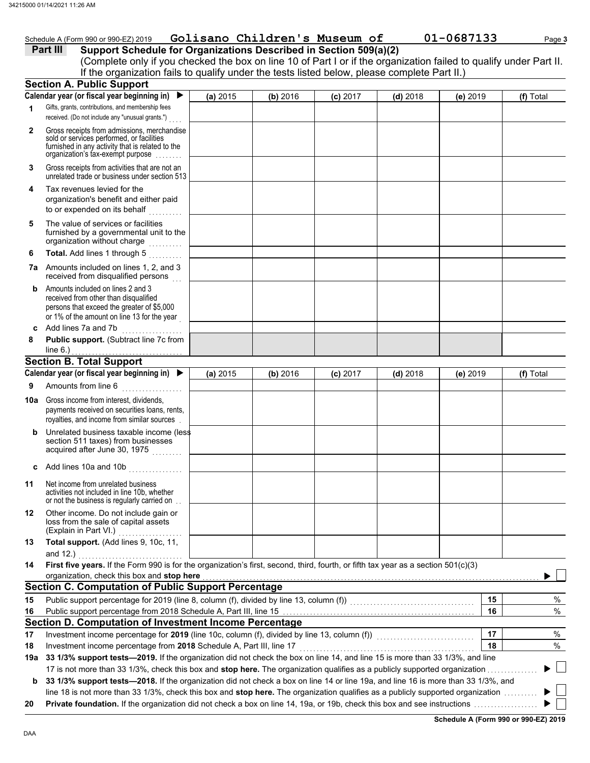|              | Schedule A (Form 990 or 990-EZ) 2019                                                                                                                                                                               |          | Golisano Children's Museum of |            |            | 01-0687133 | Page 3    |
|--------------|--------------------------------------------------------------------------------------------------------------------------------------------------------------------------------------------------------------------|----------|-------------------------------|------------|------------|------------|-----------|
|              | Support Schedule for Organizations Described in Section 509(a)(2)<br>Part III                                                                                                                                      |          |                               |            |            |            |           |
|              | (Complete only if you checked the box on line 10 of Part I or if the organization failed to qualify under Part II.<br>If the organization fails to qualify under the tests listed below, please complete Part II.) |          |                               |            |            |            |           |
|              | <b>Section A. Public Support</b>                                                                                                                                                                                   |          |                               |            |            |            |           |
|              | Calendar year (or fiscal year beginning in) $\blacktriangleright$                                                                                                                                                  | (a) 2015 | (b) 2016                      | $(c)$ 2017 | $(d)$ 2018 | (e) 2019   | (f) Total |
| 1            | Gifts, grants, contributions, and membership fees                                                                                                                                                                  |          |                               |            |            |            |           |
|              | received. (Do not include any "unusual grants.")                                                                                                                                                                   |          |                               |            |            |            |           |
| $\mathbf{2}$ | Gross receipts from admissions, merchandise<br>sold or services performed, or facilities<br>furnished in any activity that is related to the<br>organization's tax-exempt purpose                                  |          |                               |            |            |            |           |
| 3            | Gross receipts from activities that are not an<br>unrelated trade or business under section 513                                                                                                                    |          |                               |            |            |            |           |
| 4            | Tax revenues levied for the<br>organization's benefit and either paid<br>to or expended on its behalf<br>.                                                                                                         |          |                               |            |            |            |           |
| 5            | The value of services or facilities<br>furnished by a governmental unit to the<br>organization without charge<br>.                                                                                                 |          |                               |            |            |            |           |
| 6            | Total. Add lines 1 through 5                                                                                                                                                                                       |          |                               |            |            |            |           |
| 7a           | Amounts included on lines 1, 2, and 3<br>received from disqualified persons                                                                                                                                        |          |                               |            |            |            |           |
| b            | Amounts included on lines 2 and 3<br>received from other than disqualified<br>persons that exceed the greater of \$5,000<br>or 1% of the amount on line 13 for the year                                            |          |                               |            |            |            |           |
| c            | Add lines 7a and 7b                                                                                                                                                                                                |          |                               |            |            |            |           |
| 8            | Public support. (Subtract line 7c from                                                                                                                                                                             |          |                               |            |            |            |           |
|              | line $6.$ )<br><b>Section B. Total Support</b>                                                                                                                                                                     |          |                               |            |            |            |           |
|              | Calendar year (or fiscal year beginning in) ▶                                                                                                                                                                      | (a) 2015 | (b) 2016                      | $(c)$ 2017 | $(d)$ 2018 | (e) 2019   | (f) Total |
| 9            | Amounts from line 6                                                                                                                                                                                                |          |                               |            |            |            |           |
|              |                                                                                                                                                                                                                    |          |                               |            |            |            |           |
| 10a          | Gross income from interest, dividends,<br>payments received on securities loans, rents,<br>royalties, and income from similar sources.                                                                             |          |                               |            |            |            |           |
| b            | Unrelated business taxable income (less<br>section 511 taxes) from businesses<br>acquired after June 30, 1975<br>.                                                                                                 |          |                               |            |            |            |           |
| c            | Add lines 10a and 10b                                                                                                                                                                                              |          |                               |            |            |            |           |
| 11           | Net income from unrelated business<br>activities not included in line 10b, whether<br>or not the business is regularly carried on.                                                                                 |          |                               |            |            |            |           |
| 12           | Other income. Do not include gain or<br>loss from the sale of capital assets<br>(Explain in Part VI.)<br>.                                                                                                         |          |                               |            |            |            |           |
| 13           | Total support. (Add lines 9, 10c, 11,<br>and $12.$ )                                                                                                                                                               |          |                               |            |            |            |           |
| 14           | First five years. If the Form 990 is for the organization's first, second, third, fourth, or fifth tax year as a section 501(c)(3)<br>organization, check this box and stop here                                   |          |                               |            |            |            |           |
|              | <b>Section C. Computation of Public Support Percentage</b>                                                                                                                                                         |          |                               |            |            |            |           |
| 15           | Public support percentage for 2019 (line 8, column (f), divided by line 13, column (f))<br>Fublic support percentage for 2019 (line 8, column (f), divided by line 13, column (f))                                 |          |                               |            |            | 15         | $\%$      |
| 16           |                                                                                                                                                                                                                    |          |                               |            |            | 16         | $\%$      |
|              | Section D. Computation of Investment Income Percentage                                                                                                                                                             |          |                               |            |            |            |           |
| 17           | Investment income percentage for 2019 (line 10c, column (f), divided by line 13, column (f)) [[[[[[[[[[[[[[[[[                                                                                                     |          |                               |            |            | 17         | $\%$      |
| 18           | Investment income percentage from 2018 Schedule A, Part III, line 17                                                                                                                                               |          |                               |            |            | 18         | $\%$      |

**19a 33 1/3% support tests—2019.** If the organization did not check the box on line 14, and line 15 is more than 33 1/3%, and line  $\mathbb{R}^n$ 17 is not more than 33 1/3%, check this box and **stop here.** The organization qualifies as a publicly supported organization . . . . . . . . . . . . . . .  $\blacksquare$ **b** 33 1/3% support tests-2018. If the organization did not check a box on line 14 or line 19a, and line 16 is more than 33 1/3%, and

line 18 is not more than 33 1/3%, check this box and stop here. The organization qualifies as a publicly supported organization .........

**20 Private foundation.** If the organization did not check a box on line 14, 19a, or 19b, check this box and see instructions . . . . . . . . . . . . . . . . . . .

▶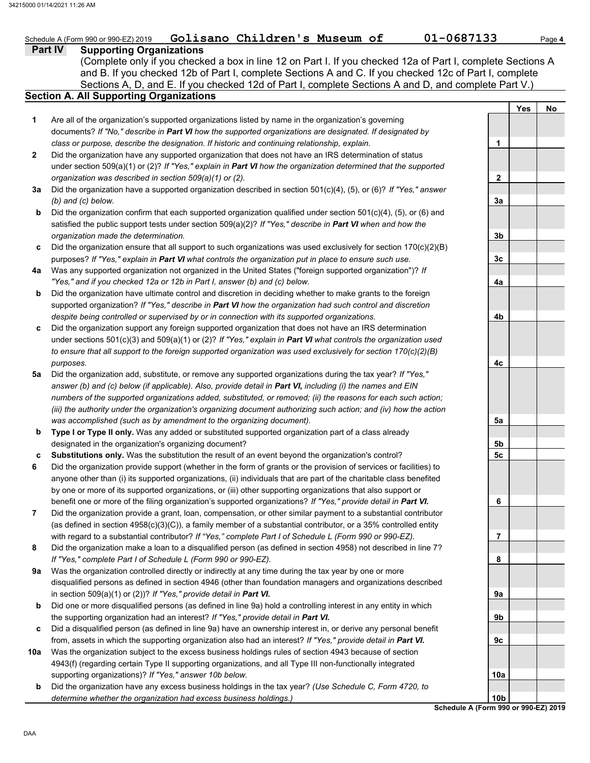### **Part IV Supporting Organizations** Sections A, D, and E. If you checked 12d of Part I, complete Sections A and D, and complete Part V.) Schedule A (Form 990 or 990-EZ) 2019 **Golisano Children's Museum of 01-0687133** Page 4 **Section A. All Supporting Organizations** (Complete only if you checked a box in line 12 on Part I. If you checked 12a of Part I, complete Sections A and B. If you checked 12b of Part I, complete Sections A and C. If you checked 12c of Part I, complete Are all of the organization's supported organizations listed by name in the organization's governing documents? *If "No," describe in Part VI how the supported organizations are designated. If designated by class or purpose, describe the designation. If historic and continuing relationship, explain.* Did the organization have any supported organization that does not have an IRS determination of status under section 509(a)(1) or (2)? *If "Yes," explain in Part VI how the organization determined that the supported organization was described in section 509(a)(1) or (2).* **1 2 3a** Did the organization have a supported organization described in section 501(c)(4), (5), or (6)? *If "Yes," answer* **b c** Did the organization ensure that all support to such organizations was used exclusively for section 170(c)(2)(B) **4a** Was any supported organization not organized in the United States ("foreign supported organization")? *If* **b c** Did the organization support any foreign supported organization that does not have an IRS determination **5a** Did the organization add, substitute, or remove any supported organizations during the tax year? *If "Yes,"* **b c 6 7 8 9a b c** Did a disqualified person (as defined in line 9a) have an ownership interest in, or derive any personal benefit **10a** Was the organization subject to the excess business holdings rules of section 4943 because of section *(b) and (c) below.* Did the organization confirm that each supported organization qualified under section 501(c)(4), (5), or (6) and satisfied the public support tests under section 509(a)(2)? *If "Yes," describe in Part VI when and how the organization made the determination.* purposes? *If "Yes," explain in Part VI what controls the organization put in place to ensure such use. "Yes," and if you checked 12a or 12b in Part I, answer (b) and (c) below.* Did the organization have ultimate control and discretion in deciding whether to make grants to the foreign supported organization? *If "Yes," describe in Part VI how the organization had such control and discretion despite being controlled or supervised by or in connection with its supported organizations.* under sections 501(c)(3) and 509(a)(1) or (2)? *If "Yes," explain in Part VI what controls the organization used to ensure that all support to the foreign supported organization was used exclusively for section 170(c)(2)(B) purposes. answer (b) and (c) below (if applicable). Also, provide detail in Part VI, including (i) the names and EIN numbers of the supported organizations added, substituted, or removed; (ii) the reasons for each such action; (iii) the authority under the organization's organizing document authorizing such action; and (iv) how the action was accomplished (such as by amendment to the organizing document).* **Type I or Type II only.** Was any added or substituted supported organization part of a class already designated in the organization's organizing document? **Substitutions only.** Was the substitution the result of an event beyond the organization's control? Did the organization provide support (whether in the form of grants or the provision of services or facilities) to anyone other than (i) its supported organizations, (ii) individuals that are part of the charitable class benefited by one or more of its supported organizations, or (iii) other supporting organizations that also support or benefit one or more of the filing organization's supported organizations? *If "Yes," provide detail in Part VI.* Did the organization provide a grant, loan, compensation, or other similar payment to a substantial contributor (as defined in section 4958(c)(3)(C)), a family member of a substantial contributor, or a 35% controlled entity with regard to a substantial contributor? *If "Yes," complete Part I of Schedule L (Form 990 or 990-EZ).* Did the organization make a loan to a disqualified person (as defined in section 4958) not described in line 7? *If "Yes," complete Part I of Schedule L (Form 990 or 990-EZ).* Was the organization controlled directly or indirectly at any time during the tax year by one or more disqualified persons as defined in section 4946 (other than foundation managers and organizations described in section 509(a)(1) or (2))? *If "Yes," provide detail in Part VI.* Did one or more disqualified persons (as defined in line 9a) hold a controlling interest in any entity in which the supporting organization had an interest? *If "Yes," provide detail in Part VI.* from, assets in which the supporting organization also had an interest? *If "Yes," provide detail in Part VI.* 4943(f) (regarding certain Type II supporting organizations, and all Type III non-functionally integrated **Yes No 1 2 3a 3b 3c 4a 4b 4c 5a 5b 5c 6 7 8 9a 9b 9c**

**10a**

**b**

supporting organizations)? *If "Yes," answer 10b below.*

*determine whether the organization had excess business holdings.)*

Did the organization have any excess business holdings in the tax year? *(Use Schedule C, Form 4720, to*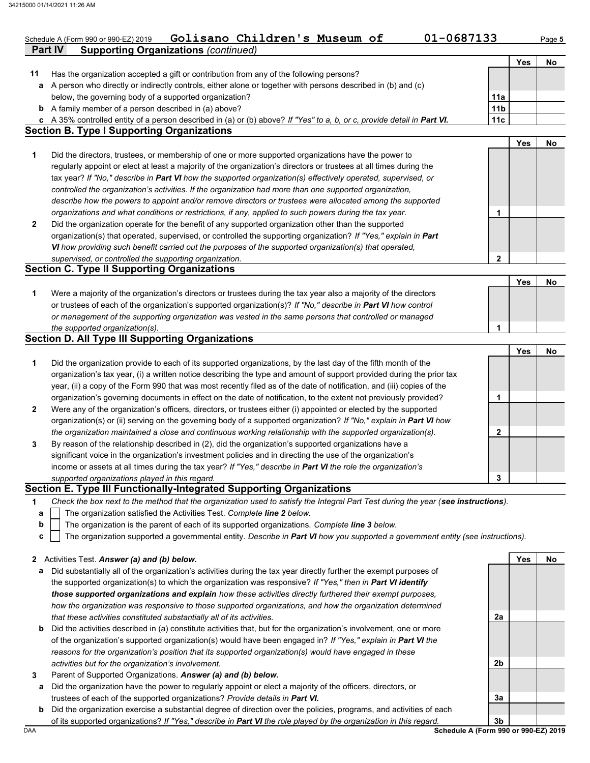|              | 01-0687133<br>Golisano Children's Museum of<br>Schedule A (Form 990 or 990-EZ) 2019                                                                                                                                                          |                 |            | Page 5 |
|--------------|----------------------------------------------------------------------------------------------------------------------------------------------------------------------------------------------------------------------------------------------|-----------------|------------|--------|
|              | <b>Supporting Organizations (continued)</b><br><b>Part IV</b>                                                                                                                                                                                |                 |            |        |
| 11           | Has the organization accepted a gift or contribution from any of the following persons?                                                                                                                                                      |                 | <b>Yes</b> | No     |
|              | a A person who directly or indirectly controls, either alone or together with persons described in (b) and (c)                                                                                                                               |                 |            |        |
|              | below, the governing body of a supported organization?                                                                                                                                                                                       | 11a             |            |        |
|              | <b>b</b> A family member of a person described in (a) above?                                                                                                                                                                                 | 11 <sub>b</sub> |            |        |
|              | c A 35% controlled entity of a person described in (a) or (b) above? If "Yes" to a, b, or c, provide detail in Part VI.                                                                                                                      | 11c             |            |        |
|              | <b>Section B. Type I Supporting Organizations</b>                                                                                                                                                                                            |                 |            |        |
|              |                                                                                                                                                                                                                                              |                 | Yes        | No     |
| 1            | Did the directors, trustees, or membership of one or more supported organizations have the power to                                                                                                                                          |                 |            |        |
|              | regularly appoint or elect at least a majority of the organization's directors or trustees at all times during the                                                                                                                           |                 |            |        |
|              | tax year? If "No," describe in Part VI how the supported organization(s) effectively operated, supervised, or                                                                                                                                |                 |            |        |
|              | controlled the organization's activities. If the organization had more than one supported organization,                                                                                                                                      |                 |            |        |
|              | describe how the powers to appoint and/or remove directors or trustees were allocated among the supported                                                                                                                                    |                 |            |        |
|              | organizations and what conditions or restrictions, if any, applied to such powers during the tax year.                                                                                                                                       | 1               |            |        |
| $\mathbf{2}$ | Did the organization operate for the benefit of any supported organization other than the supported                                                                                                                                          |                 |            |        |
|              | organization(s) that operated, supervised, or controlled the supporting organization? If "Yes," explain in Part                                                                                                                              |                 |            |        |
|              | VI how providing such benefit carried out the purposes of the supported organization(s) that operated,                                                                                                                                       | 2               |            |        |
|              | supervised, or controlled the supporting organization.<br><b>Section C. Type II Supporting Organizations</b>                                                                                                                                 |                 |            |        |
|              |                                                                                                                                                                                                                                              |                 | Yes        | No     |
| 1            | Were a majority of the organization's directors or trustees during the tax year also a majority of the directors                                                                                                                             |                 |            |        |
|              | or trustees of each of the organization's supported organization(s)? If "No," describe in Part VI how control                                                                                                                                |                 |            |        |
|              | or management of the supporting organization was vested in the same persons that controlled or managed                                                                                                                                       |                 |            |        |
|              | the supported organization(s).                                                                                                                                                                                                               | 1               |            |        |
|              | <b>Section D. All Type III Supporting Organizations</b>                                                                                                                                                                                      |                 |            |        |
|              |                                                                                                                                                                                                                                              |                 | <b>Yes</b> | No     |
| 1            | Did the organization provide to each of its supported organizations, by the last day of the fifth month of the                                                                                                                               |                 |            |        |
|              | organization's tax year, (i) a written notice describing the type and amount of support provided during the prior tax                                                                                                                        |                 |            |        |
|              | year, (ii) a copy of the Form 990 that was most recently filed as of the date of notification, and (iii) copies of the                                                                                                                       |                 |            |        |
|              | organization's governing documents in effect on the date of notification, to the extent not previously provided?                                                                                                                             | 1               |            |        |
| 2            | Were any of the organization's officers, directors, or trustees either (i) appointed or elected by the supported                                                                                                                             |                 |            |        |
|              | organization(s) or (ii) serving on the governing body of a supported organization? If "No," explain in Part VI how                                                                                                                           |                 |            |        |
|              | the organization maintained a close and continuous working relationship with the supported organization(s).<br>By reason of the relationship described in (2), did the organization's supported organizations have a                         | 2               |            |        |
| 3            | significant voice in the organization's investment policies and in directing the use of the organization's                                                                                                                                   |                 |            |        |
|              | income or assets at all times during the tax year? If "Yes," describe in Part VI the role the organization's                                                                                                                                 |                 |            |        |
|              | supported organizations played in this regard.                                                                                                                                                                                               | 3               |            |        |
|              | Section E. Type III Functionally-Integrated Supporting Organizations                                                                                                                                                                         |                 |            |        |
| 1            | Check the box next to the method that the organization used to satisfy the Integral Part Test during the year (see instructions).                                                                                                            |                 |            |        |
| а            | The organization satisfied the Activities Test. Complete line 2 below.                                                                                                                                                                       |                 |            |        |
| b            | The organization is the parent of each of its supported organizations. Complete line 3 below.                                                                                                                                                |                 |            |        |
| C            | The organization supported a governmental entity. Describe in Part VI how you supported a government entity (see instructions).                                                                                                              |                 |            |        |
|              |                                                                                                                                                                                                                                              |                 |            |        |
| 2            | Activities Test. Answer (a) and (b) below.                                                                                                                                                                                                   |                 | Yes        | No     |
| а            | Did substantially all of the organization's activities during the tax year directly further the exempt purposes of                                                                                                                           |                 |            |        |
|              | the supported organization(s) to which the organization was responsive? If "Yes," then in Part VI identify                                                                                                                                   |                 |            |        |
|              | those supported organizations and explain how these activities directly furthered their exempt purposes,                                                                                                                                     |                 |            |        |
|              | how the organization was responsive to those supported organizations, and how the organization determined                                                                                                                                    |                 |            |        |
|              | that these activities constituted substantially all of its activities.                                                                                                                                                                       | 2a              |            |        |
|              | <b>b</b> Did the activities described in (a) constitute activities that, but for the organization's involvement, one or more<br>of the organization's supported organization(s) would have been engaged in? If "Yes," explain in Part VI the |                 |            |        |
|              | reasons for the organization's position that its supported organization(s) would have engaged in these                                                                                                                                       |                 |            |        |
|              | activities but for the organization's involvement.                                                                                                                                                                                           | 2b              |            |        |
| 3            | Parent of Supported Organizations. Answer (a) and (b) below.                                                                                                                                                                                 |                 |            |        |
| a            | Did the organization have the power to regularly appoint or elect a majority of the officers, directors, or                                                                                                                                  |                 |            |        |
|              | trustees of each of the supported organizations? Provide details in Part VI.                                                                                                                                                                 | За              |            |        |
|              | <b>b</b> Did the organization exercise a substantial degree of direction over the policies programs, and activities of each                                                                                                                  |                 |            |        |

**b** Did the organization exercise a substantial degree of direction over the policies, programs, and activities of each of its supported organizations? *If "Yes," describe in Part VI the role played by the organization in this regard.*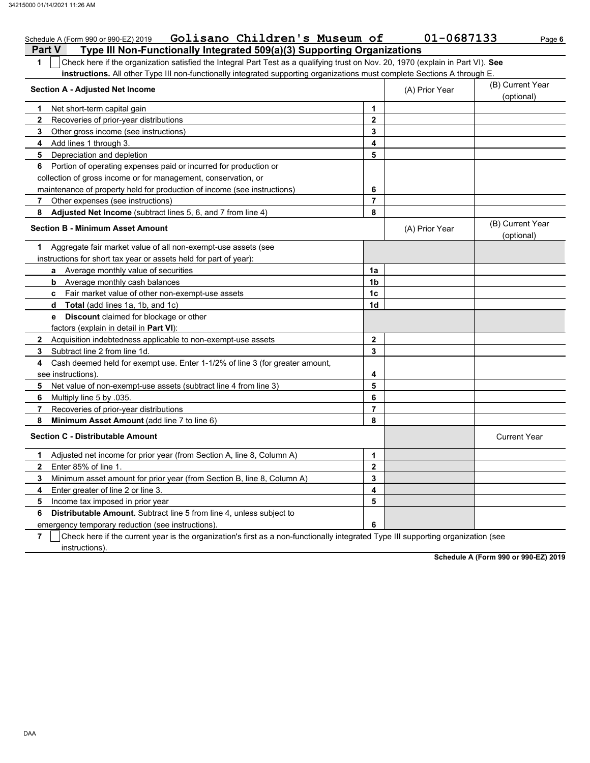| Golisano Children's Museum of<br>Schedule A (Form 990 or 990-EZ) 2019                                                                 |                         | 01-0687133     | Page 6                         |
|---------------------------------------------------------------------------------------------------------------------------------------|-------------------------|----------------|--------------------------------|
| <b>Part V</b><br>Type III Non-Functionally Integrated 509(a)(3) Supporting Organizations                                              |                         |                |                                |
| Check here if the organization satisfied the Integral Part Test as a qualifying trust on Nov. 20, 1970 (explain in Part VI). See<br>1 |                         |                |                                |
| instructions. All other Type III non-functionally integrated supporting organizations must complete Sections A through E.             |                         |                |                                |
| <b>Section A - Adjusted Net Income</b>                                                                                                |                         | (A) Prior Year | (B) Current Year<br>(optional) |
| Net short-term capital gain<br>1                                                                                                      | 1                       |                |                                |
| $\mathbf{2}$<br>Recoveries of prior-year distributions                                                                                | $\mathbf{2}$            |                |                                |
| 3<br>Other gross income (see instructions)                                                                                            | 3                       |                |                                |
| 4<br>Add lines 1 through 3.                                                                                                           | 4                       |                |                                |
| 5<br>Depreciation and depletion                                                                                                       | 5                       |                |                                |
| Portion of operating expenses paid or incurred for production or<br>6                                                                 |                         |                |                                |
| collection of gross income or for management, conservation, or                                                                        |                         |                |                                |
| maintenance of property held for production of income (see instructions)                                                              | 6                       |                |                                |
| 7<br>Other expenses (see instructions)                                                                                                | $\overline{\mathbf{r}}$ |                |                                |
| Adjusted Net Income (subtract lines 5, 6, and 7 from line 4)<br>8                                                                     | 8                       |                |                                |
| <b>Section B - Minimum Asset Amount</b>                                                                                               |                         | (A) Prior Year | (B) Current Year<br>(optional) |
| Aggregate fair market value of all non-exempt-use assets (see<br>1                                                                    |                         |                |                                |
| instructions for short tax year or assets held for part of year):                                                                     |                         |                |                                |
| a Average monthly value of securities                                                                                                 | 1a                      |                |                                |
| <b>b</b> Average monthly cash balances                                                                                                | 1b                      |                |                                |
| <b>c</b> Fair market value of other non-exempt-use assets                                                                             | 1 <sub>c</sub>          |                |                                |
| <b>d</b> Total (add lines 1a, 1b, and 1c)                                                                                             | 1d                      |                |                                |
| <b>Discount</b> claimed for blockage or other<br>e                                                                                    |                         |                |                                |
| factors (explain in detail in Part VI):                                                                                               |                         |                |                                |
| <b>2</b> Acquisition indebtedness applicable to non-exempt-use assets                                                                 | 2                       |                |                                |
| Subtract line 2 from line 1d.<br>3                                                                                                    | 3                       |                |                                |
| Cash deemed held for exempt use. Enter 1-1/2% of line 3 (for greater amount,<br>4                                                     |                         |                |                                |
| see instructions).                                                                                                                    | 4                       |                |                                |
| 5<br>Net value of non-exempt-use assets (subtract line 4 from line 3)                                                                 | 5                       |                |                                |
| 6<br>Multiply line 5 by .035.                                                                                                         | 6                       |                |                                |
| 7<br>Recoveries of prior-year distributions                                                                                           | $\overline{7}$          |                |                                |
| 8<br>Minimum Asset Amount (add line 7 to line 6)                                                                                      | 8                       |                |                                |
| <b>Section C - Distributable Amount</b>                                                                                               |                         |                | <b>Current Year</b>            |
| Adjusted net income for prior year (from Section A, line 8, Column A)<br>1.                                                           | 1                       |                |                                |
| $\mathbf{2}$<br>Enter 85% of line 1.                                                                                                  | $\mathbf{2}$            |                |                                |
| 3<br>Minimum asset amount for prior year (from Section B, line 8, Column A)                                                           | 3                       |                |                                |
| Enter greater of line 2 or line 3.<br>4                                                                                               | 4                       |                |                                |
| 5<br>Income tax imposed in prior year                                                                                                 | 5                       |                |                                |
| 6<br><b>Distributable Amount.</b> Subtract line 5 from line 4, unless subject to                                                      |                         |                |                                |
| emergency temporary reduction (see instructions)                                                                                      | 6                       |                |                                |

**7** | Check here if the current year is the organization's first as a non-functionally integrated Type III supporting organization (see **instructions**).

**Schedule A (Form 990 or 990-EZ) 2019**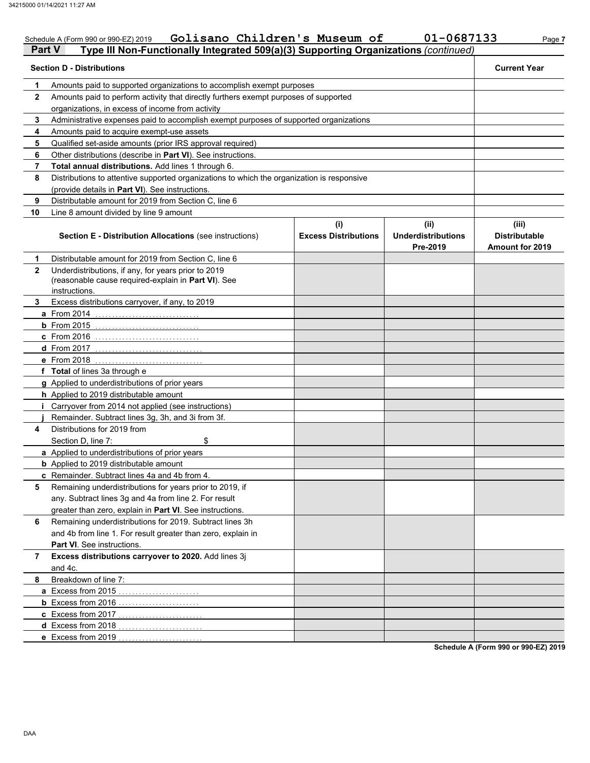| Part V       | Golisano Children's Museum of<br>Schedule A (Form 990 or 990-EZ) 2019<br>Type III Non-Functionally Integrated 509(a)(3) Supporting Organizations (continued) |                                    | 01-0687133                                    | Page 7                                                  |
|--------------|--------------------------------------------------------------------------------------------------------------------------------------------------------------|------------------------------------|-----------------------------------------------|---------------------------------------------------------|
|              | <b>Section D - Distributions</b>                                                                                                                             |                                    |                                               | <b>Current Year</b>                                     |
| 1            | Amounts paid to supported organizations to accomplish exempt purposes                                                                                        |                                    |                                               |                                                         |
| $\mathbf{2}$ | Amounts paid to perform activity that directly furthers exempt purposes of supported                                                                         |                                    |                                               |                                                         |
|              | organizations, in excess of income from activity                                                                                                             |                                    |                                               |                                                         |
| 3            | Administrative expenses paid to accomplish exempt purposes of supported organizations                                                                        |                                    |                                               |                                                         |
| 4            | Amounts paid to acquire exempt-use assets                                                                                                                    |                                    |                                               |                                                         |
| 5            | Qualified set-aside amounts (prior IRS approval required)                                                                                                    |                                    |                                               |                                                         |
| 6            | Other distributions (describe in Part VI). See instructions.                                                                                                 |                                    |                                               |                                                         |
| 7            | Total annual distributions. Add lines 1 through 6.                                                                                                           |                                    |                                               |                                                         |
| 8            | Distributions to attentive supported organizations to which the organization is responsive                                                                   |                                    |                                               |                                                         |
|              | (provide details in Part VI). See instructions.                                                                                                              |                                    |                                               |                                                         |
| 9            | Distributable amount for 2019 from Section C, line 6                                                                                                         |                                    |                                               |                                                         |
| 10           | Line 8 amount divided by line 9 amount                                                                                                                       |                                    |                                               |                                                         |
|              | <b>Section E - Distribution Allocations (see instructions)</b>                                                                                               | (i)<br><b>Excess Distributions</b> | (ii)<br><b>Underdistributions</b><br>Pre-2019 | (iii)<br><b>Distributable</b><br><b>Amount for 2019</b> |
| 1            | Distributable amount for 2019 from Section C, line 6                                                                                                         |                                    |                                               |                                                         |
| $\mathbf{2}$ | Underdistributions, if any, for years prior to 2019<br>(reasonable cause required-explain in Part VI). See<br>instructions.                                  |                                    |                                               |                                                         |
| 3.           | Excess distributions carryover, if any, to 2019                                                                                                              |                                    |                                               |                                                         |
|              | a From 2014                                                                                                                                                  |                                    |                                               |                                                         |
|              | $b$ From 2015                                                                                                                                                |                                    |                                               |                                                         |
|              | c From 2016                                                                                                                                                  |                                    |                                               |                                                         |
|              | d From 2017                                                                                                                                                  |                                    |                                               |                                                         |
|              | e From 2018                                                                                                                                                  |                                    |                                               |                                                         |
|              | f Total of lines 3a through e                                                                                                                                |                                    |                                               |                                                         |
|              | g Applied to underdistributions of prior years                                                                                                               |                                    |                                               |                                                         |
|              | h Applied to 2019 distributable amount                                                                                                                       |                                    |                                               |                                                         |
| Ť.           | Carryover from 2014 not applied (see instructions)                                                                                                           |                                    |                                               |                                                         |
|              | Remainder. Subtract lines 3g, 3h, and 3i from 3f.                                                                                                            |                                    |                                               |                                                         |
| 4            | Distributions for 2019 from                                                                                                                                  |                                    |                                               |                                                         |
|              | \$<br>Section D, line 7:                                                                                                                                     |                                    |                                               |                                                         |
|              | a Applied to underdistributions of prior years                                                                                                               |                                    |                                               |                                                         |
|              | <b>b</b> Applied to 2019 distributable amount                                                                                                                |                                    |                                               |                                                         |
|              | c Remainder. Subtract lines 4a and 4b from 4.                                                                                                                |                                    |                                               |                                                         |
| 5            | Remaining underdistributions for years prior to 2019, if                                                                                                     |                                    |                                               |                                                         |
|              | any. Subtract lines 3g and 4a from line 2. For result                                                                                                        |                                    |                                               |                                                         |
|              | greater than zero, explain in Part VI. See instructions.                                                                                                     |                                    |                                               |                                                         |
| 6            | Remaining underdistributions for 2019. Subtract lines 3h                                                                                                     |                                    |                                               |                                                         |
|              | and 4b from line 1. For result greater than zero, explain in                                                                                                 |                                    |                                               |                                                         |
|              | Part VI. See instructions.                                                                                                                                   |                                    |                                               |                                                         |
| 7            | Excess distributions carryover to 2020. Add lines 3j                                                                                                         |                                    |                                               |                                                         |
|              | and 4c.                                                                                                                                                      |                                    |                                               |                                                         |
| 8            | Breakdown of line 7:                                                                                                                                         |                                    |                                               |                                                         |
|              | a Excess from 2015                                                                                                                                           |                                    |                                               |                                                         |
|              | <b>b</b> Excess from 2016                                                                                                                                    |                                    |                                               |                                                         |
|              | c Excess from 2017                                                                                                                                           |                                    |                                               |                                                         |
|              | d Excess from 2018<br>.                                                                                                                                      |                                    |                                               |                                                         |
|              | e Excess from 2019                                                                                                                                           |                                    |                                               |                                                         |
|              |                                                                                                                                                              |                                    |                                               | Schedule A (Form 990 or 990-EZ) 2019                    |

DAA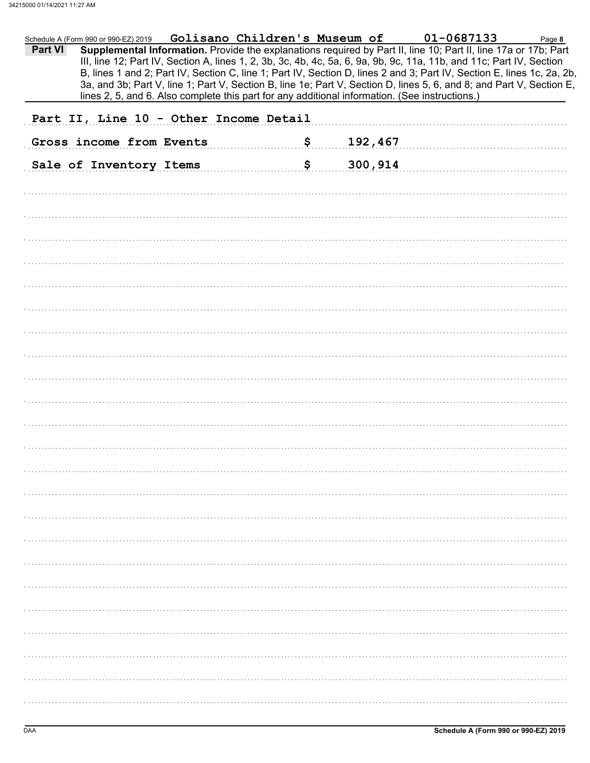|         | Schedule A (Form 990 or 990-EZ) 2019 Golisano Children's Museum of 01-0687133                                                                                                                                                                  |    |         | Page 8 |
|---------|------------------------------------------------------------------------------------------------------------------------------------------------------------------------------------------------------------------------------------------------|----|---------|--------|
| Part VI | Supplemental Information. Provide the explanations required by Part II, line 10; Part II, line 17a or 17b; Part<br>III, line 12; Part IV, Section A, lines 1, 2, 3b, 3c, 4b, 4c, 5a, 6, 9a, 9b, 9c, 11a, 11b, and 11c; Part IV, Section        |    |         |        |
|         | B, lines 1 and 2; Part IV, Section C, line 1; Part IV, Section D, lines 2 and 3; Part IV, Section E, lines 1c, 2a, 2b,<br>3a, and 3b; Part V, line 1; Part V, Section B, line 1e; Part V, Section D, lines 5, 6, and 8; and Part V, Section E, |    |         |        |
|         | lines 2, 5, and 6. Also complete this part for any additional information. (See instructions.)                                                                                                                                                 |    |         |        |
|         | Part II, Line 10 - Other Income Detail                                                                                                                                                                                                         |    |         |        |
|         | Gross income from Events                                                                                                                                                                                                                       | \$ | 192,467 |        |
|         | Sale of Inventory Items                                                                                                                                                                                                                        | \$ | 300,914 |        |
|         |                                                                                                                                                                                                                                                |    |         |        |
|         |                                                                                                                                                                                                                                                |    |         |        |
|         |                                                                                                                                                                                                                                                |    |         |        |
|         |                                                                                                                                                                                                                                                |    |         |        |
|         |                                                                                                                                                                                                                                                |    |         |        |
|         |                                                                                                                                                                                                                                                |    |         |        |
|         |                                                                                                                                                                                                                                                |    |         |        |
|         |                                                                                                                                                                                                                                                |    |         |        |
|         |                                                                                                                                                                                                                                                |    |         |        |
|         |                                                                                                                                                                                                                                                |    |         |        |
|         |                                                                                                                                                                                                                                                |    |         |        |
|         |                                                                                                                                                                                                                                                |    |         |        |
|         |                                                                                                                                                                                                                                                |    |         |        |
|         |                                                                                                                                                                                                                                                |    |         |        |
|         |                                                                                                                                                                                                                                                |    |         |        |
|         |                                                                                                                                                                                                                                                |    |         |        |
|         |                                                                                                                                                                                                                                                |    |         |        |
|         |                                                                                                                                                                                                                                                |    |         |        |
|         |                                                                                                                                                                                                                                                |    |         |        |
|         |                                                                                                                                                                                                                                                |    |         |        |
|         |                                                                                                                                                                                                                                                |    |         |        |
|         |                                                                                                                                                                                                                                                |    |         |        |
|         |                                                                                                                                                                                                                                                |    |         |        |
|         |                                                                                                                                                                                                                                                |    |         |        |
|         |                                                                                                                                                                                                                                                |    |         |        |
|         |                                                                                                                                                                                                                                                |    |         |        |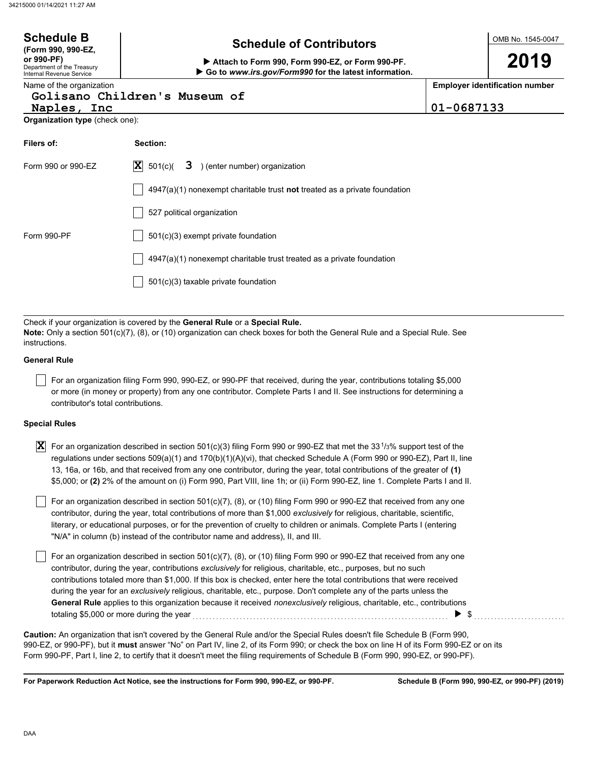| <b>Schedule B</b><br>(Form 990, 990-EZ,                              | <b>Schedule of Contributors</b>                                                                                                                                                                                    |            | OMB No. 1545-0047                     |
|----------------------------------------------------------------------|--------------------------------------------------------------------------------------------------------------------------------------------------------------------------------------------------------------------|------------|---------------------------------------|
| or 990-PF)<br>Department of the Treasury<br>Internal Revenue Service | Attach to Form 990, Form 990-EZ, or Form 990-PF.<br>Go to www.irs.gov/Form990 for the latest information.                                                                                                          |            | 2019                                  |
| Name of the organization                                             |                                                                                                                                                                                                                    |            | <b>Employer identification number</b> |
| Naples, Inc                                                          | Golisano Children's Museum of                                                                                                                                                                                      | 01-0687133 |                                       |
| <b>Organization type (check one):</b>                                |                                                                                                                                                                                                                    |            |                                       |
|                                                                      |                                                                                                                                                                                                                    |            |                                       |
| Filers of:                                                           | Section:                                                                                                                                                                                                           |            |                                       |
| Form 990 or 990-EZ                                                   | $ \mathbf{X} $ 501(c)( <b>3</b> ) (enter number) organization                                                                                                                                                      |            |                                       |
|                                                                      | $4947(a)(1)$ nonexempt charitable trust not treated as a private foundation                                                                                                                                        |            |                                       |
|                                                                      | 527 political organization                                                                                                                                                                                         |            |                                       |
| Form 990-PF                                                          | $501(c)(3)$ exempt private foundation                                                                                                                                                                              |            |                                       |
|                                                                      | 4947(a)(1) nonexempt charitable trust treated as a private foundation                                                                                                                                              |            |                                       |
|                                                                      | 501(c)(3) taxable private foundation                                                                                                                                                                               |            |                                       |
|                                                                      |                                                                                                                                                                                                                    |            |                                       |
|                                                                      |                                                                                                                                                                                                                    |            |                                       |
|                                                                      | Check if your organization is covered by the General Rule or a Special Rule.<br><b>Note:</b> Only a section 501(c)(7), (8), or (10) organization can check boxes for both the General Rule and a Special Rule. See |            |                                       |

boxes for both the General Rule and a Special Rule. See instructions.

### **General Rule**

For an organization filing Form 990, 990-EZ, or 990-PF that received, during the year, contributions totaling \$5,000 or more (in money or property) from any one contributor. Complete Parts I and II. See instructions for determining a contributor's total contributions.

### **Special Rules**

| <b>X</b> For an organization described in section 501(c)(3) filing Form 990 or 990-EZ that met the 33 <sup>1</sup> /3% support test of the |
|--------------------------------------------------------------------------------------------------------------------------------------------|
| regulations under sections 509(a)(1) and 170(b)(1)(A)(vi), that checked Schedule A (Form 990 or 990-EZ), Part II, line                     |
| 13, 16a, or 16b, and that received from any one contributor, during the year, total contributions of the greater of (1)                    |
| \$5,000; or (2) 2% of the amount on (i) Form 990, Part VIII, line 1h; or (ii) Form 990-EZ, line 1. Complete Parts I and II.                |

literary, or educational purposes, or for the prevention of cruelty to children or animals. Complete Parts I (entering For an organization described in section 501(c)(7), (8), or (10) filing Form 990 or 990-EZ that received from any one contributor, during the year, total contributions of more than \$1,000 *exclusively* for religious, charitable, scientific, "N/A" in column (b) instead of the contributor name and address), II, and III.

For an organization described in section  $501(c)(7)$ , (8), or (10) filing Form 990 or 990-EZ that received from any one contributor, during the year, contributions *exclusively* for religious, charitable, etc., purposes, but no such contributions totaled more than \$1,000. If this box is checked, enter here the total contributions that were received during the year for an *exclusively* religious, charitable, etc., purpose. Don't complete any of the parts unless the **General Rule** applies to this organization because it received *nonexclusively* religious, charitable, etc., contributions totaling \$5,000 or more during the year *compare contract a compare contract compare contract compare compare s* 

990-EZ, or 990-PF), but it **must** answer "No" on Part IV, line 2, of its Form 990; or check the box on line H of its Form 990-EZ or on its Form 990-PF, Part I, line 2, to certify that it doesn't meet the filing requirements of Schedule B (Form 990, 990-EZ, or 990-PF). **Caution:** An organization that isn't covered by the General Rule and/or the Special Rules doesn't file Schedule B (Form 990,

**For Paperwork Reduction Act Notice, see the instructions for Form 990, 990-EZ, or 990-PF.**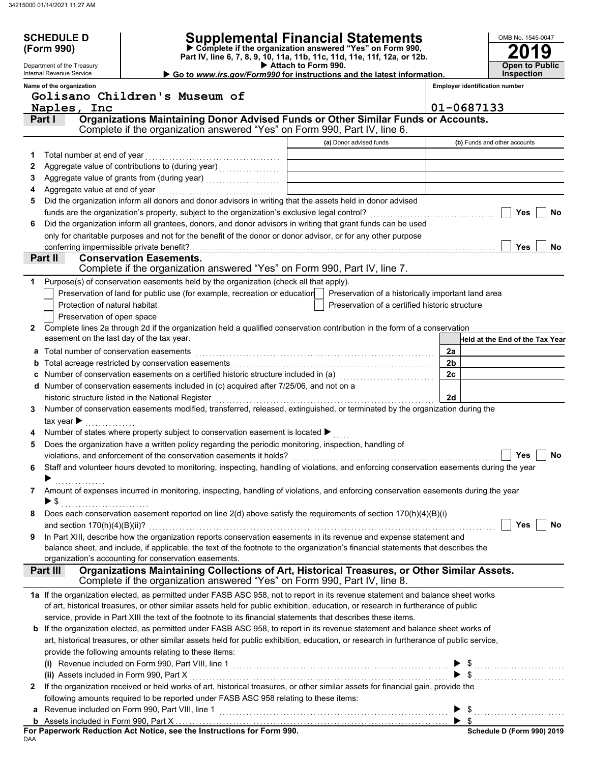|              | <b>SCHEDULE D</b>                         |                                                                                                                                                                                                                                     |                                                                                                      |                                       | OMB No. 1545-0047 |                                        |
|--------------|-------------------------------------------|-------------------------------------------------------------------------------------------------------------------------------------------------------------------------------------------------------------------------------------|------------------------------------------------------------------------------------------------------|---------------------------------------|-------------------|----------------------------------------|
|              | (Form 990)                                |                                                                                                                                                                                                                                     | <b>Supplemental Financial Statements</b><br>Complete if the organization answered "Yes" on Form 990, |                                       |                   |                                        |
|              |                                           |                                                                                                                                                                                                                                     | Part IV, line 6, 7, 8, 9, 10, 11a, 11b, 11c, 11d, 11e, 11f, 12a, or 12b.                             |                                       |                   |                                        |
|              | Department of the Treasury                |                                                                                                                                                                                                                                     | Attach to Form 990.                                                                                  |                                       |                   | <b>Open to Public</b>                  |
|              | Internal Revenue Service                  |                                                                                                                                                                                                                                     | Go to www.irs.gov/Form990 for instructions and the latest information.                               |                                       | <b>Inspection</b> |                                        |
|              | Name of the organization                  |                                                                                                                                                                                                                                     |                                                                                                      | <b>Employer identification number</b> |                   |                                        |
|              |                                           | Golisano Children's Museum of                                                                                                                                                                                                       |                                                                                                      |                                       |                   |                                        |
|              | Naples, Inc                               | Organizations Maintaining Donor Advised Funds or Other Similar Funds or Accounts.                                                                                                                                                   |                                                                                                      | 01-0687133                            |                   |                                        |
| Part I       |                                           | Complete if the organization answered "Yes" on Form 990, Part IV, line 6.                                                                                                                                                           |                                                                                                      |                                       |                   |                                        |
|              |                                           |                                                                                                                                                                                                                                     |                                                                                                      |                                       |                   |                                        |
|              |                                           |                                                                                                                                                                                                                                     | (a) Donor advised funds                                                                              | (b) Funds and other accounts          |                   |                                        |
| 1.           |                                           |                                                                                                                                                                                                                                     |                                                                                                      |                                       |                   |                                        |
| 2            |                                           | Aggregate value of contributions to (during year)<br>[[[[[[[[[[[[[[[]]]]]                                                                                                                                                           |                                                                                                      |                                       |                   |                                        |
| 3            |                                           |                                                                                                                                                                                                                                     |                                                                                                      |                                       |                   |                                        |
| 4            |                                           |                                                                                                                                                                                                                                     |                                                                                                      |                                       |                   |                                        |
| 5            |                                           | Did the organization inform all donors and donor advisors in writing that the assets held in donor advised                                                                                                                          |                                                                                                      |                                       |                   |                                        |
|              |                                           |                                                                                                                                                                                                                                     |                                                                                                      |                                       | Yes               | No                                     |
| 6            |                                           | Did the organization inform all grantees, donors, and donor advisors in writing that grant funds can be used                                                                                                                        |                                                                                                      |                                       |                   |                                        |
|              |                                           | only for charitable purposes and not for the benefit of the donor or donor advisor, or for any other purpose                                                                                                                        |                                                                                                      |                                       |                   |                                        |
|              | conferring impermissible private benefit? |                                                                                                                                                                                                                                     |                                                                                                      |                                       | <b>Yes</b>        | No                                     |
| Part II      |                                           | <b>Conservation Easements.</b>                                                                                                                                                                                                      |                                                                                                      |                                       |                   |                                        |
|              |                                           | Complete if the organization answered "Yes" on Form 990, Part IV, line 7.                                                                                                                                                           |                                                                                                      |                                       |                   |                                        |
| 1            |                                           | Purpose(s) of conservation easements held by the organization (check all that apply).                                                                                                                                               |                                                                                                      |                                       |                   |                                        |
|              |                                           | Preservation of land for public use (for example, recreation or education                                                                                                                                                           | Preservation of a historically important land area                                                   |                                       |                   |                                        |
|              | Protection of natural habitat             |                                                                                                                                                                                                                                     | Preservation of a certified historic structure                                                       |                                       |                   |                                        |
|              | Preservation of open space                |                                                                                                                                                                                                                                     |                                                                                                      |                                       |                   |                                        |
| $\mathbf{2}$ |                                           | Complete lines 2a through 2d if the organization held a qualified conservation contribution in the form of a conservation                                                                                                           |                                                                                                      |                                       |                   |                                        |
|              | easement on the last day of the tax year. |                                                                                                                                                                                                                                     |                                                                                                      |                                       |                   | <b>Held at the End of the Tax Year</b> |
|              | a Total number of conservation easements  |                                                                                                                                                                                                                                     |                                                                                                      | 2a                                    |                   |                                        |
| b            |                                           |                                                                                                                                                                                                                                     |                                                                                                      | 2 <sub>b</sub>                        |                   |                                        |
|              |                                           |                                                                                                                                                                                                                                     |                                                                                                      | 2c                                    |                   |                                        |
|              |                                           | d Number of conservation easements included in (c) acquired after 7/25/06, and not on a                                                                                                                                             |                                                                                                      |                                       |                   |                                        |
|              |                                           | historic structure listed in the National Register                                                                                                                                                                                  |                                                                                                      | 2d                                    |                   |                                        |
| 3            |                                           | Number of conservation easements modified, transferred, released, extinguished, or terminated by the organization during the                                                                                                        |                                                                                                      |                                       |                   |                                        |
|              | tax year $\blacktriangleright$            |                                                                                                                                                                                                                                     |                                                                                                      |                                       |                   |                                        |
|              |                                           | Number of states where property subject to conservation easement is located ▶                                                                                                                                                       |                                                                                                      |                                       |                   |                                        |
| 5            |                                           | Does the organization have a written policy regarding the periodic monitoring, inspection, handling of                                                                                                                              |                                                                                                      |                                       |                   |                                        |
|              |                                           | violations, and enforcement of the conservation easements it holds?                                                                                                                                                                 |                                                                                                      |                                       | Yes               | No                                     |
| 6            |                                           | Staff and volunteer hours devoted to monitoring, inspecting, handling of violations, and enforcing conservation easements during the year                                                                                           |                                                                                                      |                                       |                   |                                        |
|              |                                           |                                                                                                                                                                                                                                     |                                                                                                      |                                       |                   |                                        |
| 7            |                                           | Amount of expenses incurred in monitoring, inspecting, handling of violations, and enforcing conservation easements during the year                                                                                                 |                                                                                                      |                                       |                   |                                        |
|              | $\blacktriangleright$ \$                  |                                                                                                                                                                                                                                     |                                                                                                      |                                       |                   |                                        |
| 8            |                                           | Does each conservation easement reported on line 2(d) above satisfy the requirements of section 170(h)(4)(B)(i)                                                                                                                     |                                                                                                      |                                       |                   |                                        |
|              |                                           |                                                                                                                                                                                                                                     |                                                                                                      |                                       | Yes               | No                                     |
| 9            |                                           | In Part XIII, describe how the organization reports conservation easements in its revenue and expense statement and                                                                                                                 |                                                                                                      |                                       |                   |                                        |
|              |                                           | balance sheet, and include, if applicable, the text of the footnote to the organization's financial statements that describes the                                                                                                   |                                                                                                      |                                       |                   |                                        |
|              |                                           | organization's accounting for conservation easements.                                                                                                                                                                               |                                                                                                      |                                       |                   |                                        |
|              | Part III                                  | Organizations Maintaining Collections of Art, Historical Treasures, or Other Similar Assets.                                                                                                                                        |                                                                                                      |                                       |                   |                                        |
|              |                                           | Complete if the organization answered "Yes" on Form 990, Part IV, line 8.                                                                                                                                                           |                                                                                                      |                                       |                   |                                        |
|              |                                           | 1a If the organization elected, as permitted under FASB ASC 958, not to report in its revenue statement and balance sheet works                                                                                                     |                                                                                                      |                                       |                   |                                        |
|              |                                           | of art, historical treasures, or other similar assets held for public exhibition, education, or research in furtherance of public                                                                                                   |                                                                                                      |                                       |                   |                                        |
|              |                                           | service, provide in Part XIII the text of the footnote to its financial statements that describes these items.                                                                                                                      |                                                                                                      |                                       |                   |                                        |
|              |                                           | b If the organization elected, as permitted under FASB ASC 958, to report in its revenue statement and balance sheet works of                                                                                                       |                                                                                                      |                                       |                   |                                        |
|              |                                           | art, historical treasures, or other similar assets held for public exhibition, education, or research in furtherance of public service,                                                                                             |                                                                                                      |                                       |                   |                                        |
|              |                                           | provide the following amounts relating to these items:                                                                                                                                                                              |                                                                                                      |                                       |                   |                                        |
|              |                                           | (i) Revenue included on Form 990, Part VIII, line 1 <b>Construction</b> contains a construction of the set of the set of the set of the set of the set of the set of the set of the set of the set of the set of the set of the set |                                                                                                      |                                       |                   |                                        |
|              | (ii) Assets included in Form 990, Part X  |                                                                                                                                                                                                                                     |                                                                                                      | $\triangleright$ \$                   |                   |                                        |
| 2            |                                           | If the organization received or held works of art, historical treasures, or other similar assets for financial gain, provide the                                                                                                    |                                                                                                      |                                       |                   |                                        |
|              |                                           | following amounts required to be reported under FASB ASC 958 relating to these items:                                                                                                                                               |                                                                                                      |                                       |                   |                                        |
|              |                                           |                                                                                                                                                                                                                                     |                                                                                                      |                                       |                   |                                        |
|              |                                           |                                                                                                                                                                                                                                     |                                                                                                      |                                       |                   |                                        |
|              |                                           | For Panerwork Poduction Act Notice, see the Instructions for Form 880                                                                                                                                                               |                                                                                                      |                                       |                   | Schodule D (Form 000) 2010             |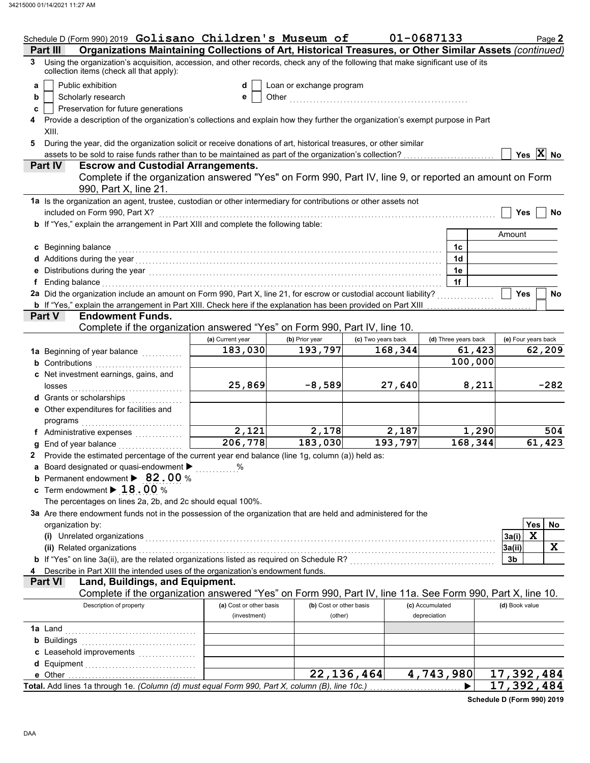|   | Schedule D (Form 990) 2019 Golisano Children's Museum of                                                                                                                                                                         |                         |                          |                    | 01-0687133           |         |                | Page 2              |
|---|----------------------------------------------------------------------------------------------------------------------------------------------------------------------------------------------------------------------------------|-------------------------|--------------------------|--------------------|----------------------|---------|----------------|---------------------|
|   | Organizations Maintaining Collections of Art, Historical Treasures, or Other Similar Assets (continued)<br>Part III                                                                                                              |                         |                          |                    |                      |         |                |                     |
| 3 | Using the organization's acquisition, accession, and other records, check any of the following that make significant use of its<br>collection items (check all that apply):                                                      |                         |                          |                    |                      |         |                |                     |
| a | Public exhibition                                                                                                                                                                                                                | d                       | Loan or exchange program |                    |                      |         |                |                     |
| b | Scholarly research                                                                                                                                                                                                               | е                       |                          |                    |                      |         |                |                     |
| c | Preservation for future generations                                                                                                                                                                                              |                         |                          |                    |                      |         |                |                     |
|   | Provide a description of the organization's collections and explain how they further the organization's exempt purpose in Part                                                                                                   |                         |                          |                    |                      |         |                |                     |
|   | XIII.                                                                                                                                                                                                                            |                         |                          |                    |                      |         |                |                     |
| 5 | During the year, did the organization solicit or receive donations of art, historical treasures, or other similar                                                                                                                |                         |                          |                    |                      |         |                |                     |
|   | assets to be sold to raise funds rather than to be maintained as part of the organization's collection?                                                                                                                          |                         |                          |                    |                      |         |                | Yes $ X $ No        |
|   | Part IV<br><b>Escrow and Custodial Arrangements.</b>                                                                                                                                                                             |                         |                          |                    |                      |         |                |                     |
|   | Complete if the organization answered "Yes" on Form 990, Part IV, line 9, or reported an amount on Form<br>990, Part X, line 21.                                                                                                 |                         |                          |                    |                      |         |                |                     |
|   | 1a Is the organization an agent, trustee, custodian or other intermediary for contributions or other assets not                                                                                                                  |                         |                          |                    |                      |         |                |                     |
|   | included on Form 990, Part X?                                                                                                                                                                                                    |                         |                          |                    |                      |         | <b>Yes</b>     | No                  |
|   | b If "Yes," explain the arrangement in Part XIII and complete the following table:                                                                                                                                               |                         |                          |                    |                      |         |                |                     |
|   |                                                                                                                                                                                                                                  |                         |                          |                    |                      |         | Amount         |                     |
|   | c Beginning balance                                                                                                                                                                                                              |                         |                          |                    | 1c                   |         |                |                     |
|   | d Additions during the year<br>interaction continuous continuous continuous during the year of the year and the year and the year and a distribution of the state of the state of the state of the state of the state of the sta |                         |                          |                    | 1 <sub>d</sub>       |         |                |                     |
|   | e Distributions during the year<br>increased: increased: increased: increased: increased: increased: increased: increased: increased: increased: increased: increased: increased: increased: increased: increased: increased: in |                         |                          |                    | 1e                   |         |                |                     |
|   | Ending balance continuum continuum continuum continuum continuum continuum continuum continuum continuum continuum continuum continuum continuum continuum continuum continuum continuum continuum continuum continuum continu   |                         |                          |                    | 1f                   |         |                |                     |
|   | 2a Did the organization include an amount on Form 990, Part X, line 21, for escrow or custodial account liability?                                                                                                               |                         |                          |                    |                      |         | <b>Yes</b>     | No                  |
|   | <b>b</b> If "Yes," explain the arrangement in Part XIII. Check here if the explanation has been provided on Part XIII                                                                                                            |                         |                          |                    |                      |         |                |                     |
|   | Part V<br><b>Endowment Funds.</b>                                                                                                                                                                                                |                         |                          |                    |                      |         |                |                     |
|   | Complete if the organization answered "Yes" on Form 990, Part IV, line 10.                                                                                                                                                       |                         |                          |                    |                      |         |                |                     |
|   |                                                                                                                                                                                                                                  | (a) Current year        | (b) Prior year           | (c) Two years back | (d) Three years back |         |                | (e) Four years back |
|   | 1a Beginning of year balance <i>minimizing</i>                                                                                                                                                                                   | 183,030                 | 193,797                  | 168,344            |                      | 61,423  |                | 62,209              |
|   | <b>b</b> Contributions                                                                                                                                                                                                           |                         |                          |                    |                      | 100,000 |                |                     |
|   | c Net investment earnings, gains, and                                                                                                                                                                                            |                         |                          |                    |                      |         |                |                     |
|   | losses                                                                                                                                                                                                                           | 25,869                  | $-8,589$                 | 27,640             |                      | 8,211   |                | $-282$              |
|   | d Grants or scholarships                                                                                                                                                                                                         |                         |                          |                    |                      |         |                |                     |
|   | e Other expenditures for facilities and                                                                                                                                                                                          |                         |                          |                    |                      |         |                |                     |
|   | programs                                                                                                                                                                                                                         |                         |                          |                    |                      |         |                |                     |
|   |                                                                                                                                                                                                                                  | 2,121                   | 2,178                    | 2,187              |                      | 1,290   |                | 504                 |
|   | End of year balance                                                                                                                                                                                                              | 206,778                 | 183,030                  | 193,797            |                      | 168,344 |                | 61,423              |
|   | 2 Provide the estimated percentage of the current year end balance (line 1g, column (a)) held as:                                                                                                                                |                         |                          |                    |                      |         |                |                     |
|   | Board designated or quasi-endowment > %                                                                                                                                                                                          |                         |                          |                    |                      |         |                |                     |
|   | <b>b</b> Permanent endowment $\triangleright$ 82.00 %                                                                                                                                                                            |                         |                          |                    |                      |         |                |                     |
|   | c Term endowment $\blacktriangleright$ 18.00 %                                                                                                                                                                                   |                         |                          |                    |                      |         |                |                     |
|   | The percentages on lines 2a, 2b, and 2c should equal 100%.                                                                                                                                                                       |                         |                          |                    |                      |         |                |                     |
|   | 3a Are there endowment funds not in the possession of the organization that are held and administered for the                                                                                                                    |                         |                          |                    |                      |         |                |                     |
|   | organization by:                                                                                                                                                                                                                 |                         |                          |                    |                      |         |                | Yes<br>No           |
|   | (i) Unrelated organizations                                                                                                                                                                                                      |                         |                          |                    |                      |         | 3a(i)          | $\mathbf x$         |
|   | (ii) Related organizations                                                                                                                                                                                                       |                         |                          |                    |                      |         | 3a(ii)         | X                   |
|   | <b>b</b> If "Yes" on line 3a(ii), are the related organizations listed as required on Schedule R?<br>Schedule R?                                                                                                                 |                         |                          |                    |                      |         | 3b             |                     |
|   | Describe in Part XIII the intended uses of the organization's endowment funds.                                                                                                                                                   |                         |                          |                    |                      |         |                |                     |
|   | <b>Part VI</b><br>Land, Buildings, and Equipment.                                                                                                                                                                                |                         |                          |                    |                      |         |                |                     |
|   | Complete if the organization answered "Yes" on Form 990, Part IV, line 11a. See Form 990, Part X, line 10.                                                                                                                       |                         |                          |                    |                      |         |                |                     |
|   | Description of property                                                                                                                                                                                                          | (a) Cost or other basis | (b) Cost or other basis  |                    | (c) Accumulated      |         | (d) Book value |                     |
|   |                                                                                                                                                                                                                                  | (investment)            | (other)                  |                    | depreciation         |         |                |                     |
|   | <b>1a</b> Land                                                                                                                                                                                                                   |                         |                          |                    |                      |         |                |                     |
|   | <b>b</b> Buildings                                                                                                                                                                                                               |                         |                          |                    |                      |         |                |                     |
|   |                                                                                                                                                                                                                                  |                         |                          |                    |                      |         |                |                     |
|   | d Equipment                                                                                                                                                                                                                      |                         |                          |                    |                      |         |                |                     |
|   |                                                                                                                                                                                                                                  |                         |                          | 22, 136, 464       | 4,743,980            |         |                | 17,392,484          |
|   | Total. Add lines 1a through 1e. (Column (d) must equal Form 990, Part X, column (B), line 10c.)                                                                                                                                  |                         |                          |                    |                      |         |                | 17,392,484          |

**Schedule D (Form 990) 2019**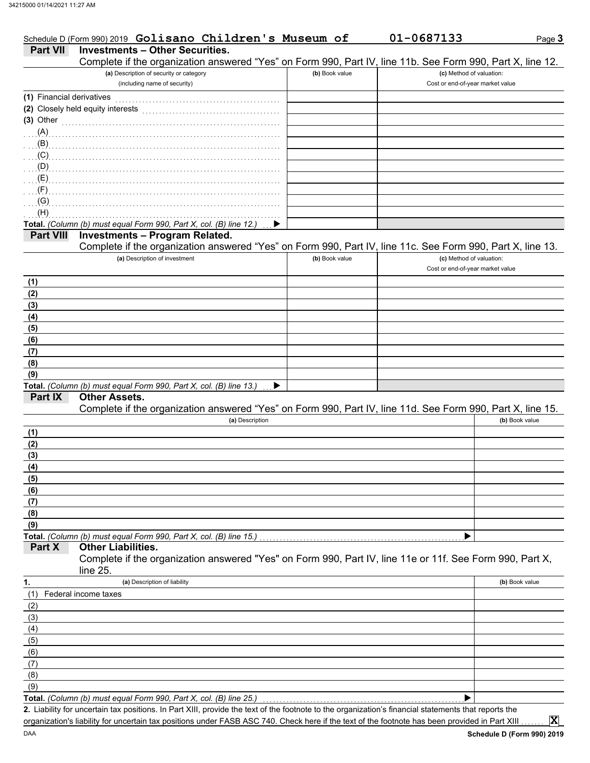|                           | Schedule D (Form 990) 2019 Golisano Children's Museum of                                                   |                | 01-0687133                       | Page 3         |
|---------------------------|------------------------------------------------------------------------------------------------------------|----------------|----------------------------------|----------------|
| <b>Part VII</b>           | <b>Investments - Other Securities.</b>                                                                     |                |                                  |                |
|                           | Complete if the organization answered "Yes" on Form 990, Part IV, line 11b. See Form 990, Part X, line 12. |                |                                  |                |
|                           | (a) Description of security or category                                                                    | (b) Book value | (c) Method of valuation:         |                |
|                           | (including name of security)                                                                               |                | Cost or end-of-year market value |                |
| (1) Financial derivatives |                                                                                                            |                |                                  |                |
|                           | (2) Closely held equity interests                                                                          |                |                                  |                |
| $(3)$ Other               |                                                                                                            |                |                                  |                |
| (A)                       |                                                                                                            |                |                                  |                |
| (B)                       |                                                                                                            |                |                                  |                |
| (C)                       |                                                                                                            |                |                                  |                |
| (D)                       |                                                                                                            |                |                                  |                |
| (E)                       |                                                                                                            |                |                                  |                |
| (F)                       |                                                                                                            |                |                                  |                |
| (G)                       |                                                                                                            |                |                                  |                |
| (H)                       |                                                                                                            |                |                                  |                |
|                           | Total. (Column (b) must equal Form 990, Part X, col. (B) line 12.)                                         |                |                                  |                |
| <b>Part VIII</b>          | <b>Investments - Program Related.</b>                                                                      |                |                                  |                |
|                           | Complete if the organization answered "Yes" on Form 990, Part IV, line 11c. See Form 990, Part X, line 13. |                |                                  |                |
|                           | (a) Description of investment                                                                              | (b) Book value | (c) Method of valuation:         |                |
|                           |                                                                                                            |                | Cost or end-of-year market value |                |
| (1)                       |                                                                                                            |                |                                  |                |
| (2)                       |                                                                                                            |                |                                  |                |
| $\frac{(3)}{(4)}$<br>(5)  |                                                                                                            |                |                                  |                |
|                           |                                                                                                            |                |                                  |                |
|                           |                                                                                                            |                |                                  |                |
| (6)                       |                                                                                                            |                |                                  |                |
| (7)                       |                                                                                                            |                |                                  |                |
| (8)                       |                                                                                                            |                |                                  |                |
| (9)                       |                                                                                                            |                |                                  |                |
|                           | Total. (Column (b) must equal Form 990, Part X, col. (B) line 13.)<br>▶                                    |                |                                  |                |
| Part IX                   | <b>Other Assets.</b>                                                                                       |                |                                  |                |
|                           | Complete if the organization answered "Yes" on Form 990, Part IV, line 11d. See Form 990, Part X, line 15. |                |                                  |                |
|                           | (a) Description                                                                                            |                |                                  | (b) Book value |
| (1)                       |                                                                                                            |                |                                  |                |
| (2)                       |                                                                                                            |                |                                  |                |
| (3)                       |                                                                                                            |                |                                  |                |
| (4)                       |                                                                                                            |                |                                  |                |
| (5)                       |                                                                                                            |                |                                  |                |
| (6)                       |                                                                                                            |                |                                  |                |
| (7)                       |                                                                                                            |                |                                  |                |
| (8)                       |                                                                                                            |                |                                  |                |
| (9)                       |                                                                                                            |                |                                  |                |
|                           | Total. (Column (b) must equal Form 990, Part X, col. (B) line 15.)                                         |                |                                  |                |
| Part X                    | <b>Other Liabilities.</b>                                                                                  |                |                                  |                |
|                           | Complete if the organization answered "Yes" on Form 990, Part IV, line 11e or 11f. See Form 990, Part X,   |                |                                  |                |
|                           | line 25.                                                                                                   |                |                                  |                |
| 1.                        | (a) Description of liability                                                                               |                |                                  | (b) Book value |
| (1)                       | Federal income taxes                                                                                       |                |                                  |                |
| (2)                       |                                                                                                            |                |                                  |                |
| (3)                       |                                                                                                            |                |                                  |                |
| (4)                       |                                                                                                            |                |                                  |                |
| (5)                       |                                                                                                            |                |                                  |                |
| (6)                       |                                                                                                            |                |                                  |                |
| (7)                       |                                                                                                            |                |                                  |                |
| (8)                       |                                                                                                            |                |                                  |                |
| (9)                       | Total. (Column (b) must equal Form 990, Part X, col. (B) line 25.)                                         |                |                                  |                |
|                           |                                                                                                            |                |                                  |                |

organization's liability for uncertain tax positions under FASB ASC 740. Check here if the text of the footnote has been provided in Part XIII . . . . . . .

**X**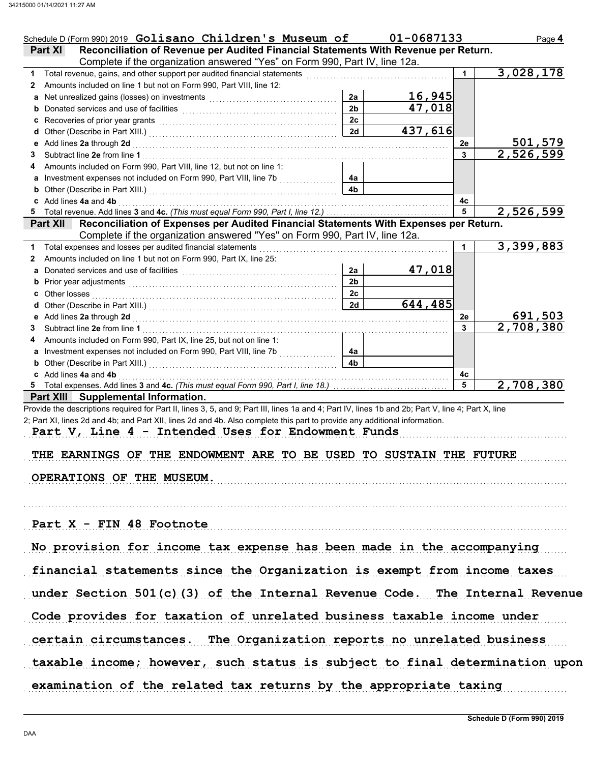| Schedule D (Form 990) 2019 Golisano Children's Museum of                                                                                                                                                                       |                      | 01-0687133          |              | Page 4    |
|--------------------------------------------------------------------------------------------------------------------------------------------------------------------------------------------------------------------------------|----------------------|---------------------|--------------|-----------|
| Reconciliation of Revenue per Audited Financial Statements With Revenue per Return.<br><b>Part XI</b>                                                                                                                          |                      |                     |              |           |
| Complete if the organization answered "Yes" on Form 990, Part IV, line 12a.                                                                                                                                                    |                      |                     |              |           |
| Total revenue, gains, and other support per audited financial statements                                                                                                                                                       |                      |                     | $\mathbf{1}$ | 3,028,178 |
| 2 Amounts included on line 1 but not on Form 990, Part VIII, line 12:                                                                                                                                                          |                      | 16,945              |              |           |
| a Net unrealized gains (losses) on investments [11] [11] Martin Martin Martin Martin Martin Martin Martin Marti                                                                                                                | 2a<br>2 <sub>b</sub> | $\overline{47,018}$ |              |           |
|                                                                                                                                                                                                                                | 2c                   |                     |              |           |
|                                                                                                                                                                                                                                | 2d                   | 437,616             |              |           |
|                                                                                                                                                                                                                                |                      |                     | 2e           | 501,579   |
| Subtract line 2e from line 1<br>3                                                                                                                                                                                              |                      |                     | 3            | 2,526,599 |
| Amounts included on Form 990, Part VIII, line 12, but not on line 1:<br>4                                                                                                                                                      |                      |                     |              |           |
| a Investment expenses not included on Form 990, Part VIII, line 7b                                                                                                                                                             | 4a                   |                     |              |           |
| <b>b</b> Other (Describe in Part XIII.) <b>CONSIDENT DESCRIPTION DESCRIPTION DESCRIPTION DESCRIPTION DESCRIPTION DESCRIPTION DESCRIPTION DESCRIPTION DESCRIPTION DESCRIPTION DESCRIPTION DESCRIPTION DESCRI</b>                | 4 <sub>b</sub>       |                     |              |           |
| c Add lines 4a and 4b                                                                                                                                                                                                          |                      |                     | 4с           |           |
|                                                                                                                                                                                                                                |                      |                     | 5            | 2,526,599 |
| Reconciliation of Expenses per Audited Financial Statements With Expenses per Return.<br><b>Part XII</b>                                                                                                                       |                      |                     |              |           |
| Complete if the organization answered "Yes" on Form 990, Part IV, line 12a.                                                                                                                                                    |                      |                     |              |           |
| 1 Total expenses and losses per audited financial statements                                                                                                                                                                   |                      |                     | $\mathbf{1}$ | 3,399,883 |
| Amounts included on line 1 but not on Form 990, Part IX, line 25:<br>$\mathbf{2}$                                                                                                                                              |                      |                     |              |           |
| a Donated services and use of facilities [11] contained a contact the service of the service of the service of the service of the service of the service of the service of the service of the service of the service of the se | 2a                   | 47,018              |              |           |
| b Prior year adjustments <b>contained</b> and the contained and the contained and contained and prior of Prior (2011).                                                                                                         | 2 <sub>b</sub>       |                     |              |           |
|                                                                                                                                                                                                                                | 2c                   |                     |              |           |
|                                                                                                                                                                                                                                | 2d                   | 644,485             |              |           |
|                                                                                                                                                                                                                                |                      |                     | 2e           | 691,503   |
| Subtract line 2e from line 1<br>3.                                                                                                                                                                                             |                      |                     | 3            | 2,708,380 |
| Amounts included on Form 990, Part IX, line 25, but not on line 1:<br>4                                                                                                                                                        |                      |                     |              |           |
| a Investment expenses not included on Form 990, Part VIII, line 7b                                                                                                                                                             | 4a                   |                     |              |           |
| <b>b</b> Other (Describe in Part XIII.) <b>CONSIDENT DESCRIPTION DESCRIPTION DESCRIPTION DESCRIPTION DESCRIPTION DESCRIPTION DESCRIPTION DESCRIPTION DESCRIPTION DESCRIPTION DESCRIPTION DESCRIPTION DESCRI</b>                | 4b                   |                     |              |           |
| c Add lines 4a and 4b                                                                                                                                                                                                          |                      |                     | 4с<br>5      |           |
| 5 Total expenses. Add lines 3 and 4c. (This must equal Form 990, Part I, line 18.)                                                                                                                                             |                      |                     |              | 2,708,380 |
| Part XIII Supplemental Information.<br>Provide the descriptions required for Part II, lines 3, 5, and 9; Part III, lines 1a and 4; Part IV, lines 1b and 2b; Part V, line 4; Part X, line                                      |                      |                     |              |           |
| 2; Part XI, lines 2d and 4b; and Part XII, lines 2d and 4b. Also complete this part to provide any additional information.                                                                                                     |                      |                     |              |           |
| Part V, Line 4 - Intended Uses for Endowment Funds                                                                                                                                                                             |                      |                     |              |           |
|                                                                                                                                                                                                                                |                      |                     |              |           |
| THE EARNINGS OF THE ENDOWMENT ARE TO BE USED TO SUSTAIN THE FUTURE                                                                                                                                                             |                      |                     |              |           |
|                                                                                                                                                                                                                                |                      |                     |              |           |
| OPERATIONS OF THE MUSEUM.                                                                                                                                                                                                      |                      |                     |              |           |
|                                                                                                                                                                                                                                |                      |                     |              |           |
|                                                                                                                                                                                                                                |                      |                     |              |           |
|                                                                                                                                                                                                                                |                      |                     |              |           |
| Part X - FIN 48 Footnote                                                                                                                                                                                                       |                      |                     |              |           |
|                                                                                                                                                                                                                                |                      |                     |              |           |
| No provision for income tax expense has been made in the accompanying                                                                                                                                                          |                      |                     |              |           |
|                                                                                                                                                                                                                                |                      |                     |              |           |
| financial statements since the Organization is exempt from income taxes                                                                                                                                                        |                      |                     |              |           |
|                                                                                                                                                                                                                                |                      |                     |              |           |
| under Section 501(c)(3) of the Internal Revenue Code. The Internal Revenue                                                                                                                                                     |                      |                     |              |           |
|                                                                                                                                                                                                                                |                      |                     |              |           |
| Code provides for taxation of unrelated business taxable income under                                                                                                                                                          |                      |                     |              |           |
| certain circumstances. The Organization reports no unrelated business                                                                                                                                                          |                      |                     |              |           |
|                                                                                                                                                                                                                                |                      |                     |              |           |
| taxable income; however, such status is subject to final determination upon                                                                                                                                                    |                      |                     |              |           |
|                                                                                                                                                                                                                                |                      |                     |              |           |
| examination of the related tax returns by the appropriate taxing                                                                                                                                                               |                      |                     |              |           |
|                                                                                                                                                                                                                                |                      |                     |              |           |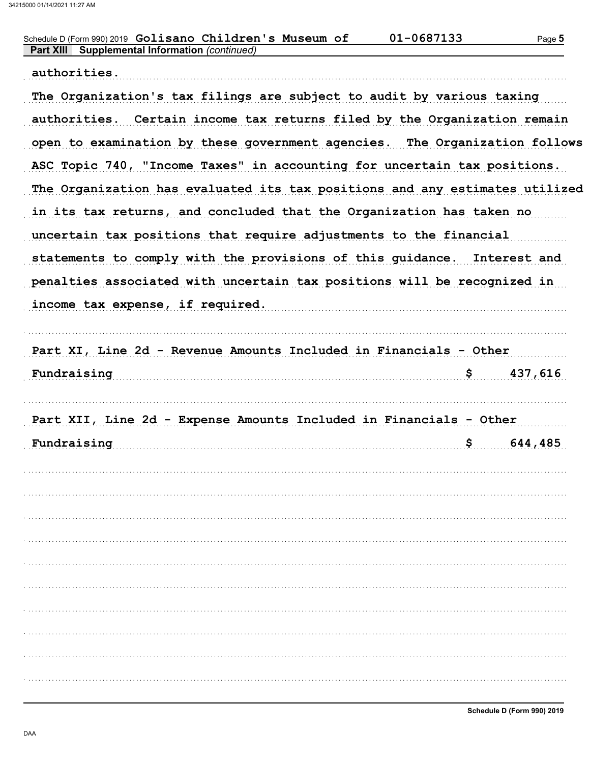| Schedule D (Form 990) 2019 Golisano Children's Museum of<br><b>Supplemental Information (continued)</b><br><b>Part XIII</b> | 01-0687133 | Page 5  |
|-----------------------------------------------------------------------------------------------------------------------------|------------|---------|
| authorities.                                                                                                                |            |         |
| The Organization's tax filings are subject to audit by various taxing                                                       |            |         |
| authorities. Certain income tax returns filed by the Organization remain                                                    |            |         |
| open to examination by these government agencies. The Organization follows                                                  |            |         |
| ASC Topic 740, "Income Taxes" in accounting for uncertain tax positions.                                                    |            |         |
| The Organization has evaluated its tax positions and any estimates utilized                                                 |            |         |
| in its tax returns, and concluded that the Organization has taken no                                                        |            |         |
| uncertain tax positions that require adjustments to the financial                                                           |            |         |
| statements to comply with the provisions of this guidance. Interest and                                                     |            |         |
| penalties associated with uncertain tax positions will be recognized in                                                     |            |         |
| income tax expense, if required.                                                                                            |            |         |
|                                                                                                                             |            |         |
|                                                                                                                             |            |         |
| Part XI, Line 2d - Revenue Amounts Included in Financials - Other                                                           |            |         |
| Fundraising                                                                                                                 | \$         | 437,616 |
|                                                                                                                             |            |         |
| Part XII, Line 2d - Expense Amounts Included in Financials - Other                                                          |            |         |
| Fundraising                                                                                                                 | \$         | 644,485 |
|                                                                                                                             |            |         |
|                                                                                                                             |            |         |
|                                                                                                                             |            |         |
|                                                                                                                             |            |         |
|                                                                                                                             |            |         |
|                                                                                                                             |            |         |
|                                                                                                                             |            |         |
|                                                                                                                             |            |         |
|                                                                                                                             |            |         |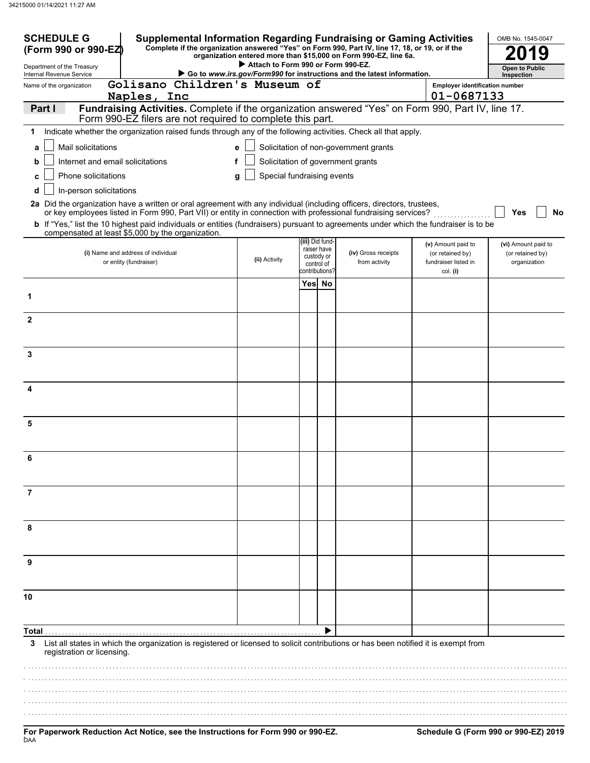| <b>SCHEDULE G</b><br>(Form 990 or 990-EZ)                                                                                                                                                                                                                                |   |                                    |                                                                              | <b>Supplemental Information Regarding Fundraising or Gaming Activities</b><br>Complete if the organization answered "Yes" on Form 990, Part IV, line 17, 18, or 19, or if the<br>organization entered more than \$15,000 on Form 990-EZ, line 6a. |                                                                            | OMB No. 1545-0047                                       |
|--------------------------------------------------------------------------------------------------------------------------------------------------------------------------------------------------------------------------------------------------------------------------|---|------------------------------------|------------------------------------------------------------------------------|---------------------------------------------------------------------------------------------------------------------------------------------------------------------------------------------------------------------------------------------------|----------------------------------------------------------------------------|---------------------------------------------------------|
| Department of the Treasury                                                                                                                                                                                                                                               |   | Attach to Form 990 or Form 990-EZ. |                                                                              |                                                                                                                                                                                                                                                   |                                                                            | <b>Open to Public</b>                                   |
| Internal Revenue Service<br>Golisano Children's Museum of<br>Name of the organization                                                                                                                                                                                    |   |                                    |                                                                              | Go to www.irs.gov/Form990 for instructions and the latest information.                                                                                                                                                                            | <b>Employer identification number</b>                                      | Inspection                                              |
| Naples, Inc                                                                                                                                                                                                                                                              |   |                                    |                                                                              |                                                                                                                                                                                                                                                   | 01-0687133                                                                 |                                                         |
| Fundraising Activities. Complete if the organization answered "Yes" on Form 990, Part IV, line 17.<br>Part I<br>Form 990-EZ filers are not required to complete this part.                                                                                               |   |                                    |                                                                              |                                                                                                                                                                                                                                                   |                                                                            |                                                         |
| Indicate whether the organization raised funds through any of the following activities. Check all that apply.<br>1                                                                                                                                                       |   |                                    |                                                                              |                                                                                                                                                                                                                                                   |                                                                            |                                                         |
| Mail solicitations<br>a                                                                                                                                                                                                                                                  |   | e                                  |                                                                              | Solicitation of non-government grants                                                                                                                                                                                                             |                                                                            |                                                         |
| Internet and email solicitations<br>b                                                                                                                                                                                                                                    | f |                                    |                                                                              | Solicitation of government grants                                                                                                                                                                                                                 |                                                                            |                                                         |
| Phone solicitations<br>C                                                                                                                                                                                                                                                 |   | Special fundraising events<br>g    |                                                                              |                                                                                                                                                                                                                                                   |                                                                            |                                                         |
| In-person solicitations<br>d<br>2a Did the organization have a written or oral agreement with any individual (including officers, directors, trustees,<br>or key employees listed in Form 990, Part VII) or entity in connection with professional fundraising services? |   |                                    |                                                                              |                                                                                                                                                                                                                                                   |                                                                            | Yes<br>No                                               |
| <b>b</b> If "Yes," list the 10 highest paid individuals or entities (fundraisers) pursuant to agreements under which the fundraiser is to be<br>compensated at least \$5,000 by the organization.                                                                        |   |                                    |                                                                              |                                                                                                                                                                                                                                                   |                                                                            |                                                         |
| (i) Name and address of individual<br>or entity (fundraiser)                                                                                                                                                                                                             |   | (ii) Activity                      | (iii) Did fund-<br>raiser have<br>custody or<br>control of<br>contributions? | (iv) Gross receipts<br>from activity                                                                                                                                                                                                              | (v) Amount paid to<br>(or retained by)<br>fundraiser listed in<br>col. (i) | (vi) Amount paid to<br>(or retained by)<br>organization |
|                                                                                                                                                                                                                                                                          |   |                                    | Yes No                                                                       |                                                                                                                                                                                                                                                   |                                                                            |                                                         |
| 1                                                                                                                                                                                                                                                                        |   |                                    |                                                                              |                                                                                                                                                                                                                                                   |                                                                            |                                                         |
| $\mathbf{2}$                                                                                                                                                                                                                                                             |   |                                    |                                                                              |                                                                                                                                                                                                                                                   |                                                                            |                                                         |
| 3                                                                                                                                                                                                                                                                        |   |                                    |                                                                              |                                                                                                                                                                                                                                                   |                                                                            |                                                         |
| 4                                                                                                                                                                                                                                                                        |   |                                    |                                                                              |                                                                                                                                                                                                                                                   |                                                                            |                                                         |
|                                                                                                                                                                                                                                                                          |   |                                    |                                                                              |                                                                                                                                                                                                                                                   |                                                                            |                                                         |
| 5                                                                                                                                                                                                                                                                        |   |                                    |                                                                              |                                                                                                                                                                                                                                                   |                                                                            |                                                         |
| 6                                                                                                                                                                                                                                                                        |   |                                    |                                                                              |                                                                                                                                                                                                                                                   |                                                                            |                                                         |
| 7                                                                                                                                                                                                                                                                        |   |                                    |                                                                              |                                                                                                                                                                                                                                                   |                                                                            |                                                         |
| 8                                                                                                                                                                                                                                                                        |   |                                    |                                                                              |                                                                                                                                                                                                                                                   |                                                                            |                                                         |
| 9                                                                                                                                                                                                                                                                        |   |                                    |                                                                              |                                                                                                                                                                                                                                                   |                                                                            |                                                         |
| 10                                                                                                                                                                                                                                                                       |   |                                    |                                                                              |                                                                                                                                                                                                                                                   |                                                                            |                                                         |
| Total                                                                                                                                                                                                                                                                    |   |                                    |                                                                              |                                                                                                                                                                                                                                                   |                                                                            |                                                         |
| List all states in which the organization is registered or licensed to solicit contributions or has been notified it is exempt from<br>3<br>registration or licensing.                                                                                                   |   |                                    |                                                                              |                                                                                                                                                                                                                                                   |                                                                            |                                                         |
|                                                                                                                                                                                                                                                                          |   |                                    |                                                                              |                                                                                                                                                                                                                                                   |                                                                            |                                                         |
|                                                                                                                                                                                                                                                                          |   |                                    |                                                                              |                                                                                                                                                                                                                                                   |                                                                            |                                                         |
|                                                                                                                                                                                                                                                                          |   |                                    |                                                                              |                                                                                                                                                                                                                                                   |                                                                            |                                                         |
|                                                                                                                                                                                                                                                                          |   |                                    |                                                                              |                                                                                                                                                                                                                                                   |                                                                            |                                                         |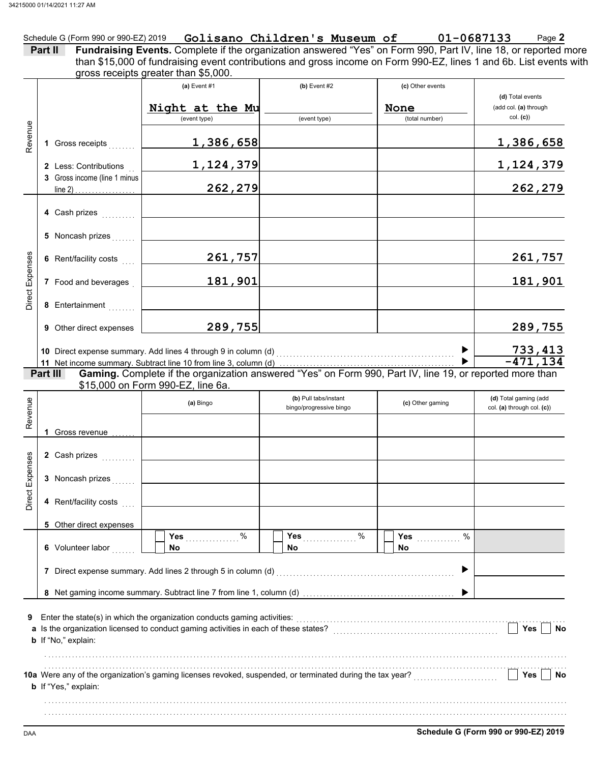|                              | gross receipts greater than \$5,000.                                                                                                                                                                                                                                                                                                                                                                            |                                                  |                                     |                                                     |
|------------------------------|-----------------------------------------------------------------------------------------------------------------------------------------------------------------------------------------------------------------------------------------------------------------------------------------------------------------------------------------------------------------------------------------------------------------|--------------------------------------------------|-------------------------------------|-----------------------------------------------------|
|                              | (a) Event $#1$                                                                                                                                                                                                                                                                                                                                                                                                  | $(b)$ Event #2                                   | (c) Other events                    | (d) Total events                                    |
|                              | Night at the Mu                                                                                                                                                                                                                                                                                                                                                                                                 |                                                  | None                                | (add col. (a) through                               |
|                              | (event type)                                                                                                                                                                                                                                                                                                                                                                                                    | (event type)                                     | (total number)                      | col. (c)                                            |
| 1 Gross receipts             | 1,386,658                                                                                                                                                                                                                                                                                                                                                                                                       |                                                  |                                     | 1,386,658                                           |
| 2 Less: Contributions        | 1,124,379                                                                                                                                                                                                                                                                                                                                                                                                       |                                                  |                                     | 1,124,379                                           |
| 3 Gross income (line 1 minus | 262,279                                                                                                                                                                                                                                                                                                                                                                                                         |                                                  |                                     | 262,279                                             |
| 4 Cash prizes                |                                                                                                                                                                                                                                                                                                                                                                                                                 |                                                  |                                     |                                                     |
| 5 Noncash prizes             |                                                                                                                                                                                                                                                                                                                                                                                                                 |                                                  |                                     |                                                     |
| 6 Rent/facility costs [111]  | 261,757                                                                                                                                                                                                                                                                                                                                                                                                         |                                                  |                                     | 261,757                                             |
| 7 Food and beverages         | 181,901                                                                                                                                                                                                                                                                                                                                                                                                         |                                                  |                                     | 181,901                                             |
| 8 Entertainment              |                                                                                                                                                                                                                                                                                                                                                                                                                 |                                                  |                                     |                                                     |
| 9 Other direct expenses      | 289,755                                                                                                                                                                                                                                                                                                                                                                                                         |                                                  |                                     | 289,755                                             |
|                              |                                                                                                                                                                                                                                                                                                                                                                                                                 |                                                  |                                     |                                                     |
|                              |                                                                                                                                                                                                                                                                                                                                                                                                                 |                                                  | ▶                                   | 733,413                                             |
|                              |                                                                                                                                                                                                                                                                                                                                                                                                                 |                                                  |                                     | $-471, 134$                                         |
| Part III                     | 11 Net income summary. Subtract line 10 from line 3, column (d) $\blacksquare$ $\blacksquare$ $\blacksquare$ $\blacksquare$ $\blacksquare$ $\blacksquare$ $\blacksquare$ $\blacksquare$ $\blacksquare$ $\blacksquare$ $\blacksquare$ $\blacksquare$ $\blacksquare$ $\blacksquare$ $\blacksquare$ $\blacksquare$ $\blacksquare$ $\blacksquare$ $\blacksquare$ $\blacksquare$ $\blacksquare$ $\blacksquare$ $\bl$ |                                                  |                                     |                                                     |
|                              | \$15,000 on Form 990-EZ, line 6a.                                                                                                                                                                                                                                                                                                                                                                               |                                                  |                                     |                                                     |
|                              | (a) Bingo                                                                                                                                                                                                                                                                                                                                                                                                       | (b) Pull tabs/instant<br>bingo/progressive bingo | (c) Other gaming                    | (d) Total gaming (add<br>col. (a) through col. (c)) |
|                              |                                                                                                                                                                                                                                                                                                                                                                                                                 |                                                  |                                     |                                                     |
| Gross revenue<br>1.          |                                                                                                                                                                                                                                                                                                                                                                                                                 |                                                  |                                     |                                                     |
| 2 Cash prizes                |                                                                                                                                                                                                                                                                                                                                                                                                                 |                                                  |                                     |                                                     |
| 3 Noncash prizes             |                                                                                                                                                                                                                                                                                                                                                                                                                 |                                                  |                                     |                                                     |
| 4 Rent/facility costs        |                                                                                                                                                                                                                                                                                                                                                                                                                 |                                                  |                                     |                                                     |
| 5 Other direct expenses      |                                                                                                                                                                                                                                                                                                                                                                                                                 |                                                  |                                     |                                                     |
| 6 Volunteer labor            | Yes 2000<br>No.                                                                                                                                                                                                                                                                                                                                                                                                 | Yes $%$<br>No.                                   | %<br><b>Yes</b> ____________<br>No. |                                                     |
|                              | 7 Direct expense summary. Add lines 2 through 5 in column (d) [11] content content content content content and material content and material content and material content and material content and material content and materi                                                                                                                                                                                  |                                                  |                                     |                                                     |
|                              |                                                                                                                                                                                                                                                                                                                                                                                                                 |                                                  |                                     |                                                     |
| <b>b</b> If "No," explain:   |                                                                                                                                                                                                                                                                                                                                                                                                                 |                                                  |                                     | Yes                                                 |
|                              |                                                                                                                                                                                                                                                                                                                                                                                                                 |                                                  |                                     | No                                                  |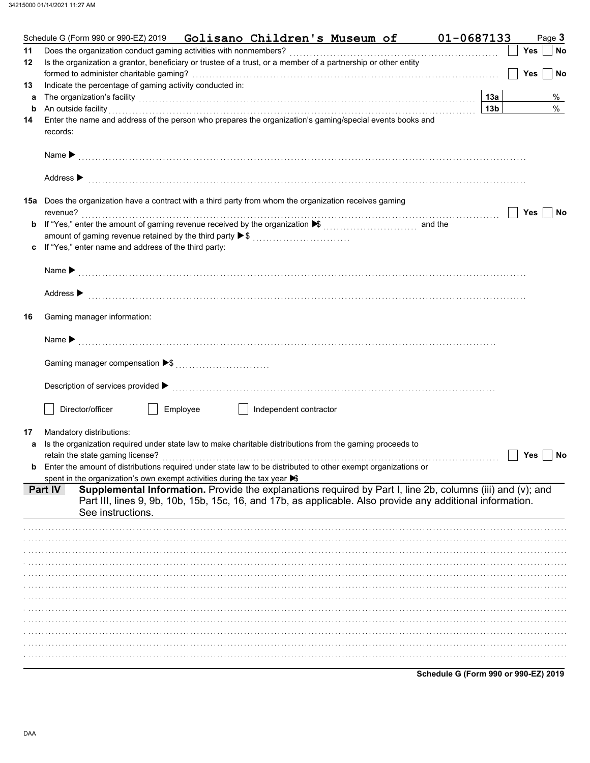|    | Schedule G (Form 990 or 990-EZ) 2019    Golisano Children's Museum of                                                                                                                                                                      |                        | 01-0687133 |                 | Page 3           |
|----|--------------------------------------------------------------------------------------------------------------------------------------------------------------------------------------------------------------------------------------------|------------------------|------------|-----------------|------------------|
| 11 |                                                                                                                                                                                                                                            |                        |            |                 | No<br>Yes        |
| 12 | Is the organization a grantor, beneficiary or trustee of a trust, or a member of a partnership or other entity                                                                                                                             |                        |            |                 |                  |
|    |                                                                                                                                                                                                                                            |                        |            |                 | <b>Yes</b><br>No |
| 13 | Indicate the percentage of gaming activity conducted in:                                                                                                                                                                                   |                        |            |                 |                  |
| a  | The organization's facility <b>contained a contained a contained a contained a contained a contained a contained a</b>                                                                                                                     |                        |            | 13a             | %                |
| b  | An outside facility encourance and account of the contract of the contract of the contract of the contract of the contract of the contract of the contract of the contract of the contract of the contract of the contract of              |                        |            | 13 <sub>b</sub> | $\%$             |
| 14 | Enter the name and address of the person who prepares the organization's gaming/special events books and                                                                                                                                   |                        |            |                 |                  |
|    | records:                                                                                                                                                                                                                                   |                        |            |                 |                  |
|    |                                                                                                                                                                                                                                            |                        |            |                 |                  |
|    |                                                                                                                                                                                                                                            |                        |            |                 |                  |
|    | Address $\blacktriangleright$                                                                                                                                                                                                              |                        |            |                 |                  |
|    |                                                                                                                                                                                                                                            |                        |            |                 |                  |
|    | 15a Does the organization have a contract with a third party from whom the organization receives gaming                                                                                                                                    |                        |            |                 |                  |
|    |                                                                                                                                                                                                                                            |                        |            |                 | Yes<br>No        |
|    |                                                                                                                                                                                                                                            |                        |            |                 |                  |
|    | amount of gaming revenue retained by the third party ▶ \$                                                                                                                                                                                  |                        |            |                 |                  |
| c  | If "Yes," enter name and address of the third party:                                                                                                                                                                                       |                        |            |                 |                  |
|    |                                                                                                                                                                                                                                            |                        |            |                 |                  |
|    |                                                                                                                                                                                                                                            |                        |            |                 |                  |
|    |                                                                                                                                                                                                                                            |                        |            |                 |                  |
|    | Address $\blacktriangleright$                                                                                                                                                                                                              |                        |            |                 |                  |
|    |                                                                                                                                                                                                                                            |                        |            |                 |                  |
| 16 | Gaming manager information:                                                                                                                                                                                                                |                        |            |                 |                  |
|    |                                                                                                                                                                                                                                            |                        |            |                 |                  |
|    |                                                                                                                                                                                                                                            |                        |            |                 |                  |
|    |                                                                                                                                                                                                                                            |                        |            |                 |                  |
|    |                                                                                                                                                                                                                                            |                        |            |                 |                  |
|    |                                                                                                                                                                                                                                            |                        |            |                 |                  |
|    |                                                                                                                                                                                                                                            |                        |            |                 |                  |
|    | Director/officer<br>Employee                                                                                                                                                                                                               | Independent contractor |            |                 |                  |
|    |                                                                                                                                                                                                                                            |                        |            |                 |                  |
| 17 | Mandatory distributions:                                                                                                                                                                                                                   |                        |            |                 |                  |
| a  | Is the organization required under state law to make charitable distributions from the gaming proceeds to                                                                                                                                  |                        |            |                 |                  |
|    |                                                                                                                                                                                                                                            |                        |            |                 | Yes<br>No        |
| b  | Enter the amount of distributions required under state law to be distributed to other exempt organizations or                                                                                                                              |                        |            |                 |                  |
|    | spent in the organization's own exempt activities during the tax year >                                                                                                                                                                    |                        |            |                 |                  |
|    | Supplemental Information. Provide the explanations required by Part I, line 2b, columns (iii) and (v); and<br><b>Part IV</b><br>Part III, lines 9, 9b, 10b, 15b, 15c, 16, and 17b, as applicable. Also provide any additional information. |                        |            |                 |                  |
|    | See instructions.                                                                                                                                                                                                                          |                        |            |                 |                  |
|    |                                                                                                                                                                                                                                            |                        |            |                 |                  |
|    |                                                                                                                                                                                                                                            |                        |            |                 |                  |
|    |                                                                                                                                                                                                                                            |                        |            |                 |                  |
|    |                                                                                                                                                                                                                                            |                        |            |                 |                  |
|    |                                                                                                                                                                                                                                            |                        |            |                 |                  |
|    |                                                                                                                                                                                                                                            |                        |            |                 |                  |
|    |                                                                                                                                                                                                                                            |                        |            |                 |                  |
|    |                                                                                                                                                                                                                                            |                        |            |                 |                  |
|    |                                                                                                                                                                                                                                            |                        |            |                 |                  |
|    |                                                                                                                                                                                                                                            |                        |            |                 |                  |
|    |                                                                                                                                                                                                                                            |                        |            |                 |                  |
|    |                                                                                                                                                                                                                                            |                        |            |                 |                  |
|    |                                                                                                                                                                                                                                            |                        |            |                 |                  |

Schedule G (Form 990 or 990-EZ) 2019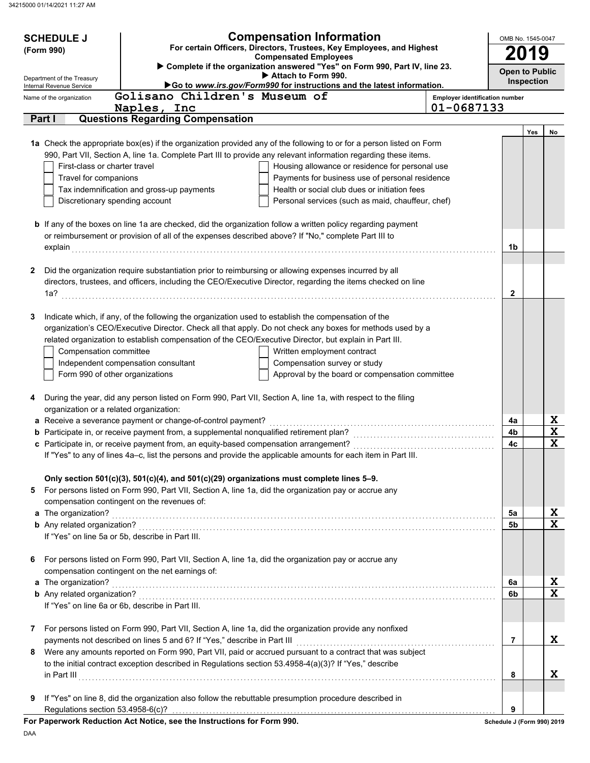|   | <b>Compensation Information</b><br><b>SCHEDULE J</b><br>For certain Officers, Directors, Trustees, Key Employees, and Highest<br>(Form 990)<br><b>Compensated Employees</b> |                                                                                          |                                                                                                                                                                             |                                |                            |            |                         |  |
|---|-----------------------------------------------------------------------------------------------------------------------------------------------------------------------------|------------------------------------------------------------------------------------------|-----------------------------------------------------------------------------------------------------------------------------------------------------------------------------|--------------------------------|----------------------------|------------|-------------------------|--|
|   | Department of the Treasury                                                                                                                                                  |                                                                                          | Complete if the organization answered "Yes" on Form 990, Part IV, line 23.<br>Attach to Form 990.<br>Go to www.irs.gov/Form990 for instructions and the latest information. |                                | <b>Open to Public</b>      | Inspection |                         |  |
|   | Internal Revenue Service<br>Name of the organization                                                                                                                        | Golisano Children's Museum of                                                            |                                                                                                                                                                             | Employer identification number |                            |            |                         |  |
|   |                                                                                                                                                                             | Naples, Inc                                                                              |                                                                                                                                                                             | 01-0687133                     |                            |            |                         |  |
|   | Part I                                                                                                                                                                      | <b>Questions Regarding Compensation</b>                                                  |                                                                                                                                                                             |                                |                            |            |                         |  |
|   |                                                                                                                                                                             |                                                                                          | 1a Check the appropriate box(es) if the organization provided any of the following to or for a person listed on Form                                                        |                                |                            | Yes        | No                      |  |
|   |                                                                                                                                                                             |                                                                                          | 990, Part VII, Section A, line 1a. Complete Part III to provide any relevant information regarding these items.                                                             |                                |                            |            |                         |  |
|   | First-class or charter travel                                                                                                                                               |                                                                                          | Housing allowance or residence for personal use                                                                                                                             |                                |                            |            |                         |  |
|   | Travel for companions                                                                                                                                                       |                                                                                          | Payments for business use of personal residence                                                                                                                             |                                |                            |            |                         |  |
|   |                                                                                                                                                                             | Tax indemnification and gross-up payments                                                | Health or social club dues or initiation fees                                                                                                                               |                                |                            |            |                         |  |
|   | Discretionary spending account                                                                                                                                              |                                                                                          | Personal services (such as maid, chauffeur, chef)                                                                                                                           |                                |                            |            |                         |  |
|   |                                                                                                                                                                             |                                                                                          | <b>b</b> If any of the boxes on line 1a are checked, did the organization follow a written policy regarding payment                                                         |                                |                            |            |                         |  |
|   |                                                                                                                                                                             |                                                                                          | or reimbursement or provision of all of the expenses described above? If "No," complete Part III to                                                                         |                                |                            |            |                         |  |
|   | explain                                                                                                                                                                     |                                                                                          |                                                                                                                                                                             |                                | 1b                         |            |                         |  |
|   |                                                                                                                                                                             |                                                                                          |                                                                                                                                                                             |                                |                            |            |                         |  |
| 2 |                                                                                                                                                                             |                                                                                          | Did the organization require substantiation prior to reimbursing or allowing expenses incurred by all                                                                       |                                |                            |            |                         |  |
|   |                                                                                                                                                                             |                                                                                          | directors, trustees, and officers, including the CEO/Executive Director, regarding the items checked on line                                                                |                                |                            |            |                         |  |
|   | 1a?                                                                                                                                                                         |                                                                                          |                                                                                                                                                                             |                                | 2                          |            |                         |  |
| 3 |                                                                                                                                                                             |                                                                                          | Indicate which, if any, of the following the organization used to establish the compensation of the                                                                         |                                |                            |            |                         |  |
|   |                                                                                                                                                                             |                                                                                          | organization's CEO/Executive Director. Check all that apply. Do not check any boxes for methods used by a                                                                   |                                |                            |            |                         |  |
|   |                                                                                                                                                                             |                                                                                          | related organization to establish compensation of the CEO/Executive Director, but explain in Part III.                                                                      |                                |                            |            |                         |  |
|   | Compensation committee                                                                                                                                                      |                                                                                          | Written employment contract                                                                                                                                                 |                                |                            |            |                         |  |
|   |                                                                                                                                                                             | Independent compensation consultant                                                      | Compensation survey or study                                                                                                                                                |                                |                            |            |                         |  |
|   | Form 990 of other organizations                                                                                                                                             |                                                                                          | Approval by the board or compensation committee                                                                                                                             |                                |                            |            |                         |  |
| 4 |                                                                                                                                                                             |                                                                                          | During the year, did any person listed on Form 990, Part VII, Section A, line 1a, with respect to the filing                                                                |                                |                            |            |                         |  |
|   | organization or a related organization:                                                                                                                                     |                                                                                          |                                                                                                                                                                             |                                |                            |            |                         |  |
|   |                                                                                                                                                                             | a Receive a severance payment or change-of-control payment?                              |                                                                                                                                                                             |                                | 4a                         |            | X                       |  |
|   |                                                                                                                                                                             | b Participate in, or receive payment from, a supplemental nonqualified retirement plan?  |                                                                                                                                                                             |                                | 4b                         |            | $\mathbf X$             |  |
|   |                                                                                                                                                                             | c Participate in, or receive payment from, an equity-based compensation arrangement?     |                                                                                                                                                                             |                                | 4c                         |            | $\overline{\mathbf{x}}$ |  |
|   |                                                                                                                                                                             |                                                                                          | If "Yes" to any of lines 4a-c, list the persons and provide the applicable amounts for each item in Part III.                                                               |                                |                            |            |                         |  |
|   |                                                                                                                                                                             | Only section 501(c)(3), 501(c)(4), and 501(c)(29) organizations must complete lines 5-9. |                                                                                                                                                                             |                                |                            |            |                         |  |
| 5 |                                                                                                                                                                             |                                                                                          | For persons listed on Form 990, Part VII, Section A, line 1a, did the organization pay or accrue any                                                                        |                                |                            |            |                         |  |
|   |                                                                                                                                                                             | compensation contingent on the revenues of:                                              |                                                                                                                                                                             |                                |                            |            |                         |  |
|   | a The organization?                                                                                                                                                         |                                                                                          |                                                                                                                                                                             |                                | 5a                         |            | X                       |  |
|   |                                                                                                                                                                             | If "Yes" on line 5a or 5b, describe in Part III.                                         |                                                                                                                                                                             |                                | 5 <sub>b</sub>             |            | $\overline{\mathbf{x}}$ |  |
|   |                                                                                                                                                                             |                                                                                          |                                                                                                                                                                             |                                |                            |            |                         |  |
| 6 |                                                                                                                                                                             |                                                                                          | For persons listed on Form 990, Part VII, Section A, line 1a, did the organization pay or accrue any                                                                        |                                |                            |            |                         |  |
|   |                                                                                                                                                                             | compensation contingent on the net earnings of:                                          |                                                                                                                                                                             |                                |                            |            |                         |  |
|   | a The organization?                                                                                                                                                         |                                                                                          |                                                                                                                                                                             |                                | 6a                         |            | X                       |  |
|   |                                                                                                                                                                             |                                                                                          |                                                                                                                                                                             |                                | 6b                         |            | $\overline{\mathbf{x}}$ |  |
|   |                                                                                                                                                                             | If "Yes" on line 6a or 6b, describe in Part III.                                         |                                                                                                                                                                             |                                |                            |            |                         |  |
| 7 |                                                                                                                                                                             |                                                                                          | For persons listed on Form 990, Part VII, Section A, line 1a, did the organization provide any nonfixed                                                                     |                                |                            |            |                         |  |
|   |                                                                                                                                                                             | payments not described on lines 5 and 6? If "Yes," describe in Part III                  |                                                                                                                                                                             |                                | 7                          |            | X                       |  |
| 8 |                                                                                                                                                                             |                                                                                          | Were any amounts reported on Form 990, Part VII, paid or accrued pursuant to a contract that was subject                                                                    |                                |                            |            |                         |  |
|   |                                                                                                                                                                             |                                                                                          | to the initial contract exception described in Regulations section 53.4958-4(a)(3)? If "Yes," describe                                                                      |                                |                            |            |                         |  |
|   |                                                                                                                                                                             |                                                                                          |                                                                                                                                                                             |                                | 8                          |            | X                       |  |
| 9 |                                                                                                                                                                             |                                                                                          | If "Yes" on line 8, did the organization also follow the rebuttable presumption procedure described in                                                                      |                                |                            |            |                         |  |
|   | Regulations section 53.4958-6(c)?                                                                                                                                           |                                                                                          |                                                                                                                                                                             |                                | 9                          |            |                         |  |
|   |                                                                                                                                                                             | For Paperwork Reduction Act Notice, see the Instructions for Form 990.                   |                                                                                                                                                                             |                                | Schedule J (Form 990) 2019 |            |                         |  |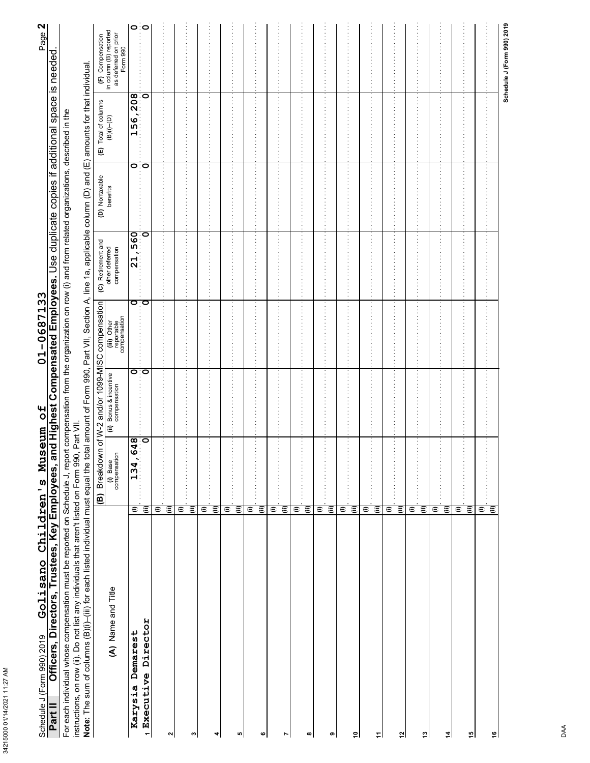| í |
|---|
|   |
|   |

# 01-0687133 Golisano Children's Museum of Schedule J (Form 990) 2019

Page 2

For each individual whose compensation must be reported on Schedule J, report compensation from the organization on row (i) and from related organizations, described in the<br>instructions, on row (ii). Do not list any indivi

ate for that individu  $\frac{1}{2}$  $\overline{C}$ ع<br>منابع  $\frac{a}{b}$ ی<br>آ st anil A noitha 11V tha DDD . t of Eom

| <b>Note:</b> The sum and a throughout the search is the summarized to the conditional the color | $\widehat{B}$                               | <b>Breakdown</b>                                                                                                                                                                                                                                                                                                    |                                        | of W-2 and/or 1099-MISC compensation      | amount of Form 990, Part VII, Section A, line 1a, applicable conditions, Part VII, Section A, Illy Section A, International CD, Part VII, Section A, International CD, Part VII, Section A, International CD, Part VII, Sectio<br>(C) Retirement and |                            | $\widehat{\mathbf{E}}$           |                                                                    |
|-------------------------------------------------------------------------------------------------|---------------------------------------------|---------------------------------------------------------------------------------------------------------------------------------------------------------------------------------------------------------------------------------------------------------------------------------------------------------------------|----------------------------------------|-------------------------------------------|------------------------------------------------------------------------------------------------------------------------------------------------------------------------------------------------------------------------------------------------------|----------------------------|----------------------------------|--------------------------------------------------------------------|
| (A) Name and Title                                                                              |                                             | (i) Base<br>compensation                                                                                                                                                                                                                                                                                            | (ii) Bonus & incentive<br>compensation | (iii) Other<br>reportable<br>compensation | other deferred<br>compensation                                                                                                                                                                                                                       | (D) Nontaxable<br>benefits | ) Total of columns<br>(B)(i)–(D) | (F) Compensation<br>in column (B) reported<br>as deferred on prior |
| Demarest<br>Karysia                                                                             | $\in$                                       | œ<br>134,64                                                                                                                                                                                                                                                                                                         | ਼ੇ                                     | ਾਂ                                        | 21,560                                                                                                                                                                                                                                               | ం∶ం                        | 156,208                          | ం∶ం                                                                |
| <i>1</i> Executive Director                                                                     | $\widehat{=}$                               | ö                                                                                                                                                                                                                                                                                                                   |                                        |                                           | စ                                                                                                                                                                                                                                                    |                            |                                  |                                                                    |
|                                                                                                 | Ξ                                           |                                                                                                                                                                                                                                                                                                                     |                                        |                                           |                                                                                                                                                                                                                                                      | ÷                          |                                  |                                                                    |
| $\sim$                                                                                          | $\widehat{=}$                               |                                                                                                                                                                                                                                                                                                                     |                                        |                                           |                                                                                                                                                                                                                                                      |                            |                                  |                                                                    |
| $\omega$                                                                                        | $\widehat{\equiv}$<br>Ξ                     | $\frac{1}{2}$ , $\frac{1}{2}$ , $\frac{1}{2}$ , $\frac{1}{2}$ , $\frac{1}{2}$ , $\frac{1}{2}$ , $\frac{1}{2}$                                                                                                                                                                                                       |                                        |                                           |                                                                                                                                                                                                                                                      | $\ddot{\phantom{a}}$       |                                  |                                                                    |
| 4                                                                                               | $\vdots$<br>$\widehat{\equiv}$<br>Ξ         | .                                                                                                                                                                                                                                                                                                                   |                                        |                                           | ÷                                                                                                                                                                                                                                                    | $\vdots$                   |                                  |                                                                    |
| 40                                                                                              | ε<br>Ξ                                      | ÷,<br>.                                                                                                                                                                                                                                                                                                             |                                        | $\vdots$                                  | I                                                                                                                                                                                                                                                    | $\vdots$                   | İ                                |                                                                    |
| ဖ                                                                                               | $\widehat{=}$<br>Θ                          | $\cdot$<br>$\vdots$                                                                                                                                                                                                                                                                                                 |                                        | $\vdots$                                  | ÷                                                                                                                                                                                                                                                    | Ξ                          | Ì                                |                                                                    |
| $\overline{\phantom{a}}$                                                                        | (ii)<br>Θ                                   | .                                                                                                                                                                                                                                                                                                                   |                                        |                                           | ł                                                                                                                                                                                                                                                    | $\vdots$                   |                                  |                                                                    |
| $\infty$                                                                                        | $\widehat{\equiv}$<br>Ξ                     | $\cdot$<br>.                                                                                                                                                                                                                                                                                                        |                                        | $\vdots$                                  | $\frac{1}{2}$                                                                                                                                                                                                                                        | $\frac{1}{2}$              | ÷<br>$\cdot$                     |                                                                    |
| $\bullet$                                                                                       | $\widehat{\equiv}$<br>Θ                     | .                                                                                                                                                                                                                                                                                                                   |                                        |                                           |                                                                                                                                                                                                                                                      | ÷                          |                                  |                                                                    |
| 흭                                                                                               | $\widehat{\mathbf{H}}$<br>$\ddot{\epsilon}$ | $\frac{1}{2}$ $\frac{1}{2}$ $\frac{1}{2}$ $\frac{1}{2}$ $\frac{1}{2}$ $\frac{1}{2}$ $\frac{1}{2}$ $\frac{1}{2}$ $\frac{1}{2}$ $\frac{1}{2}$ $\frac{1}{2}$ $\frac{1}{2}$ $\frac{1}{2}$ $\frac{1}{2}$ $\frac{1}{2}$ $\frac{1}{2}$ $\frac{1}{2}$ $\frac{1}{2}$ $\frac{1}{2}$ $\frac{1}{2}$ $\frac{1}{2}$ $\frac{1}{2}$ |                                        |                                           |                                                                                                                                                                                                                                                      | $\ddot{\phantom{0}}$       |                                  |                                                                    |
| ᅴ                                                                                               | $\widehat{\equiv}$<br>$\widehat{=}$         | $\vdots$                                                                                                                                                                                                                                                                                                            |                                        |                                           |                                                                                                                                                                                                                                                      |                            |                                  |                                                                    |
| $\tilde{a}$                                                                                     | $\widehat{\mathbf{H}}$<br>Ξ                 | $\blacksquare$<br>.                                                                                                                                                                                                                                                                                                 |                                        | $\vdots$                                  | ĵ.                                                                                                                                                                                                                                                   | $\vdots$                   | $\cdot$                          |                                                                    |
| $\ddot{5}$                                                                                      | (ii)<br>Ξ                                   |                                                                                                                                                                                                                                                                                                                     |                                        |                                           |                                                                                                                                                                                                                                                      | ÷                          |                                  |                                                                    |
| $\sharp$                                                                                        | $\widehat{\mathbf{H}}$<br>Ξ                 | $\frac{1}{2}$                                                                                                                                                                                                                                                                                                       |                                        |                                           |                                                                                                                                                                                                                                                      | İ,                         |                                  |                                                                    |
| $\frac{16}{2}$                                                                                  | $\widehat{\equiv}$<br>Ξ                     | .                                                                                                                                                                                                                                                                                                                   |                                        |                                           |                                                                                                                                                                                                                                                      | ÷                          |                                  |                                                                    |
| اِّ                                                                                             | $\vdots$<br>Θ<br>Θ                          |                                                                                                                                                                                                                                                                                                                     |                                        |                                           |                                                                                                                                                                                                                                                      |                            |                                  |                                                                    |
|                                                                                                 |                                             |                                                                                                                                                                                                                                                                                                                     |                                        |                                           |                                                                                                                                                                                                                                                      |                            |                                  |                                                                    |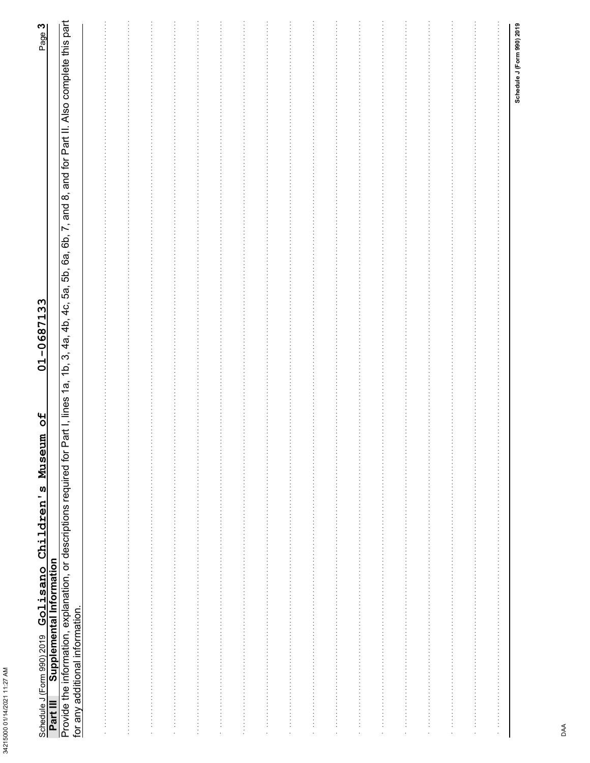| í      |
|--------|
| ï<br>ć |
| г      |
| í      |
| ۲      |
|        |
| l      |
|        |
|        |
|        |
|        |
|        |

# Schedule J (Form 990) 2019 **Golisano Children's Museum of 01-0687133**<br>Part III Supplemental Information<br>Provide the information, explanation, or descriptions required for Part I, lines 1a, 1b, 3, 4a, 4b, 4c, 5a, 5b, 6a, 6b

|               |               |    |  |                                                                                    |         |                                                                                    |                      | $\frac{1}{2}$                  | <b>Production</b>                                                          |                                                           |                                             |        |   |                                                                                                |
|---------------|---------------|----|--|------------------------------------------------------------------------------------|---------|------------------------------------------------------------------------------------|----------------------|--------------------------------|----------------------------------------------------------------------------|-----------------------------------------------------------|---------------------------------------------|--------|---|------------------------------------------------------------------------------------------------|
|               |               |    |  |                                                                                    |         |                                                                                    |                      | $\frac{1}{2}$<br>$\frac{1}{2}$ |                                                                            |                                                           |                                             |        |   |                                                                                                |
|               |               |    |  |                                                                                    |         |                                                                                    |                      |                                |                                                                            |                                                           |                                             |        |   |                                                                                                |
|               |               |    |  |                                                                                    |         |                                                                                    |                      | .                              |                                                                            |                                                           |                                             |        |   |                                                                                                |
|               |               |    |  |                                                                                    |         |                                                                                    |                      | $\frac{1}{2}$                  | $\begin{array}{c} \vdots \\ \vdots \\ \vdots \end{array}$                  |                                                           |                                             |        |   |                                                                                                |
|               |               |    |  |                                                                                    |         |                                                                                    |                      | $\frac{1}{2}$                  | $\begin{array}{c} \vdots \\ \vdots \\ \vdots \end{array}$                  |                                                           |                                             |        |   |                                                                                                |
|               |               |    |  |                                                                                    |         |                                                                                    |                      | $\frac{1}{2}$<br>$\frac{1}{2}$ | $\frac{1}{2}$<br>$\begin{array}{c} \vdots \\ \vdots \\ \vdots \end{array}$ |                                                           |                                             |        |   |                                                                                                |
|               |               |    |  | きょうしょう きょうこう きょうしょう きょうしょう きょうしょう きょうしょう きょうしょう きょうしょう きょうしょう きょうしょう きょうしょう きょうしょう |         |                                                                                    |                      | $\frac{1}{2}$                  | $\begin{array}{c} \vdots \\ \vdots \\ \vdots \end{array}$                  |                                                           | .                                           |        |   |                                                                                                |
|               |               |    |  |                                                                                    |         | きょうかんきょう かんきょう かんきょう かんかん かんかん かんかん かんかん かんかん かんかん かんかんか かんかんか かんかん かんかん かいかん かいかん |                      | $\frac{1}{2}$                  | $\begin{array}{c} \vdots \\ \vdots \\ \vdots \end{array}$                  |                                                           |                                             |        |   | きょうしょう こうしょう こうこうこう こうしょう こうしょう こうしょう こうしょう こうしょう こうしょう こうしょう こうしょう こうしょうしょう こうしょう こうしょう こうしょう |
|               |               |    |  |                                                                                    |         |                                                                                    |                      |                                |                                                                            |                                                           |                                             |        |   | $\vdots$                                                                                       |
| $\frac{1}{2}$ | $\frac{1}{2}$ | Î, |  |                                                                                    | $\cdot$ | $\bar{z}$                                                                          | $\ddot{\phantom{a}}$ | $\frac{1}{2}$                  | $\frac{1}{2}$                                                              | $\begin{array}{c} \vdots \\ \vdots \\ \vdots \end{array}$ | $\begin{bmatrix} 1 \\ 1 \\ 1 \end{bmatrix}$ | i<br>I | Ì |                                                                                                |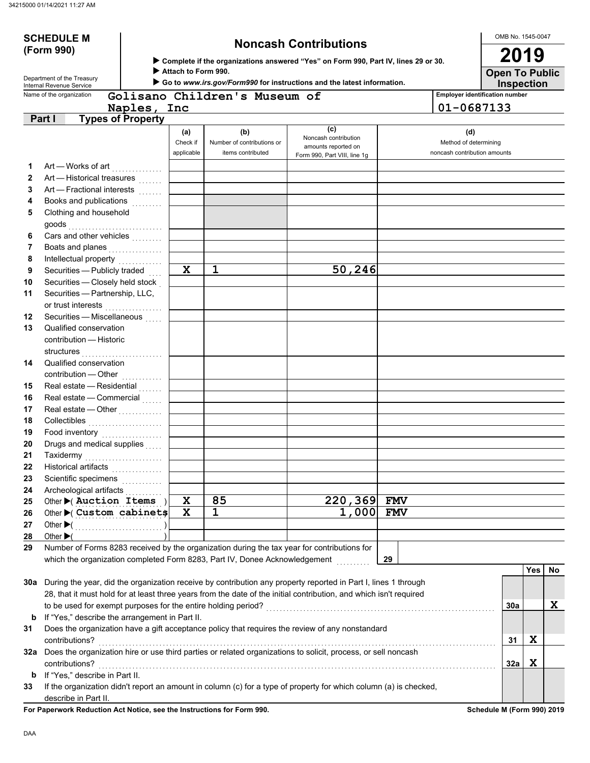# **(Form 990)**

Department of the Treasury<br>Internal Revenue Service

# **SCHEDULE M Noncash Contributions**

X **Complete if the organizations answered "Yes" on Form 990, Part IV, lines 29 or 30.**

Attach to Form 990.

▶ Go to www.irs.gov/Form990 for instructions and the latest information.

**Inspection**<br>**Employer identification number** 

OMB No. 1545-0047

**Open To Public 2019**

|                | Name of the organization                                                                                           |                               | Golisano Children's Museum of                          |                                                                                    |            | <b>Employer identification number</b>                        |     |    |
|----------------|--------------------------------------------------------------------------------------------------------------------|-------------------------------|--------------------------------------------------------|------------------------------------------------------------------------------------|------------|--------------------------------------------------------------|-----|----|
|                | Naples,                                                                                                            | Inc                           |                                                        |                                                                                    |            | 01-0687133                                                   |     |    |
|                | Part I<br><b>Types of Property</b>                                                                                 |                               |                                                        |                                                                                    |            |                                                              |     |    |
|                |                                                                                                                    | (a)<br>Check if<br>applicable | (b)<br>Number of contributions or<br>items contributed | (c)<br>Noncash contribution<br>amounts reported on<br>Form 990, Part VIII, line 1g |            | (d)<br>Method of determining<br>noncash contribution amounts |     |    |
| 1              | Art - Works of art                                                                                                 |                               |                                                        |                                                                                    |            |                                                              |     |    |
| $\mathbf{2}$   | Art - Historical treasures                                                                                         |                               |                                                        |                                                                                    |            |                                                              |     |    |
| 3              | Art - Fractional interests                                                                                         |                               |                                                        |                                                                                    |            |                                                              |     |    |
| 4              | Books and publications                                                                                             |                               |                                                        |                                                                                    |            |                                                              |     |    |
| 5              | Clothing and household<br>goods                                                                                    |                               |                                                        |                                                                                    |            |                                                              |     |    |
| 6              | Cars and other vehicles                                                                                            |                               |                                                        |                                                                                    |            |                                                              |     |    |
| $\overline{7}$ | Boats and planes<br>.                                                                                              |                               |                                                        |                                                                                    |            |                                                              |     |    |
| 8              | Intellectual property<br>                                                                                          |                               |                                                        |                                                                                    |            |                                                              |     |    |
| 9              | Securities - Publicly traded                                                                                       | $\mathbf x$                   | $\mathbf{1}$                                           | 50, 246                                                                            |            |                                                              |     |    |
| 10             | Securities - Closely held stock                                                                                    |                               |                                                        |                                                                                    |            |                                                              |     |    |
| 11             | Securities - Partnership, LLC,<br>or trust interests                                                               |                               |                                                        |                                                                                    |            |                                                              |     |    |
| $12 \,$        | Securities - Miscellaneous<br>.                                                                                    |                               |                                                        |                                                                                    |            |                                                              |     |    |
| 13             | Qualified conservation<br>contribution - Historic                                                                  |                               |                                                        |                                                                                    |            |                                                              |     |    |
|                | structures                                                                                                         |                               |                                                        |                                                                                    |            |                                                              |     |    |
| 14             | Qualified conservation<br>contribution - Other                                                                     |                               |                                                        |                                                                                    |            |                                                              |     |    |
| 15             | Real estate - Residential                                                                                          |                               |                                                        |                                                                                    |            |                                                              |     |    |
| 16             | Real estate - Commercial                                                                                           |                               |                                                        |                                                                                    |            |                                                              |     |    |
| 17             | Real estate - Other                                                                                                |                               |                                                        |                                                                                    |            |                                                              |     |    |
| 18             | Collectibles                                                                                                       |                               |                                                        |                                                                                    |            |                                                              |     |    |
| 19             | Food inventory                                                                                                     |                               |                                                        |                                                                                    |            |                                                              |     |    |
| 20             | Drugs and medical supplies                                                                                         |                               |                                                        |                                                                                    |            |                                                              |     |    |
| 21             | Taxidermy                                                                                                          |                               |                                                        |                                                                                    |            |                                                              |     |    |
| 22             | Historical artifacts<br>.                                                                                          |                               |                                                        |                                                                                    |            |                                                              |     |    |
| 23             | Scientific specimens<br>                                                                                           |                               |                                                        |                                                                                    |            |                                                              |     |    |
| 24             | Archeological artifacts                                                                                            |                               |                                                        |                                                                                    |            |                                                              |     |    |
| 25             | Other $\blacktriangleright$ ( Auction Items )                                                                      | $\mathbf x$                   | 85                                                     | 220,369                                                                            | <b>FMV</b> |                                                              |     |    |
| 26             | Other Custom cabinets                                                                                              | $\mathbf x$                   | 1                                                      | 1,000                                                                              | <b>FMV</b> |                                                              |     |    |
| ${\bf 27}$     | Other $\blacktriangleright$ (                                                                                      |                               |                                                        |                                                                                    |            |                                                              |     |    |
| 28             | Other $\blacktriangleright$                                                                                        |                               |                                                        |                                                                                    |            |                                                              |     |    |
| 29             | Number of Forms 8283 received by the organization during the tax year for contributions for                        |                               |                                                        |                                                                                    |            |                                                              |     |    |
|                | which the organization completed Form 8283, Part IV, Donee Acknowledgement                                         |                               |                                                        |                                                                                    | 29         |                                                              | Yes | No |
|                | 30a During the year, did the organization receive by contribution any property reported in Part I, lines 1 through |                               |                                                        |                                                                                    |            |                                                              |     |    |
|                | 28, that it must hold for at least three years from the date of the initial contribution, and which isn't required |                               |                                                        |                                                                                    |            |                                                              |     |    |
|                | to be used for exempt purposes for the entire holding period?                                                      |                               |                                                        |                                                                                    |            | 30a                                                          |     | X  |
| b              | If "Yes," describe the arrangement in Part II.                                                                     |                               |                                                        |                                                                                    |            |                                                              |     |    |
| 31             | Does the organization have a gift acceptance policy that requires the review of any nonstandard                    |                               |                                                        |                                                                                    |            |                                                              |     |    |
|                | contributions?                                                                                                     |                               |                                                        |                                                                                    |            | 31                                                           | X   |    |
|                | 32a Does the organization hire or use third parties or related organizations to solicit, process, or sell noncash  |                               |                                                        |                                                                                    |            |                                                              |     |    |
|                | contributions?                                                                                                     |                               |                                                        |                                                                                    |            | 32a                                                          | X   |    |
| b              | If "Yes," describe in Part II.                                                                                     |                               |                                                        |                                                                                    |            |                                                              |     |    |
| 33             | If the organization didn't report an amount in column (c) for a type of property for which column (a) is checked,  |                               |                                                        |                                                                                    |            |                                                              |     |    |
|                | describe in Part II.                                                                                               |                               |                                                        |                                                                                    |            |                                                              |     |    |

**For Paperwork Reduction Act Notice, see the Instructions for Form 990. Schedule M (Form 990) 2019**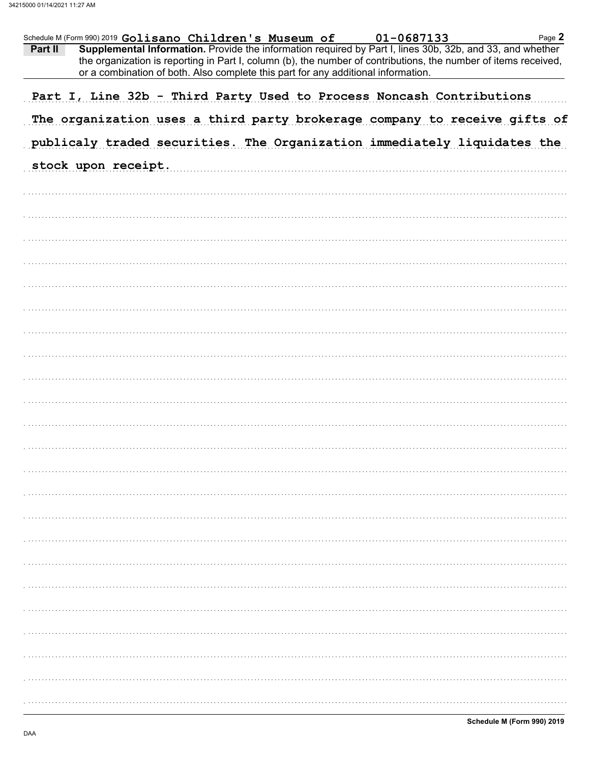|         | Schedule M (Form 990) 2019 Golisano Children's Museum of |  |  |  | 01-0687133                                                                        |  | Page 2                                                                                                                                                                                                                       |
|---------|----------------------------------------------------------|--|--|--|-----------------------------------------------------------------------------------|--|------------------------------------------------------------------------------------------------------------------------------------------------------------------------------------------------------------------------------|
| Part II |                                                          |  |  |  | or a combination of both. Also complete this part for any additional information. |  | Supplemental Information. Provide the information required by Part I, lines 30b, 32b, and 33, and whether<br>the organization is reporting in Part I, column (b), the number of contributions, the number of items received, |
|         |                                                          |  |  |  | Part I, Line 32b - Third Party Used to Process Noncash Contributions              |  |                                                                                                                                                                                                                              |
|         |                                                          |  |  |  |                                                                                   |  | The organization uses a third party brokerage company to receive gifts of                                                                                                                                                    |
|         |                                                          |  |  |  |                                                                                   |  | publicaly traded securities. The Organization immediately liquidates the                                                                                                                                                     |
|         | stock upon receipt.                                      |  |  |  |                                                                                   |  |                                                                                                                                                                                                                              |
|         |                                                          |  |  |  |                                                                                   |  |                                                                                                                                                                                                                              |
|         |                                                          |  |  |  |                                                                                   |  |                                                                                                                                                                                                                              |
|         |                                                          |  |  |  |                                                                                   |  |                                                                                                                                                                                                                              |
|         |                                                          |  |  |  |                                                                                   |  |                                                                                                                                                                                                                              |
|         |                                                          |  |  |  |                                                                                   |  |                                                                                                                                                                                                                              |
|         |                                                          |  |  |  |                                                                                   |  |                                                                                                                                                                                                                              |
|         |                                                          |  |  |  |                                                                                   |  |                                                                                                                                                                                                                              |
|         |                                                          |  |  |  |                                                                                   |  |                                                                                                                                                                                                                              |
|         |                                                          |  |  |  |                                                                                   |  |                                                                                                                                                                                                                              |
|         |                                                          |  |  |  |                                                                                   |  |                                                                                                                                                                                                                              |
|         |                                                          |  |  |  |                                                                                   |  |                                                                                                                                                                                                                              |
|         |                                                          |  |  |  |                                                                                   |  |                                                                                                                                                                                                                              |
|         |                                                          |  |  |  |                                                                                   |  |                                                                                                                                                                                                                              |
|         |                                                          |  |  |  |                                                                                   |  |                                                                                                                                                                                                                              |
|         |                                                          |  |  |  |                                                                                   |  |                                                                                                                                                                                                                              |
|         |                                                          |  |  |  |                                                                                   |  |                                                                                                                                                                                                                              |
|         |                                                          |  |  |  |                                                                                   |  |                                                                                                                                                                                                                              |
|         |                                                          |  |  |  |                                                                                   |  |                                                                                                                                                                                                                              |
|         |                                                          |  |  |  |                                                                                   |  |                                                                                                                                                                                                                              |
|         |                                                          |  |  |  |                                                                                   |  |                                                                                                                                                                                                                              |
|         |                                                          |  |  |  |                                                                                   |  |                                                                                                                                                                                                                              |
|         |                                                          |  |  |  |                                                                                   |  |                                                                                                                                                                                                                              |
|         |                                                          |  |  |  |                                                                                   |  |                                                                                                                                                                                                                              |
|         |                                                          |  |  |  |                                                                                   |  |                                                                                                                                                                                                                              |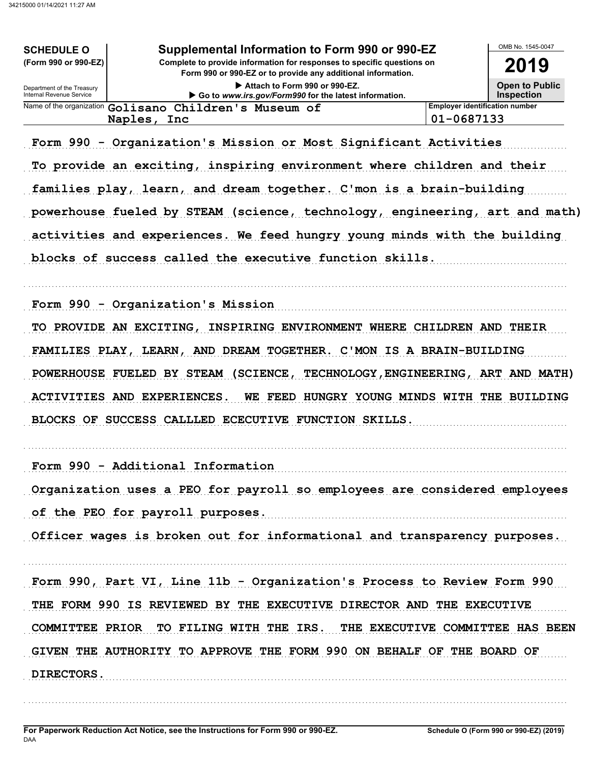| <b>SCHEDULE O</b>                                      | Supplemental Information to Form 990 or 990-EZ                                                                                         |            | OMB No. 1545-0047                      |
|--------------------------------------------------------|----------------------------------------------------------------------------------------------------------------------------------------|------------|----------------------------------------|
| (Form 990 or 990-EZ)                                   | Complete to provide information for responses to specific questions on<br>Form 990 or 990-EZ or to provide any additional information. |            | 2019                                   |
| Department of the Treasury<br>Internal Revenue Service | Attach to Form 990 or 990-EZ.<br>Go to www.irs.gov/Form990 for the latest information.                                                 |            | <b>Open to Public</b><br>Inspection    |
|                                                        | Name of the organization Golisano Children's Museum of                                                                                 |            | <b>Employer identification number</b>  |
|                                                        | Naples, Inc                                                                                                                            | 01-0687133 |                                        |
|                                                        | Form 990 - Organization's Mission or Most Significant Activities                                                                       |            |                                        |
|                                                        | To provide an exciting, inspiring environment where children and their                                                                 |            |                                        |
|                                                        | families play, learn, and dream together. C'mon is a brain-building                                                                    |            |                                        |
|                                                        | powerhouse fueled by STEAM (science, technology, engineering, art and math)                                                            |            |                                        |
|                                                        | activities and experiences. We feed hungry young minds with the building                                                               |            |                                        |
|                                                        | blocks of success called the executive function skills.                                                                                |            |                                        |
|                                                        | Form 990 - Organization's Mission                                                                                                      |            |                                        |
|                                                        | TO PROVIDE AN EXCITING, INSPIRING ENVIRONMENT WHERE CHILDREN AND THEIR                                                                 |            |                                        |
|                                                        | FAMILIES PLAY, LEARN, AND DREAM TOGETHER. C'MON IS A BRAIN-BUILDING                                                                    |            |                                        |
| POWERHOUSE FUELED BY STEAM                             | (SCIENCE,                                                                                                                              |            | TECHNOLOGY, ENGINEERING, ART AND MATH) |
| ACTIVITIES AND EXPERIENCES.                            | WE FEED HUNGRY YOUNG MINDS WITH THE BUILDING                                                                                           |            |                                        |
|                                                        | BLOCKS OF SUCCESS CALLLED ECECUTIVE FUNCTION SKILLS.                                                                                   |            |                                        |
|                                                        | Form 990 - Additional Information                                                                                                      |            |                                        |
|                                                        | Organization uses a PEO for payroll so employees are considered employees                                                              |            |                                        |
|                                                        | of the PEO for payroll purposes.                                                                                                       |            |                                        |
|                                                        | Officer wages is broken out for informational and transparency purposes.                                                               |            |                                        |
|                                                        |                                                                                                                                        |            |                                        |
|                                                        | Form 990, Part VI, Line 11b - Organization's Process to Review Form 990                                                                |            |                                        |
|                                                        | THE FORM 990 IS REVIEWED BY THE EXECUTIVE DIRECTOR AND THE EXECUTIVE                                                                   |            |                                        |
|                                                        | COMMITTEE PRIOR TO FILING WITH THE IRS. THE EXECUTIVE COMMITTEE HAS BEEN                                                               |            |                                        |
|                                                        | GIVEN THE AUTHORITY TO APPROVE THE FORM 990 ON BEHALF OF THE BOARD OF                                                                  |            |                                        |
| <b>DIRECTORS.</b>                                      |                                                                                                                                        |            |                                        |
|                                                        |                                                                                                                                        |            |                                        |
|                                                        |                                                                                                                                        |            |                                        |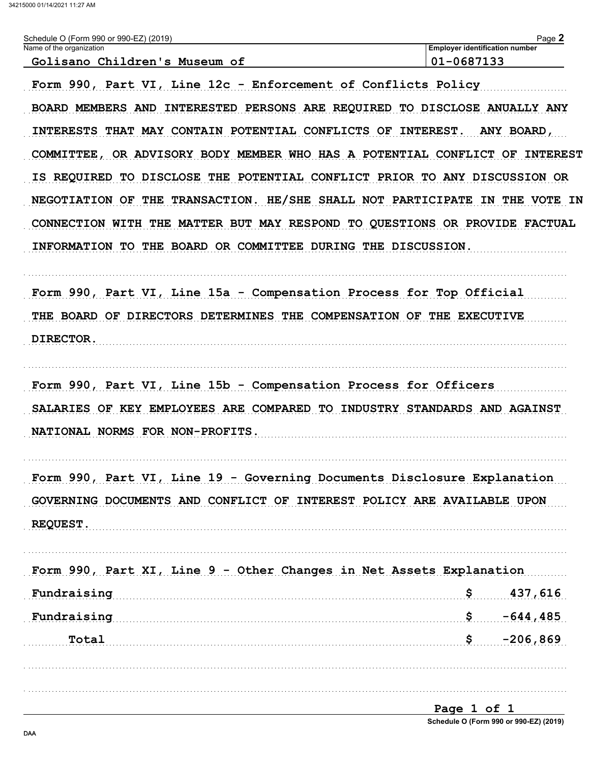| Golisano Children's Museum of                                               | <b>Employer identification number</b><br>01-0687133 |
|-----------------------------------------------------------------------------|-----------------------------------------------------|
| Form 990, Part VI, Line 12c - Enforcement of Conflicts Policy               |                                                     |
| BOARD MEMBERS AND INTERESTED PERSONS ARE REQUIRED TO DISCLOSE ANUALLY ANY   |                                                     |
| INTERESTS THAT MAY CONTAIN POTENTIAL CONFLICTS OF INTEREST. ANY BOARD,      |                                                     |
| COMMITTEE, OR ADVISORY BODY MEMBER WHO HAS A POTENTIAL CONFLICT OF INTEREST |                                                     |
| IS REQUIRED TO DISCLOSE THE POTENTIAL CONFLICT PRIOR TO ANY DISCUSSION OR   |                                                     |
| NEGOTIATION OF THE TRANSACTION. HE/SHE SHALL NOT PARTICIPATE IN THE VOTE IN |                                                     |
| CONNECTION WITH THE MATTER BUT MAY RESPOND TO QUESTIONS OR PROVIDE FACTUAL  |                                                     |
| INFORMATION TO THE BOARD OR COMMITTEE DURING THE DISCUSSION.                |                                                     |
| Form 990, Part VI, Line 15a - Compensation Process for Top Official         |                                                     |
| THE BOARD OF DIRECTORS DETERMINES THE COMPENSATION OF THE EXECUTIVE         |                                                     |
| DIRECTOR.                                                                   |                                                     |
| Form 990, Part VI, Line 15b - Compensation Process for Officers             |                                                     |
| SALARIES OF KEY EMPLOYEES ARE COMPARED TO INDUSTRY STANDARDS AND AGAINST    |                                                     |
| NATIONAL NORMS FOR NON-PROFITS.                                             |                                                     |
| Form 990, Part VI, Line 19 - Governing Documents Disclosure Explanation     |                                                     |
| GOVERNING DOCUMENTS AND CONFLICT OF INTEREST POLICY ARE AVAILABLE UPON      |                                                     |
| REQUEST.                                                                    |                                                     |
| Form 990, Part XI, Line 9 - Other Changes in Net Assets Explanation         |                                                     |
| Fundraising                                                                 | 437,616<br>\$                                       |
|                                                                             | \$<br>$-644, 485$                                   |
| Fundraising                                                                 |                                                     |